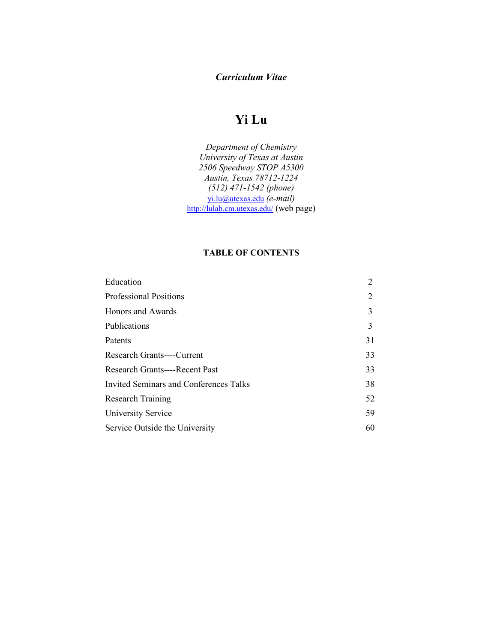## *Curriculum Vitae*

## **Yi Lu**

*Department of Chemistry University of Texas at Austin 2506 Speedway STOP A5300 Austin, Texas 78712-1224 (512) 471-1542 (phone)*  [yi.lu@utexas.edu](mailto:yi.lu@utexas.edu) *(e-mail)* <http://lulab.cm.utexas.edu/> (web page)

## **TABLE OF CONTENTS**

| Education                              | 2  |
|----------------------------------------|----|
| <b>Professional Positions</b>          | 2  |
| Honors and Awards                      | 3  |
| Publications                           | 3  |
| Patents                                | 31 |
| Research Grants----Current             | 33 |
| <b>Research Grants----Recent Past</b>  | 33 |
| Invited Seminars and Conferences Talks | 38 |
| <b>Research Training</b>               | 52 |
| University Service                     | 59 |
| Service Outside the University         | 60 |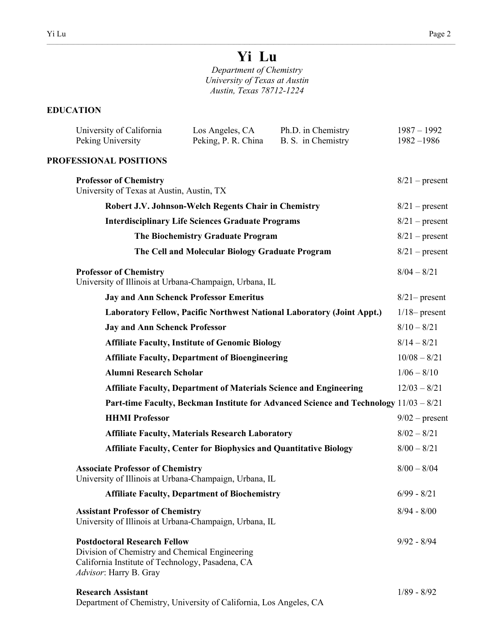# **Yi Lu**

 $\_$  , and the state of the state of the state of the state of the state of the state of the state of the state of the state of the state of the state of the state of the state of the state of the state of the state of the

*Department of Chemistry University of Texas at Austin Austin, Texas 78712-1224*

## **EDUCATION**

| University of California<br>Peking University                                                                                                                       | Los Angeles, CA<br>Peking, P. R. China                                   | Ph.D. in Chemistry<br>B. S. in Chemistry                                              | $1987 - 1992$<br>$1982 - 1986$ |
|---------------------------------------------------------------------------------------------------------------------------------------------------------------------|--------------------------------------------------------------------------|---------------------------------------------------------------------------------------|--------------------------------|
| PROFESSIONAL POSITIONS                                                                                                                                              |                                                                          |                                                                                       |                                |
| <b>Professor of Chemistry</b><br>University of Texas at Austin, Austin, TX                                                                                          |                                                                          |                                                                                       | $8/21$ – present               |
|                                                                                                                                                                     | Robert J.V. Johnson-Welch Regents Chair in Chemistry                     |                                                                                       | $8/21$ – present               |
|                                                                                                                                                                     | <b>Interdisciplinary Life Sciences Graduate Programs</b>                 |                                                                                       | $8/21$ – present               |
|                                                                                                                                                                     | The Biochemistry Graduate Program                                        |                                                                                       | $8/21$ – present               |
|                                                                                                                                                                     | The Cell and Molecular Biology Graduate Program                          |                                                                                       | $8/21$ – present               |
| <b>Professor of Chemistry</b><br>University of Illinois at Urbana-Champaign, Urbana, IL                                                                             |                                                                          |                                                                                       | $8/04 - 8/21$                  |
| <b>Jay and Ann Schenck Professor Emeritus</b>                                                                                                                       |                                                                          |                                                                                       | $8/21$ - present               |
|                                                                                                                                                                     |                                                                          | Laboratory Fellow, Pacific Northwest National Laboratory (Joint Appt.)                | $1/18$ - present               |
| <b>Jay and Ann Schenck Professor</b>                                                                                                                                |                                                                          |                                                                                       | $8/10 - 8/21$                  |
|                                                                                                                                                                     | <b>Affiliate Faculty, Institute of Genomic Biology</b>                   |                                                                                       | $8/14 - 8/21$                  |
|                                                                                                                                                                     | <b>Affiliate Faculty, Department of Bioengineering</b>                   |                                                                                       | $10/08 - 8/21$                 |
| <b>Alumni Research Scholar</b>                                                                                                                                      |                                                                          |                                                                                       | $1/06 - 8/10$                  |
|                                                                                                                                                                     |                                                                          | <b>Affiliate Faculty, Department of Materials Science and Engineering</b>             | $12/03 - 8/21$                 |
|                                                                                                                                                                     |                                                                          | Part-time Faculty, Beckman Institute for Advanced Science and Technology 11/03 - 8/21 |                                |
| <b>HHMI</b> Professor                                                                                                                                               |                                                                          |                                                                                       | $9/02$ – present               |
|                                                                                                                                                                     | <b>Affiliate Faculty, Materials Research Laboratory</b>                  |                                                                                       | $8/02 - 8/21$                  |
|                                                                                                                                                                     | <b>Affiliate Faculty, Center for Biophysics and Quantitative Biology</b> |                                                                                       | $8/00 - 8/21$                  |
| <b>Associate Professor of Chemistry</b><br>University of Illinois at Urbana-Champaign, Urbana, IL                                                                   |                                                                          |                                                                                       | $8/00 - 8/04$                  |
|                                                                                                                                                                     | <b>Affiliate Faculty, Department of Biochemistry</b>                     |                                                                                       | $6/99 - 8/21$                  |
| <b>Assistant Professor of Chemistry</b><br>University of Illinois at Urbana-Champaign, Urbana, IL                                                                   |                                                                          |                                                                                       | $8/94 - 8/00$                  |
| <b>Postdoctoral Research Fellow</b><br>Division of Chemistry and Chemical Engineering<br>California Institute of Technology, Pasadena, CA<br>Advisor: Harry B. Gray |                                                                          |                                                                                       | $9/92 - 8/94$                  |
| <b>Research Assistant</b><br>Department of Chemistry, University of California, Los Angeles, CA                                                                     |                                                                          |                                                                                       | $1/89 - 8/92$                  |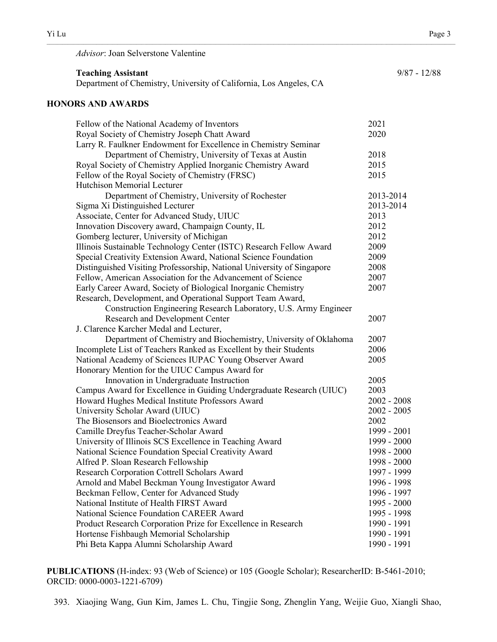*Advisor*: Joan Selverstone Valentine

**Teaching Assistant** 9/87 - 12/88 Department of Chemistry, University of California, Los Angeles, CA

 $\_$  , and the state of the state of the state of the state of the state of the state of the state of the state of the state of the state of the state of the state of the state of the state of the state of the state of the

## **HONORS AND AWARDS**

| Fellow of the National Academy of Inventors                            | 2021          |
|------------------------------------------------------------------------|---------------|
| Royal Society of Chemistry Joseph Chatt Award                          | 2020          |
| Larry R. Faulkner Endowment for Excellence in Chemistry Seminar        |               |
| Department of Chemistry, University of Texas at Austin                 | 2018          |
| Royal Society of Chemistry Applied Inorganic Chemistry Award           | 2015          |
| Fellow of the Royal Society of Chemistry (FRSC)                        | 2015          |
| Hutchison Memorial Lecturer                                            |               |
| Department of Chemistry, University of Rochester                       | 2013-2014     |
| Sigma Xi Distinguished Lecturer                                        | 2013-2014     |
| Associate, Center for Advanced Study, UIUC                             | 2013          |
| Innovation Discovery award, Champaign County, IL                       | 2012          |
| Gomberg lecturer, University of Michigan                               | 2012          |
| Illinois Sustainable Technology Center (ISTC) Research Fellow Award    | 2009          |
| Special Creativity Extension Award, National Science Foundation        | 2009          |
| Distinguished Visiting Professorship, National University of Singapore | 2008          |
| Fellow, American Association for the Advancement of Science            | 2007          |
| Early Career Award, Society of Biological Inorganic Chemistry          | 2007          |
| Research, Development, and Operational Support Team Award,             |               |
| Construction Engineering Research Laboratory, U.S. Army Engineer       |               |
| Research and Development Center                                        | 2007          |
| J. Clarence Karcher Medal and Lecturer,                                |               |
| Department of Chemistry and Biochemistry, University of Oklahoma       | 2007          |
| Incomplete List of Teachers Ranked as Excellent by their Students      | 2006          |
| National Academy of Sciences IUPAC Young Observer Award                | 2005          |
| Honorary Mention for the UIUC Campus Award for                         |               |
| Innovation in Undergraduate Instruction                                | 2005          |
| Campus Award for Excellence in Guiding Undergraduate Research (UIUC)   | 2003          |
| Howard Hughes Medical Institute Professors Award                       | $2002 - 2008$ |
| University Scholar Award (UIUC)                                        | $2002 - 2005$ |
| The Biosensors and Bioelectronics Award                                | 2002          |
| Camille Dreyfus Teacher-Scholar Award                                  | 1999 - 2001   |
| University of Illinois SCS Excellence in Teaching Award                | 1999 - 2000   |
| National Science Foundation Special Creativity Award                   | 1998 - 2000   |
| Alfred P. Sloan Research Fellowship                                    | 1998 - 2000   |
| Research Corporation Cottrell Scholars Award                           | 1997 - 1999   |
| Arnold and Mabel Beckman Young Investigator Award                      | 1996 - 1998   |
| Beckman Fellow, Center for Advanced Study                              | 1996 - 1997   |
| National Institute of Health FIRST Award                               | 1995 - 2000   |
| National Science Foundation CAREER Award                               | 1995 - 1998   |
| Product Research Corporation Prize for Excellence in Research          | 1990 - 1991   |
| Hortense Fishbaugh Memorial Scholarship                                | 1990 - 1991   |
| Phi Beta Kappa Alumni Scholarship Award                                | 1990 - 1991   |
|                                                                        |               |

**PUBLICATIONS** (H-index: 93 (Web of Science) or 105 (Google Scholar); ResearcherID: B-5461-2010; ORCID: 0000-0003-1221-6709)

393. Xiaojing Wang, Gun Kim, James L. Chu, Tingjie Song, Zhenglin Yang, Weijie Guo, Xiangli Shao,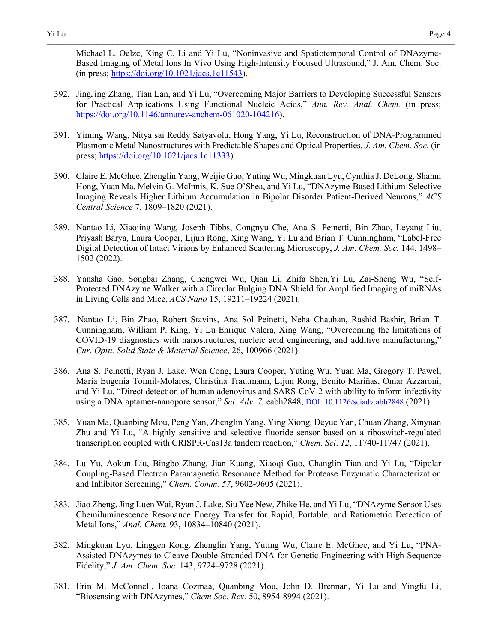Michael L. Oelze, King C. Li and Yi Lu, "Noninvasive and Spatiotemporal Control of DNAzyme-Based Imaging of Metal Ions In Vivo Using High-Intensity Focused Ultrasound," J. Am. Chem. Soc. (in press; [https://doi.org/10.1021/jacs.1c11543\)](https://doi.org/10.1021/jacs.1c11543).

- 392. JingJing Zhang, Tian Lan, and Yi Lu, "Overcoming Major Barriers to Developing Successful Sensors for Practical Applications Using Functional Nucleic Acids," *Ann. Rev. Anal. Chem.* (in press; [https://doi.org/10.1146/annurev-anchem-061020-104216\)](https://doi.org/10.1146/annurev-anchem-061020-104216).
- 391. Yiming Wang, Nitya sai Reddy Satyavolu, Hong Yang, Yi Lu, Reconstruction of DNA-Programmed Plasmonic Metal Nanostructures with Predictable Shapes and Optical Properties, *J. Am. Chem. Soc.* (in press; [https://doi.org/10.1021/jacs.1c11333\)](https://doi.org/10.1021/jacs.1c11333).
- 390. Claire E. McGhee, Zhenglin Yang, Weijie Guo, Yuting Wu, Mingkuan Lyu, Cynthia J. DeLong, Shanni Hong, Yuan Ma, Melvin G. McInnis, K. Sue O'Shea, and Yi Lu, "DNAzyme-Based Lithium-Selective Imaging Reveals Higher Lithium Accumulation in Bipolar Disorder Patient-Derived Neurons," *ACS Central Science* 7, 1809–1820 (2021).
- 389. Nantao Li, Xiaojing Wang, Joseph Tibbs, Congnyu Che, Ana S. Peinetti, Bin Zhao, Leyang Liu, Priyash Barya, Laura Cooper, Lijun Rong, Xing Wang, Yi Lu and Brian T. Cunningham, "Label-Free Digital Detection of Intact Virions by Enhanced Scattering Microscopy, *J. Am. Chem. Soc.* 144, 1498– 1502 (2022).
- 388. Yansha Gao, Songbai Zhang, Chengwei Wu, Qian Li, Zhifa Shen,Yi Lu, Zai-Sheng Wu, "Self-Protected DNAzyme Walker with a Circular Bulging DNA Shield for Amplified Imaging of miRNAs in Living Cells and Mice, *ACS Nano* 15, 19211–19224 (2021).
- 387. Nantao Li, Bin Zhao, Robert Stavins, Ana Sol Peinetti, Neha Chauhan, Rashid Bashir, Brian T. Cunningham, William P. King, Yi Lu Enrique Valera, Xing Wang, "Overcoming the limitations of COVID-19 diagnostics with nanostructures, nucleic acid engineering, and additive manufacturing," *Cur. Opin. Solid State & Material Science*, 26, 100966 (2021).
- 386. Ana S. Peinetti, Ryan J. Lake, Wen Cong, Laura Cooper, Yuting Wu, Yuan Ma, Gregory T. Pawel, María Eugenia Toimil-Molares, Christina Trautmann, Lijun Rong, Benito Mariñas, Omar Azzaroni, and Yi Lu, "Direct detection of human adenovirus and SARS-CoV-2 with ability to inform infectivity using a DNA aptamer-nanopore sensor," *Sci. Adv. 7,* eabh2848; [DOI: 10.1126/sciadv.abh2848](https://doi.org/10.1126/sciadv.abh2848) (2021).
- 385. Yuan Ma, Quanbing Mou, Peng Yan, Zhenglin Yang, Ying Xiong, Deyue Yan, Chuan Zhang, Xinyuan Zhu and Yi Lu, "A highly sensitive and selective fluoride sensor based on a riboswitch-regulated transcription coupled with CRISPR-Cas13a tandem reaction," *Chem. Sci*. *12*, 11740-11747 (2021).
- 384. Lu Yu, Aokun Liu, Bingbo Zhang, Jian Kuang, Xiaoqi Guo, Changlin Tian and Yi Lu, "Dipolar Coupling-Based Electron Paramagnetic Resonance Method for Protease Enzymatic Characterization and Inhibitor Screening," *Chem. Comm. 57*, 9602-9605 (2021).
- 383. Jiao Zheng, Jing Luen Wai, Ryan J. Lake, Siu Yee New, Zhike He, and Yi Lu, "DNAzyme Sensor Uses Chemiluminescence Resonance Energy Transfer for Rapid, Portable, and Ratiometric Detection of Metal Ions," *Anal. Chem.* 93, 10834–10840 (2021).
- 382. Mingkuan Lyu, Linggen Kong, Zhenglin Yang, Yuting Wu, Claire E. McGhee, and Yi Lu, "PNA-Assisted DNAzymes to Cleave Double-Stranded DNA for Genetic Engineering with High Sequence Fidelity," *J. Am. Chem. Soc.* 143, 9724–9728 (2021).
- 381. Erin M. McConnell, Ioana Cozmaa, Quanbing Mou, John D. Brennan, Yi Lu and Yingfu Li, "Biosensing with DNAzymes," *Chem Soc. Rev.* 50, 8954-8994 (2021).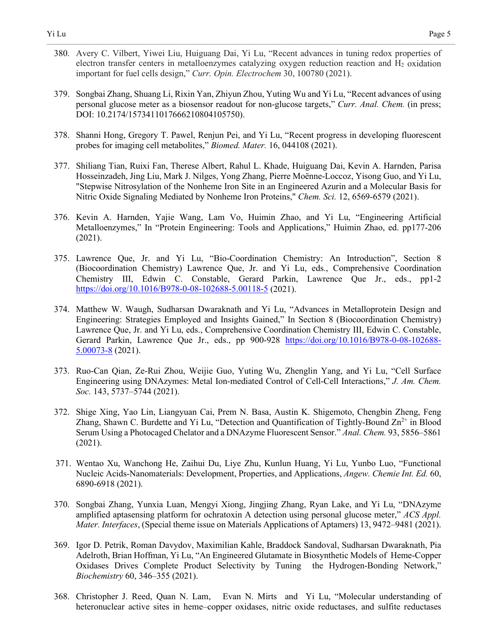- Yi Lu Page 5 380. Avery C. Vilbert, Yiwei Liu, Huiguang Dai, Yi Lu, "Recent advances in tuning redox properties of electron transfer centers in metalloenzymes catalyzing oxygen reduction reaction and  $H_2$  oxidation
	- 379. Songbai Zhang, Shuang Li, Rixin Yan, Zhiyun Zhou, Yuting Wu and Yi Lu, "Recent advances of using personal glucose meter as a biosensor readout for non-glucose targets," *Curr. Anal. Chem.* (in press; DOI: 10.2174/1573411017666210804105750).

important for fuel cells design," *Curr. Opin. Electrochem* 30, 100780 (2021).

- 378. Shanni Hong, Gregory T. Pawel, Renjun Pei, and Yi Lu, "Recent progress in developing fluorescent probes for imaging cell metabolites," *Biomed. Mater.* 16, 044108 (2021).
- 377. Shiliang Tian, Ruixi Fan, Therese Albert, Rahul L. Khade, Huiguang Dai, Kevin A. Harnden, Parisa Hosseinzadeh, Jing Liu, Mark J. Nilges, Yong Zhang, Pierre Moënne-Loccoz, Yisong Guo, and Yi Lu, "Stepwise Nitrosylation of the Nonheme Iron Site in an Engineered Azurin and a Molecular Basis for Nitric Oxide Signaling Mediated by Nonheme Iron Proteins," *Chem. Sci.* 12, 6569-6579 (2021).
- 376. Kevin A. Harnden, Yajie Wang, Lam Vo, Huimin Zhao, and Yi Lu, "Engineering Artificial Metalloenzymes," In "Protein Engineering: Tools and Applications," Huimin Zhao, ed. pp177-206 (2021).
- 375. Lawrence Que, Jr. and Yi Lu, "Bio-Coordination Chemistry: An Introduction", Section 8 (Biocoordination Chemistry) Lawrence Que, Jr. and Yi Lu, eds., Comprehensive Coordination Chemistry III, Edwin C. Constable, Gerard Parkin, Lawrence Que Jr., eds., pp1-2 <https://doi.org/10.1016/B978-0-08-102688-5.00118-5>(2021).
- 374. Matthew W. Waugh, Sudharsan Dwaraknath and Yi Lu, "Advances in Metalloprotein Design and Engineering: Strategies Employed and Insights Gained," In Section 8 (Biocoordination Chemistry) Lawrence Que, Jr. and Yi Lu, eds., Comprehensive Coordination Chemistry III, Edwin C. Constable, Gerard Parkin, Lawrence Que Jr., eds., pp 900-928 [https://doi.org/10.1016/B978-0-08-102688-](https://doi.org/10.1016/B978-0-08-102688-5.00073-8) [5.00073-8](https://doi.org/10.1016/B978-0-08-102688-5.00073-8) (2021).
- 373. Ruo-Can Qian, Ze-Rui Zhou, Weijie Guo, Yuting Wu, Zhenglin Yang, and Yi Lu, "Cell Surface Engineering using DNAzymes: Metal Ion-mediated Control of Cell-Cell Interactions," *J. Am. Chem. Soc.* 143, 5737–5744 (2021).
- 372. Shige Xing, Yao Lin, Liangyuan Cai, Prem N. Basa, Austin K. Shigemoto, Chengbin Zheng, Feng Zhang, Shawn C. Burdette and Yi Lu, "Detection and Quantification of Tightly-Bound  $Zn^{2+}$  in Blood Serum Using a Photocaged Chelator and a DNAzyme Fluorescent Sensor." *Anal. Chem.* 93, 5856–5861 (2021).
- 371. Wentao Xu, Wanchong He, Zaihui Du, Liye Zhu, Kunlun Huang, Yi Lu, Yunbo Luo, "Functional Nucleic Acids-Nanomaterials: Development, Properties, and Applications, *Angew. Chemie Int. Ed.* 60, 6890-6918 (2021).
- 370. Songbai Zhang, Yunxia Luan, Mengyi Xiong, Jingjing Zhang, Ryan Lake, and Yi Lu, "DNAzyme amplified aptasensing platform for ochratoxin A detection using personal glucose meter," *ACS Appl. Mater. Interfaces*, (Special theme issue on Materials Applications of Aptamers) 13, 9472–9481 (2021).
- 369. Igor D. Petrik, Roman Davydov, Maximilian Kahle, Braddock Sandoval, Sudharsan Dwaraknath, Pia Adelroth, Brian Hoffman, Yi Lu, "An Engineered Glutamate in Biosynthetic Models of Heme-Copper Oxidases Drives Complete Product Selectivity by Tuning the Hydrogen-Bonding Network," *Biochemistry* 60, 346–355 (2021).
- 368. Christopher J. Reed, Quan N. Lam, Evan N. Mirts and Yi Lu, "Molecular understanding of heteronuclear active sites in heme–copper oxidases, nitric oxide reductases, and sulfite reductases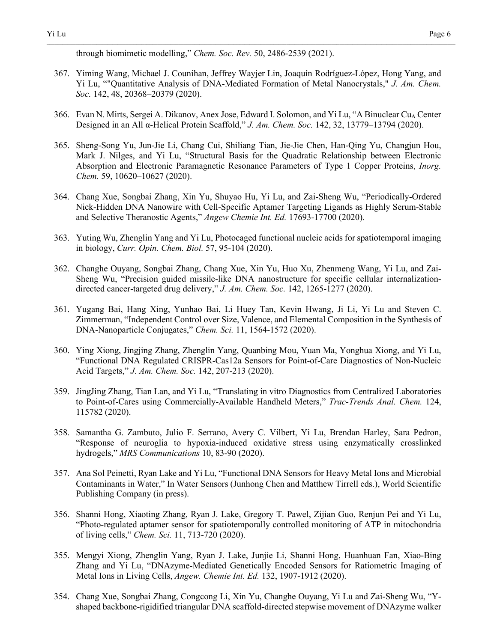367. Yiming Wang, Michael J. Counihan, Jeffrey Wayjer Lin, Joaquín Rodríguez-López, Hong Yang, and Yi Lu, ""Quantitative Analysis of DNA-Mediated Formation of Metal Nanocrystals," *J. Am. Chem. Soc.* 142, 48, 20368–20379 (2020).

- 366. Evan N. Mirts, Sergei A. Dikanov, Anex Jose, Edward I. Solomon, and Yi Lu, "A Binuclear Cu<sub>A</sub> Center Designed in an All α-Helical Protein Scaffold," *J. Am. Chem. Soc.* 142, 32, 13779–13794 (2020).
- 365. Sheng-Song Yu, Jun-Jie Li, Chang Cui, Shiliang Tian, Jie-Jie Chen, Han-Qing Yu, Changjun Hou, Mark J. Nilges, and Yi Lu, "Structural Basis for the Quadratic Relationship between Electronic Absorption and Electronic Paramagnetic Resonance Parameters of Type 1 Copper Proteins, *Inorg. Chem.* 59, 10620–10627 (2020).
- 364. Chang Xue, Songbai Zhang, Xin Yu, Shuyao Hu, Yi Lu, and Zai-Sheng Wu, "Periodically-Ordered Nick-Hidden DNA Nanowire with Cell-Specific Aptamer Targeting Ligands as Highly Serum-Stable and Selective Theranostic Agents," *Angew Chemie Int. Ed.* 17693-17700 (2020).
- 363. Yuting Wu, Zhenglin Yang and Yi Lu, Photocaged functional nucleic acids for spatiotemporal imaging in biology, *Curr. Opin. Chem. Biol.* 57, 95-104 (2020).
- 362. Changhe Ouyang, Songbai Zhang, Chang Xue, Xin Yu, Huo Xu, Zhenmeng Wang, Yi Lu, and Zai-Sheng Wu, "Precision guided missile-like DNA nanostructure for specific cellular internalizationdirected cancer-targeted drug delivery," *J. Am. Chem. Soc.* 142, 1265-1277 (2020).
- 361. Yugang Bai, Hang Xing, Yunhao Bai, Li Huey Tan, Kevin Hwang, Ji Li, Yi Lu and Steven C. Zimmerman, "Independent Control over Size, Valence, and Elemental Composition in the Synthesis of DNA-Nanoparticle Conjugates," *Chem. Sci.* 11, 1564-1572 (2020).
- 360. Ying Xiong, Jingjing Zhang, Zhenglin Yang, Quanbing Mou, Yuan Ma, Yonghua Xiong, and Yi Lu, "Functional DNA Regulated CRISPR-Cas12a Sensors for Point-of-Care Diagnostics of Non-Nucleic Acid Targets," *J. Am. Chem. Soc.* 142, 207-213 (2020).
- 359. JingJing Zhang, Tian Lan, and Yi Lu, "Translating in vitro Diagnostics from Centralized Laboratories to Point-of-Cares using Commercially-Available Handheld Meters," *Trac-Trends Anal. Chem.* 124, 115782 (2020).
- 358. Samantha G. Zambuto, Julio F. Serrano, Avery C. Vilbert, Yi Lu, Brendan Harley, Sara Pedron, "Response of neuroglia to hypoxia-induced oxidative stress using enzymatically crosslinked hydrogels," *MRS Communications* 10, 83-90 (2020).
- 357. Ana Sol Peinetti, Ryan Lake and Yi Lu, "Functional DNA Sensors for Heavy Metal Ions and Microbial Contaminants in Water," In Water Sensors (Junhong Chen and Matthew Tirrell eds.), World Scientific Publishing Company (in press).
- 356. Shanni Hong, Xiaoting Zhang, Ryan J. Lake, Gregory T. Pawel, Zijian Guo, Renjun Pei and Yi Lu, "Photo-regulated aptamer sensor for spatiotemporally controlled monitoring of ATP in mitochondria of living cells," *Chem. Sci.* 11, 713-720 (2020).
- 355. Mengyi Xiong, Zhenglin Yang, Ryan J. Lake, Junjie Li, Shanni Hong, Huanhuan Fan, Xiao-Bing Zhang and Yi Lu, "DNAzyme-Mediated Genetically Encoded Sensors for Ratiometric Imaging of Metal Ions in Living Cells, *Angew. Chemie Int. Ed.* 132, 1907-1912 (2020).
- 354. Chang Xue, Songbai Zhang, Congcong Li, Xin Yu, Changhe Ouyang, Yi Lu and Zai-Sheng Wu, "Yshaped backbone-rigidified triangular DNA scaffold-directed stepwise movement of DNAzyme walker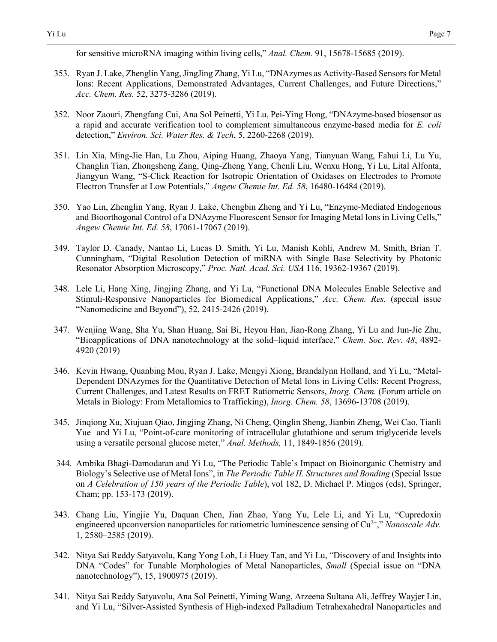for sensitive microRNA imaging within living cells," *Anal. Chem.* 91, 15678-15685 (2019).

353. Ryan J. Lake, Zhenglin Yang, JingJing Zhang, Yi Lu, "DNAzymes as Activity-Based Sensors for Metal Ions: Recent Applications, Demonstrated Advantages, Current Challenges, and Future Directions," *Acc. Chem. Res.* 52, 3275-3286 (2019).

- 352. Noor Zaouri, Zhengfang Cui, Ana Sol Peinetti, Yi Lu, Pei-Ying Hong, "DNAzyme-based biosensor as a rapid and accurate verification tool to complement simultaneous enzyme-based media for *E. coli* detection," *Environ. Sci. Water Res. & Tech*, 5, 2260-2268 (2019).
- 351. Lin Xia, Ming-Jie Han, Lu Zhou, Aiping Huang, Zhaoya Yang, Tianyuan Wang, Fahui Li, Lu Yu, Changlin Tian, Zhongsheng Zang, Qing-Zheng Yang, Chenli Liu, Wenxu Hong, Yi Lu, Lital Alfonta, Jiangyun Wang, "S-Click Reaction for Isotropic Orientation of Oxidases on Electrodes to Promote Electron Transfer at Low Potentials," *Angew Chemie Int. Ed. 58*, 16480-16484 (2019).
- 350. Yao Lin, Zhenglin Yang, Ryan J. Lake, Chengbin Zheng and Yi Lu, "Enzyme-Mediated Endogenous and Bioorthogonal Control of a DNAzyme Fluorescent Sensor for Imaging Metal Ions in Living Cells," *Angew Chemie Int. Ed. 58*, 17061-17067 (2019).
- 349. Taylor D. Canady, Nantao Li, Lucas D. Smith, Yi Lu, Manish Kohli, Andrew M. Smith, Brian T. Cunningham, "Digital Resolution Detection of miRNA with Single Base Selectivity by Photonic Resonator Absorption Microscopy," *Proc. Natl. Acad. Sci. USA* 116, 19362-19367 (2019).
- 348. Lele Li, Hang Xing, Jingjing Zhang, and Yi Lu, "Functional DNA Molecules Enable Selective and Stimuli-Responsive Nanoparticles for Biomedical Applications," *Acc. Chem. Res.* (special issue "Nanomedicine and Beyond"), 52, 2415-2426 (2019).
- 347. Wenjing Wang, Sha Yu, Shan Huang, Sai Bi, Heyou Han, Jian-Rong Zhang, Yi Lu and Jun-Jie Zhu, "Bioapplications of DNA nanotechnology at the solid–liquid interface," *Chem. Soc. Rev*. *48*, 4892- 4920 (2019)
- 346. Kevin Hwang, Quanbing Mou, Ryan J. Lake, Mengyi Xiong, Brandalynn Holland, and Yi Lu, "Metal-Dependent DNAzymes for the Quantitative Detection of Metal Ions in Living Cells: Recent Progress, Current Challenges, and Latest Results on FRET Ratiometric Sensors, *Inorg. Chem.* (Forum article on Metals in Biology: From Metallomics to Trafficking), *Inorg. Chem. 58*, 13696-13708 (2019).
- 345. Jinqiong Xu, Xiujuan Qiao, Jingjing Zhang, Ni Cheng, Qinglin Sheng, Jianbin Zheng, Wei Cao, Tianli Yue and Yi Lu, "Point-of-care monitoring of intracellular glutathione and serum triglyceride levels using a versatile personal glucose meter," *Anal. Methods,* 11, 1849-1856 (2019).
- 344. Ambika Bhagi-Damodaran and Yi Lu, "The Periodic Table's Impact on Bioinorganic Chemistry and Biology's Selective use of Metal Ions", in *The Periodic Table II. Structures and Bonding* (Special Issue on *A Celebration of 150 years of the Periodic Table*), vol 182, D. Michael P. Mingos (eds), Springer, Cham; pp. 153-173 (2019).
- 343. Chang Liu, Yingjie Yu, Daquan Chen, Jian Zhao, Yang Yu, Lele Li, and Yi Lu, "Cupredoxin engineered upconversion nanoparticles for ratiometric luminescence sensing of  $Cu<sup>2+</sup>,''$  *Nanoscale Adv.* 1, 2580–2585 (2019).
- 342. Nitya Sai Reddy Satyavolu, Kang Yong Loh, Li Huey Tan, and Yi Lu, "Discovery of and Insights into DNA "Codes" for Tunable Morphologies of Metal Nanoparticles, *Small* (Special issue on "DNA nanotechnology"), 15, 1900975 (2019).
- 341. Nitya Sai Reddy Satyavolu, Ana Sol Peinetti, Yiming Wang, Arzeena Sultana Ali, Jeffrey Wayjer Lin, and Yi Lu, "Silver-Assisted Synthesis of High-indexed Palladium Tetrahexahedral Nanoparticles and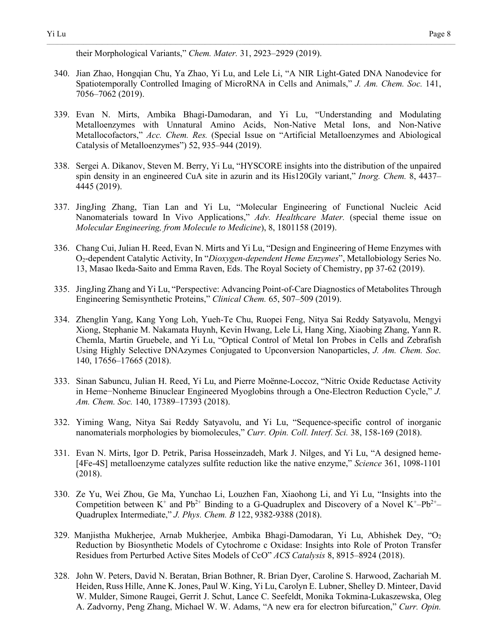340. Jian Zhao, Hongqian Chu, Ya Zhao, Yi Lu, and Lele Li, "A NIR Light-Gated DNA Nanodevice for Spatiotemporally Controlled Imaging of MicroRNA in Cells and Animals," *J. Am. Chem. Soc.* 141, 7056–7062 (2019).

- 339. Evan N. Mirts, Ambika Bhagi-Damodaran, and Yi Lu, "Understanding and Modulating Metalloenzymes with Unnatural Amino Acids, Non-Native Metal Ions, and Non-Native Metallocofactors," *Acc. Chem. Res.* (Special Issue on "Artificial Metalloenzymes and Abiological Catalysis of Metalloenzymes") 52, 935–944 (2019).
- 338. Sergei A. Dikanov, Steven M. Berry, Yi Lu, "HYSCORE insights into the distribution of the unpaired spin density in an engineered CuA site in azurin and its His120Gly variant," *Inorg. Chem.* 8, 4437– 4445 (2019).
- 337. JingJing Zhang, Tian Lan and Yi Lu, "Molecular Engineering of Functional Nucleic Acid Nanomaterials toward In Vivo Applications," *Adv. Healthcare Mater.* (special theme issue on *Molecular Engineering, from Molecule to Medicine*), 8, 1801158 (2019).
- 336. Chang Cui, Julian H. Reed, Evan N. Mirts and Yi Lu, "Design and Engineering of Heme Enzymes with O2-dependent Catalytic Activity, In "*Dioxygen-dependent Heme Enzymes*", Metallobiology Series No. 13, Masao Ikeda-Saito and Emma Raven, Eds. The Royal Society of Chemistry, pp 37-62 (2019).
- 335. JingJing Zhang and Yi Lu, "Perspective: Advancing Point-of-Care Diagnostics of Metabolites Through Engineering Semisynthetic Proteins," *Clinical Chem.* 65, 507–509 (2019).
- 334. Zhenglin Yang, Kang Yong Loh, Yueh-Te Chu, Ruopei Feng, Nitya Sai Reddy Satyavolu, Mengyi Xiong, Stephanie M. Nakamata Huynh, Kevin Hwang, Lele Li, Hang Xing, Xiaobing Zhang, Yann R. Chemla, Martin Gruebele, and Yi Lu, "Optical Control of Metal Ion Probes in Cells and Zebrafish Using Highly Selective DNAzymes Conjugated to Upconversion Nanoparticles, *J. Am. Chem. Soc.* 140, 17656–17665 (2018).
- 333. Sinan Sabuncu, Julian H. Reed, Yi Lu, and Pierre Moënne-Loccoz, "Nitric Oxide Reductase Activity in Heme−Nonheme Binuclear Engineered Myoglobins through a One-Electron Reduction Cycle," *J. Am. Chem. Soc.* 140, 17389–17393 (2018).
- 332. Yiming Wang, Nitya Sai Reddy Satyavolu, and Yi Lu, "Sequence-specific control of inorganic nanomaterials morphologies by biomolecules," *Curr. Opin. Coll. Interf. Sci.* 38, 158-169 (2018).
- 331. Evan N. Mirts, Igor D. Petrik, Parisa Hosseinzadeh, Mark J. Nilges, and Yi Lu, "A designed heme- [4Fe-4S] metalloenzyme catalyzes sulfite reduction like the native enzyme," *Science* 361, 1098-1101 (2018).
- 330. Ze Yu, Wei Zhou, Ge Ma, Yunchao Li, Louzhen Fan, Xiaohong Li, and Yi Lu, "Insights into the Competition between  $K^+$  and  $Pb^{2+}$  Binding to a G-Quadruplex and Discovery of a Novel  $K^+$ – $Pb^{2+}$ – Quadruplex Intermediate," *J. Phys. Chem. B* 122, 9382-9388 (2018).
- 329. Manjistha Mukherjee, Arnab Mukherjee, Ambika Bhagi-Damodaran, Yi Lu, Abhishek Dey, "O2 Reduction by Biosynthetic Models of Cytochrome c Oxidase: Insights into Role of Proton Transfer Residues from Perturbed Active Sites Models of CcO" *ACS Catalysis* 8, 8915–8924 (2018).
- 328. John W. Peters, David N. Beratan, Brian Bothner, R. Brian Dyer, Caroline S. Harwood, Zachariah M. Heiden, Russ Hille, Anne K. Jones, Paul W. King, Yi Lu, Carolyn E. Lubner, Shelley D. Minteer, David W. Mulder, Simone Raugei, Gerrit J. Schut, Lance C. Seefeldt, Monika Tokmina-Lukaszewska, Oleg A. Zadvorny, Peng Zhang, Michael W. W. Adams, "A new era for electron bifurcation," *Curr. Opin.*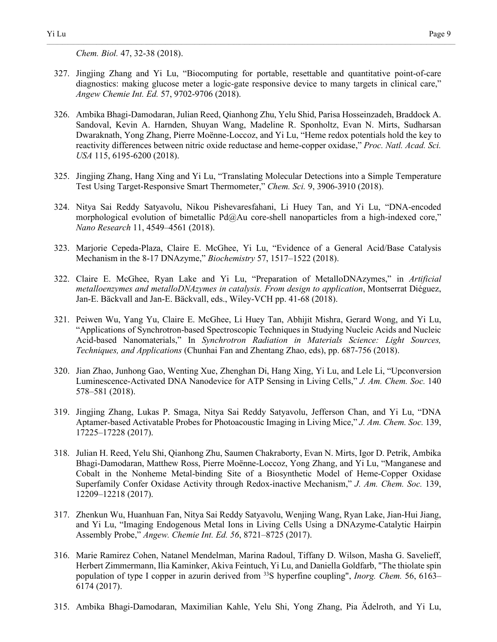*Chem. Biol.* 47, 32-38 (2018).

327. Jingjing Zhang and Yi Lu, "Biocomputing for portable, resettable and quantitative point-of-care diagnostics: making glucose meter a logic-gate responsive device to many targets in clinical care," *Angew Chemie Int. Ed.* 57, 9702-9706 (2018).

- 326. Ambika Bhagi-Damodaran, Julian Reed, Qianhong Zhu, Yelu Shid, Parisa Hosseinzadeh, Braddock A. Sandoval, Kevin A. Harnden, Shuyan Wang, Madeline R. Sponholtz, Evan N. Mirts, Sudharsan Dwaraknath, Yong Zhang, Pierre Moënne-Loccoz, and Yi Lu, "Heme redox potentials hold the key to reactivity differences between nitric oxide reductase and heme-copper oxidase," *Proc. Natl. Acad. Sci. USA* 115, 6195-6200 (2018).
- 325. Jingjing Zhang, Hang Xing and Yi Lu, "Translating Molecular Detections into a Simple Temperature Test Using Target-Responsive Smart Thermometer," *Chem. Sci.* 9, 3906-3910 (2018).
- 324. Nitya Sai Reddy Satyavolu, Nikou Pishevaresfahani, Li Huey Tan, and Yi Lu, "DNA-encoded morphological evolution of bimetallic Pd@Au core-shell nanoparticles from a high-indexed core," *Nano Research* 11, 4549–4561 (2018).
- 323. Marjorie Cepeda-Plaza, Claire E. McGhee, Yi Lu, "Evidence of a General Acid/Base Catalysis Mechanism in the 8-17 DNAzyme," *Biochemistry* 57, 1517–1522 (2018).
- 322. Claire E. McGhee, Ryan Lake and Yi Lu, "Preparation of MetalloDNAzymes," in *Artificial metalloenzymes and metalloDNAzymes in catalysis. From design to application*, Montserrat Diéguez, Jan-E. Bäckvall and Jan-E. Bäckvall, eds., Wiley-VCH pp. 41-68 (2018).
- 321. Peiwen Wu, Yang Yu, Claire E. McGhee, Li Huey Tan, Abhijit Mishra, Gerard Wong, and Yi Lu, "Applications of Synchrotron-based Spectroscopic Techniques in Studying Nucleic Acids and Nucleic Acid-based Nanomaterials," In *Synchrotron Radiation in Materials Science: Light Sources, Techniques, and Applications* (Chunhai Fan and Zhentang Zhao, eds), pp. 687-756 (2018).
- 320. Jian Zhao, Junhong Gao, Wenting Xue, Zhenghan Di, Hang Xing, Yi Lu, and Lele Li, "Upconversion Luminescence-Activated DNA Nanodevice for ATP Sensing in Living Cells," *J. Am. Chem. Soc.* 140 578–581 (2018).
- 319. Jingjing Zhang, Lukas P. Smaga, Nitya Sai Reddy Satyavolu, Jefferson Chan, and Yi Lu, "DNA Aptamer-based Activatable Probes for Photoacoustic Imaging in Living Mice," *J. Am. Chem. Soc.* 139, 17225–17228 (2017).
- 318. Julian H. Reed, Yelu Shi, Qianhong Zhu, Saumen Chakraborty, Evan N. Mirts, Igor D. Petrik, Ambika Bhagi-Damodaran, Matthew Ross, Pierre Moënne-Loccoz, Yong Zhang, and Yi Lu, "Manganese and Cobalt in the Nonheme Metal-binding Site of a Biosynthetic Model of Heme-Copper Oxidase Superfamily Confer Oxidase Activity through Redox-inactive Mechanism," *J. Am. Chem. Soc.* 139, 12209–12218 (2017).
- 317. Zhenkun Wu, Huanhuan Fan, Nitya Sai Reddy Satyavolu, Wenjing Wang, Ryan Lake, Jian-Hui Jiang, and Yi Lu, "Imaging Endogenous Metal Ions in Living Cells Using a DNAzyme-Catalytic Hairpin Assembly Probe," *Angew. Chemie Int. Ed. 56*, 8721–8725 (2017).
- 316. Marie Ramirez Cohen, Natanel Mendelman, Marina Radoul, Tiffany D. Wilson, Masha G. Savelieff, Herbert Zimmermann, Ilia Kaminker, Akiva Feintuch, Yi Lu, and Daniella Goldfarb, "The thiolate spin population of type I copper in azurin derived from 33S hyperfine coupling", *Inorg. Chem.* 56, 6163– 6174 (2017).
- 315. Ambika Bhagi-Damodaran, Maximilian Kahle, Yelu Shi, Yong Zhang, Pia Ӓdelroth, and Yi Lu,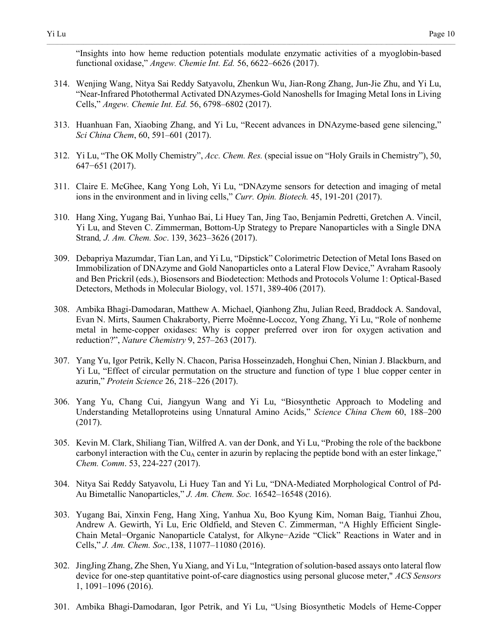"Insights into how heme reduction potentials modulate enzymatic activities of a myoglobin-based functional oxidase," *Angew. Chemie Int. Ed.* 56, 6622–6626 (2017).

- 314. Wenjing Wang, Nitya Sai Reddy Satyavolu, Zhenkun Wu, Jian-Rong Zhang, Jun-Jie Zhu, and Yi Lu, "Near-Infrared Photothermal Activated DNAzymes-Gold Nanoshells for Imaging Metal Ions in Living Cells," *Angew. Chemie Int. Ed.* 56, 6798–6802 (2017).
- 313. Huanhuan Fan, Xiaobing Zhang, and Yi Lu, "Recent advances in DNAzyme-based gene silencing," *Sci China Chem*, 60, 591–601 (2017).
- 312. Yi Lu, "The OK Molly Chemistry", *Acc. Chem. Res.* (special issue on "Holy Grails in Chemistry"), 50, 647−651 (2017).
- 311. Claire E. McGhee, Kang Yong Loh, Yi Lu, "DNAzyme sensors for detection and imaging of metal ions in the environment and in living cells," *Curr. Opin. Biotech.* 45, 191-201 (2017).
- 310. Hang Xing, Yugang Bai, Yunhao Bai, Li Huey Tan, Jing Tao, Benjamin Pedretti, Gretchen A. Vincil, Yi Lu, and Steven C. Zimmerman, Bottom-Up Strategy to Prepare Nanoparticles with a Single DNA Strand*, J. Am. Chem. Soc*. 139, 3623–3626 (2017).
- 309. Debapriya Mazumdar, Tian Lan, and Yi Lu, "Dipstick" Colorimetric Detection of Metal Ions Based on Immobilization of DNAzyme and Gold Nanoparticles onto a Lateral Flow Device," Avraham Rasooly and Ben Prickril (eds.), Biosensors and Biodetection: Methods and Protocols Volume 1: Optical-Based Detectors, Methods in Molecular Biology, vol. 1571, 389-406 (2017).
- 308. Ambika Bhagi-Damodaran, Matthew A. Michael, Qianhong Zhu, Julian Reed, Braddock A. Sandoval, Evan N. Mirts, Saumen Chakraborty, Pierre Moënne-Loccoz, Yong Zhang, Yi Lu, "Role of nonheme metal in heme-copper oxidases: Why is copper preferred over iron for oxygen activation and reduction?", *Nature Chemistry* 9, 257–263 (2017).
- 307. Yang Yu, Igor Petrik, Kelly N. Chacon, Parisa Hosseinzadeh, Honghui Chen, Ninian J. Blackburn, and Yi Lu, "Effect of circular permutation on the structure and function of type 1 blue copper center in azurin," *Protein Science* 26, 218–226 (2017).
- 306. Yang Yu, Chang Cui, Jiangyun Wang and Yi Lu, "Biosynthetic Approach to Modeling and Understanding Metalloproteins using Unnatural Amino Acids," *Science China Chem* 60, 188–200 (2017).
- 305. Kevin M. Clark, Shiliang Tian, Wilfred A. van der Donk, and Yi Lu, "Probing the role of the backbone carbonyl interaction with the  $Cu<sub>A</sub>$  center in azurin by replacing the peptide bond with an ester linkage," *Chem. Comm*. 53, 224-227 (2017).
- 304. Nitya Sai Reddy Satyavolu, Li Huey Tan and Yi Lu, "DNA-Mediated Morphological Control of Pd-Au Bimetallic Nanoparticles," *J. Am. Chem. Soc.* 16542–16548 (2016).
- 303. Yugang Bai, Xinxin Feng, Hang Xing, Yanhua Xu, Boo Kyung Kim, Noman Baig, Tianhui Zhou, Andrew A. Gewirth, Yi Lu, Eric Oldfield, and Steven C. Zimmerman, "A Highly Efficient Single-Chain Metal−Organic Nanoparticle Catalyst, for Alkyne−Azide "Click" Reactions in Water and in Cells," *J. Am. Chem. Soc.,*138, 11077–11080 (2016).
- 302. JingJing Zhang, Zhe Shen, Yu Xiang, and Yi Lu, "Integration of solution-based assays onto lateral flow device for one-step quantitative point-of-care diagnostics using personal glucose meter," *ACS Sensors* 1, 1091–1096 (2016).
- 301. Ambika Bhagi-Damodaran, Igor Petrik, and Yi Lu, "Using Biosynthetic Models of Heme-Copper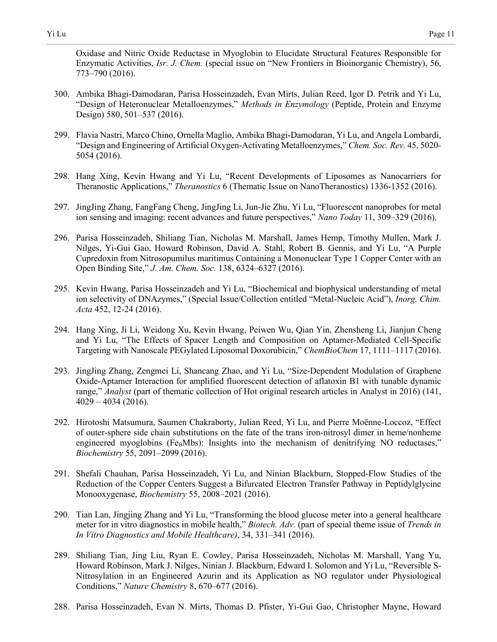Oxidase and Nitric Oxide Reductase in Myoglobin to Elucidate Structural Features Responsible for Enzymatic Activities, *Isr. J. Chem.* (special issue on "New Frontiers in Bioinorganic Chemistry), 56, 773–790 (2016).

- 300. Ambika Bhagi-Damodaran, Parisa Hosseinzadeh, Evan Mirts, Julian Reed, Igor D. Petrik and Yi Lu, "Design of Heteronuclear Metalloenzymes," *Methods in Enzymology* (Peptide, Protein and Enzyme Design) 580, 501–537 (2016).
- 299. Flavia Nastri, Marco Chino, Ornella Maglio, Ambika Bhagi-Damodaran, Yi Lu, and Angela Lombardi, "Design and Engineering of Artificial Oxygen-Activating Metalloenzymes," *Chem. Soc. Rev.* 45, 5020- 5054 (2016).
- 298. Hang Xing, Kevin Hwang and Yi Lu, "Recent Developments of Liposomes as Nanocarriers for Theranostic Applications," *Theranostics* 6 (Thematic Issue on NanoTheranostics) 1336-1352 (2016).
- 297. JingJing Zhang, FangFang Cheng, JingJing Li, Jun-Jie Zhu, Yi Lu, "Fluorescent nanoprobes for metal ion sensing and imaging: recent advances and future perspectives," *Nano Today* 11, 309–329 (2016).
- 296. Parisa Hosseinzadeh, Shiliang Tian, Nicholas M. Marshall, James Hemp, Timothy Mullen, Mark J. Nilges, Yi-Gui Gao, Howard Robinson, David A. Stahl, Robert B. Gennis, and Yi Lu, "A Purple Cupredoxin from Nitrosopumilus maritimus Containing a Mononuclear Type 1 Copper Center with an Open Binding Site," *J. Am. Chem. Soc.* 138, 6324–6327 (2016).
- 295. Kevin Hwang, Parisa Hosseinzadeh and Yi Lu, "Biochemical and biophysical understanding of metal ion selectivity of DNAzymes," (Special Issue/Collection entitled "Metal-Nucleic Acid"), *Inorg. Chim. Acta* 452, 12-24 (2016).
- 294. Hang Xing, Ji Li, Weidong Xu, Kevin Hwang, Peiwen Wu, Qian Yin, Zhensheng Li, Jianjun Cheng and Yi Lu, "The Effects of Spacer Length and Composition on Aptamer-Mediated Cell-Specific Targeting with Nanoscale PEGylated Liposomal Doxorubicin," *ChemBioChem* 17, 1111–1117 (2016).
- 293. JingJing Zhang, Zengmei Li, Shancang Zhao, and Yi Lu, "Size-Dependent Modulation of Graphene Oxide-Aptamer Interaction for amplified fluorescent detection of aflatoxin B1 with tunable dynamic range," *Analyst* (part of thematic collection of Hot original research articles in Analyst in 2016) (141,  $4029 - 4034(2016)$ .
- 292. Hirotoshi Matsumura, Saumen Chakraborty, Julian Reed, Yi Lu, and Pierre Moënne-Loccoz, "Effect of outer-sphere side chain substitutions on the fate of the trans iron-nitrosyl dimer in heme/nonheme engineered myoglobins (Fe $<sub>B</sub>Mbs$ ): Insights into the mechanism of denitrifying NO reductases,"</sub> *Biochemistry* 55, 2091–2099 (2016).
- 291. Shefali Chauhan, Parisa Hosseinzadeh, Yi Lu, and Ninian Blackburn, Stopped-Flow Studies of the Reduction of the Copper Centers Suggest a Bifurcated Electron Transfer Pathway in Peptidylglycine Monooxygenase, *Biochemistry* 55, 2008–2021 (2016).
- 290. Tian Lan, Jingjing Zhang and Yi Lu, "Transforming the blood glucose meter into a general healthcare meter for in vitro diagnostics in mobile health," *Biotech. Adv.* (part of special theme issue of *Trends in In Vitro Diagnostics and Mobile Healthcare)*, 34, 331–341 (2016).
- 289. Shiliang Tian, Jing Liu, Ryan E. Cowley, Parisa Hosseinzadeh, Nicholas M. Marshall, Yang Yu, Howard Robinson, Mark J. Nilges, Ninian J. Blackburn, Edward I. Solomon and Yi Lu, "Reversible S-Nitrosylation in an Engineered Azurin and its Application as NO regulator under Physiological Conditions," *Nature Chemistry* 8, 670–677 (2016).
- 288. Parisa Hosseinzadeh, Evan N. Mirts, Thomas D. Pfister, Yi-Gui Gao, Christopher Mayne, Howard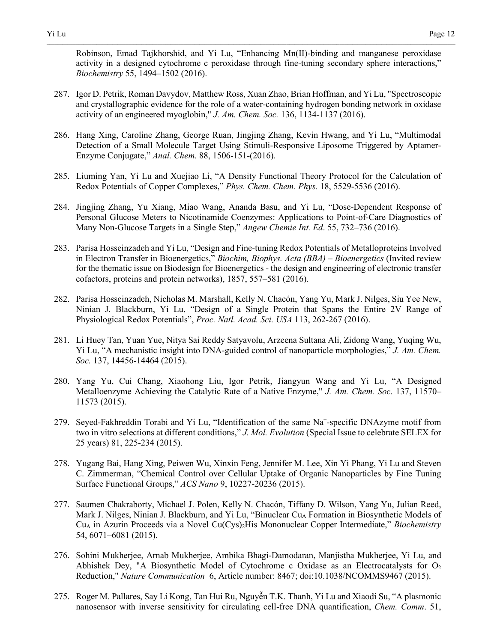Robinson, Emad Tajkhorshid, and Yi Lu, "Enhancing Mn(II)-binding and manganese peroxidase activity in a designed cytochrome c peroxidase through fine-tuning secondary sphere interactions," *Biochemistry* 55, 1494–1502 (2016).

- 287. Igor D. Petrik, Roman Davydov, Matthew Ross, Xuan Zhao, Brian Hoffman, and Yi Lu, "Spectroscopic and crystallographic evidence for the role of a water-containing hydrogen bonding network in oxidase activity of an engineered myoglobin," *J. Am. Chem. Soc.* 136, 1134-1137 (2016).
- 286. Hang Xing, Caroline Zhang, George Ruan, Jingjing Zhang, Kevin Hwang, and Yi Lu, "Multimodal Detection of a Small Molecule Target Using Stimuli-Responsive Liposome Triggered by Aptamer-Enzyme Conjugate," *Anal. Chem.* 88, 1506-151-(2016).
- 285. Liuming Yan, Yi Lu and Xuejiao Li, "A Density Functional Theory Protocol for the Calculation of Redox Potentials of Copper Complexes," *Phys. Chem. Chem. Phys.* 18, 5529-5536 (2016).
- 284. Jingjing Zhang, Yu Xiang, Miao Wang, Ananda Basu, and Yi Lu, "Dose-Dependent Response of Personal Glucose Meters to Nicotinamide Coenzymes: Applications to Point-of-Care Diagnostics of Many Non-Glucose Targets in a Single Step," *Angew Chemie Int. Ed*. 55, 732–736 (2016).
- 283. Parisa Hosseinzadeh and Yi Lu, "Design and Fine-tuning Redox Potentials of Metalloproteins Involved in Electron Transfer in Bioenergetics," *Biochim, Biophys. Acta (BBA) – Bioenergetics* (Invited review for the thematic issue on Biodesign for Bioenergetics - the design and engineering of electronic transfer cofactors, proteins and protein networks), 1857, 557–581 (2016).
- 282. Parisa Hosseinzadeh, Nicholas M. Marshall, Kelly N. Chacón, Yang Yu, Mark J. Nilges, Siu Yee New, Ninian J. Blackburn, Yi Lu, "Design of a Single Protein that Spans the Entire 2V Range of Physiological Redox Potentials", *Proc. Natl. Acad. Sci. USA* 113, 262-267 (2016).
- 281. Li Huey Tan, Yuan Yue, Nitya Sai Reddy Satyavolu, Arzeena Sultana Ali, Zidong Wang, Yuqing Wu, Yi Lu, "A mechanistic insight into DNA-guided control of nanoparticle morphologies," *J. Am. Chem. Soc.* 137, 14456-14464 (2015).
- 280. Yang Yu, Cui Chang, Xiaohong Liu, Igor Petrik, Jiangyun Wang and Yi Lu, "A Designed Metalloenzyme Achieving the Catalytic Rate of a Native Enzyme," *J. Am. Chem. Soc.* 137, 11570– 11573 (2015).
- 279. Seyed-Fakhreddin Torabi and Yi Lu, "Identification of the same Na<sup>+</sup>-specific DNAzyme motif from two in vitro selections at different conditions," *J. Mol. Evolution* (Special Issue to celebrate SELEX for 25 years) 81, 225-234 (2015).
- 278. Yugang Bai, Hang Xing, Peiwen Wu, Xinxin Feng, Jennifer M. Lee, Xin Yi Phang, Yi Lu and Steven C. Zimmerman, "Chemical Control over Cellular Uptake of Organic Nanoparticles by Fine Tuning Surface Functional Groups," *ACS Nano* 9, 10227-20236 (2015).
- 277. Saumen Chakraborty, Michael J. Polen, Kelly N. Chacón, Tiffany D. Wilson, Yang Yu, Julian Reed, Mark J. Nilges, Ninian J. Blackburn, and Yi Lu, "Binuclear Cu<sub>A</sub> Formation in Biosynthetic Models of CuA in Azurin Proceeds via a Novel Cu(Cys)2His Mononuclear Copper Intermediate," *Biochemistry* 54, 6071–6081 (2015).
- 276. Sohini Mukherjee, Arnab Mukherjee, Ambika Bhagi-Damodaran, Manjistha Mukherjee, Yi Lu, and Abhishek Dey, "A Biosynthetic Model of Cytochrome c Oxidase as an Electrocatalysts for  $O<sub>2</sub>$ Reduction," *Nature Communication* 6, Article number: 8467; doi:10.1038/NCOMMS9467 (2015).
- 275. Roger M. Pallares, Say Li Kong, Tan Hui Ru, Nguyễn T.K. Thanh, Yi Lu and Xiaodi Su, "A plasmonic nanosensor with inverse sensitivity for circulating cell-free DNA quantification, *Chem. Comm*. 51,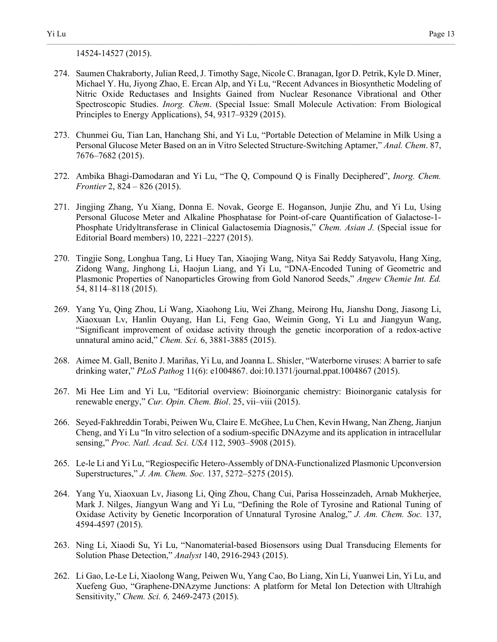14524-14527 (2015).

274. Saumen Chakraborty, Julian Reed, J. Timothy Sage, Nicole C. Branagan, Igor D. Petrik, Kyle D. Miner, Michael Y. Hu, Jiyong Zhao, E. Ercan Alp, and Yi Lu, "Recent Advances in Biosynthetic Modeling of Nitric Oxide Reductases and Insights Gained from Nuclear Resonance Vibrational and Other Spectroscopic Studies. *Inorg. Chem*. (Special Issue: Small Molecule Activation: From Biological Principles to Energy Applications), 54, 9317–9329 (2015).

- 273. Chunmei Gu, Tian Lan, Hanchang Shi, and Yi Lu, "Portable Detection of Melamine in Milk Using a Personal Glucose Meter Based on an in Vitro Selected Structure-Switching Aptamer," *Anal. Chem*. 87, 7676–7682 (2015).
- 272. Ambika Bhagi-Damodaran and Yi Lu, "The Q, Compound Q is Finally Deciphered", *Inorg. Chem. Frontier* 2, 824 – 826 (2015).
- 271. Jingjing Zhang, Yu Xiang, Donna E. Novak, George E. Hoganson, Junjie Zhu, and Yi Lu, Using Personal Glucose Meter and Alkaline Phosphatase for Point-of-care Quantification of Galactose-1- Phosphate Uridyltransferase in Clinical Galactosemia Diagnosis," *Chem. Asian J.* (Special issue for Editorial Board members) 10, 2221–2227 (2015).
- 270. Tingjie Song, Longhua Tang, Li Huey Tan, Xiaojing Wang, Nitya Sai Reddy Satyavolu, Hang Xing, Zidong Wang, Jinghong Li, Haojun Liang, and Yi Lu, "DNA-Encoded Tuning of Geometric and Plasmonic Properties of Nanoparticles Growing from Gold Nanorod Seeds," *Angew Chemie Int. Ed.* 54, 8114–8118 (2015).
- 269. Yang Yu, Qing Zhou, Li Wang, Xiaohong Liu, Wei Zhang, Meirong Hu, Jianshu Dong, Jiasong Li, Xiaoxuan Lv, Hanlin Ouyang, Han Li, Feng Gao, Weimin Gong, Yi Lu and Jiangyun Wang, "Significant improvement of oxidase activity through the genetic incorporation of a redox-active unnatural amino acid," *Chem. Sci.* 6, 3881-3885 (2015).
- 268. Aimee M. Gall, Benito J. Mariñas, Yi Lu, and Joanna L. Shisler, "Waterborne viruses: A barrier to safe drinking water," *PLoS Pathog* 11(6): e1004867. doi:10.1371/journal.ppat.1004867 (2015).
- 267. Mi Hee Lim and Yi Lu, "Editorial overview: Bioinorganic chemistry: Bioinorganic catalysis for renewable energy," *Cur. Opin. Chem. Biol*. 25, vii–viii (2015).
- 266. Seyed-Fakhreddin Torabi, Peiwen Wu, Claire E. McGhee, Lu Chen, Kevin Hwang, Nan Zheng, Jianjun Cheng, and Yi Lu "In vitro selection of a sodium-specific DNAzyme and its application in intracellular sensing," *Proc. Natl. Acad. Sci. USA* 112, 5903–5908 (2015).
- 265. Le-le Li and Yi Lu, "Regiospecific Hetero-Assembly of DNA-Functionalized Plasmonic Upconversion Superstructures," *J. Am. Chem. Soc.* 137, 5272–5275 (2015).
- 264. Yang Yu, Xiaoxuan Lv, Jiasong Li, Qing Zhou, Chang Cui, Parisa Hosseinzadeh, Arnab Mukherjee, Mark J. Nilges, Jiangyun Wang and Yi Lu, "Defining the Role of Tyrosine and Rational Tuning of Oxidase Activity by Genetic Incorporation of Unnatural Tyrosine Analog," *J. Am. Chem. Soc.* 137, 4594-4597 (2015).
- 263. Ning Li, Xiaodi Su, Yi Lu, "Nanomaterial-based Biosensors using Dual Transducing Elements for Solution Phase Detection," *Analyst* 140, 2916-2943 (2015).
- 262. Li Gao, Le-Le Li, Xiaolong Wang, Peiwen Wu, Yang Cao, Bo Liang, Xin Li, Yuanwei Lin, Yi Lu, and Xuefeng Guo, "Graphene-DNAzyme Junctions: A platform for Metal Ion Detection with Ultrahigh Sensitivity," *Chem. Sci. 6,* 2469-2473 (2015).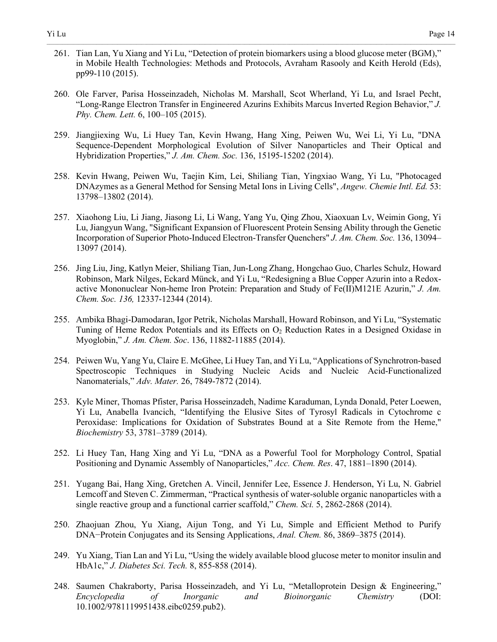- 260. Ole Farver, Parisa Hosseinzadeh, Nicholas M. Marshall, Scot Wherland, Yi Lu, and Israel Pecht, "Long-Range Electron Transfer in Engineered Azurins Exhibits Marcus Inverted Region Behavior," *J. Phy. Chem. Lett.* 6, 100–105 (2015).
- 259. Jiangjiexing Wu, Li Huey Tan, Kevin Hwang, Hang Xing, Peiwen Wu, Wei Li, Yi Lu, "DNA Sequence-Dependent Morphological Evolution of Silver Nanoparticles and Their Optical and Hybridization Properties," *J. Am. Chem. Soc.* 136, 15195-15202 (2014).
- 258. Kevin Hwang, Peiwen Wu, Taejin Kim, Lei, Shiliang Tian, Yingxiao Wang, Yi Lu, "Photocaged DNAzymes as a General Method for Sensing Metal Ions in Living Cells", *Angew. Chemie Intl. Ed.* 53: 13798–13802 (2014).
- 257. Xiaohong Liu, Li Jiang, Jiasong Li, Li Wang, Yang Yu, Qing Zhou, Xiaoxuan Lv, Weimin Gong, Yi Lu, Jiangyun Wang, "Significant Expansion of Fluorescent Protein Sensing Ability through the Genetic Incorporation of Superior Photo-Induced Electron-Transfer Quenchers" *J. Am. Chem. Soc.* 136, 13094– 13097 (2014).
- 256. Jing Liu, Jing, Katlyn Meier, Shiliang Tian, Jun-Long Zhang, Hongchao Guo, Charles Schulz, Howard Robinson, Mark Nilges, Eckard Münck, and Yi Lu, "Redesigning a Blue Copper Azurin into a Redoxactive Mononuclear Non-heme Iron Protein: Preparation and Study of Fe(II)M121E Azurin," *J. Am. Chem. Soc. 136,* 12337-12344 (2014).
- 255. Ambika Bhagi-Damodaran, Igor Petrik, Nicholas Marshall, Howard Robinson, and Yi Lu, "Systematic Tuning of Heme Redox Potentials and its Effects on  $O<sub>2</sub>$  Reduction Rates in a Designed Oxidase in Myoglobin," *J. Am. Chem. Soc*. 136, 11882-11885 (2014).
- 254. Peiwen Wu, Yang Yu, Claire E. McGhee, Li Huey Tan, and Yi Lu, "Applications of Synchrotron-based Spectroscopic Techniques in Studying Nucleic Acids and Nucleic Acid-Functionalized Nanomaterials," *Adv. Mater.* 26, 7849-7872 (2014).
- 253. Kyle Miner, Thomas Pfister, Parisa Hosseinzadeh, Nadime Karaduman, Lynda Donald, Peter Loewen, Yi Lu, Anabella Ivancich, "Identifying the Elusive Sites of Tyrosyl Radicals in Cytochrome c Peroxidase: Implications for Oxidation of Substrates Bound at a Site Remote from the Heme," *Biochemistry* 53, 3781–3789 (2014).
- 252. Li Huey Tan, Hang Xing and Yi Lu, "DNA as a Powerful Tool for Morphology Control, Spatial Positioning and Dynamic Assembly of Nanoparticles," *Acc. Chem. Res*. 47, 1881–1890 (2014).
- 251. Yugang Bai, Hang Xing, Gretchen A. Vincil, Jennifer Lee, Essence J. Henderson, Yi Lu, N. Gabriel Lemcoff and Steven C. Zimmerman, "Practical synthesis of water-soluble organic nanoparticles with a single reactive group and a functional carrier scaffold," *Chem. Sci.* 5, 2862-2868 (2014).
- 250. Zhaojuan Zhou, Yu Xiang, Aijun Tong, and Yi Lu, Simple and Efficient Method to Purify DNA−Protein Conjugates and its Sensing Applications, *Anal. Chem.* 86, 3869–3875 (2014).
- 249. Yu Xiang, Tian Lan and Yi Lu, "Using the widely available blood glucose meter to monitor insulin and HbA1c," *J. Diabetes Sci. Tech.* 8, 855-858 (2014).
- 248. Saumen Chakraborty, Parisa Hosseinzadeh, and Yi Lu, "Metalloprotein Design & Engineering," *Encyclopedia of Inorganic and Bioinorganic Chemistry* (DOI: 10.1002/9781119951438.eibc0259.pub2).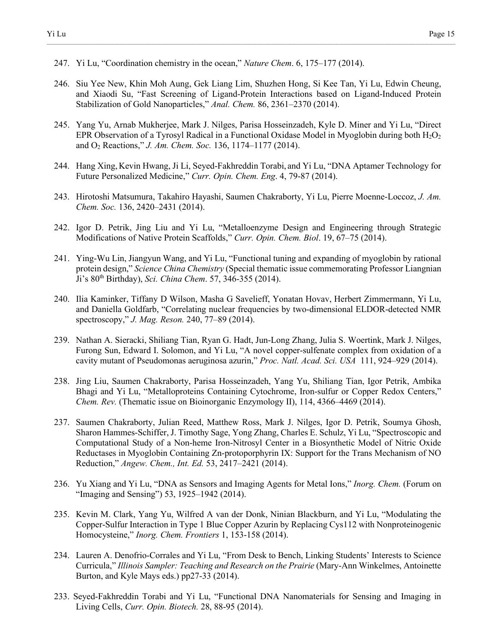- 247. Yi Lu, "Coordination chemistry in the ocean," *Nature Chem*. 6, 175–177 (2014).
- 246. Siu Yee New, Khin Moh Aung, Gek Liang Lim, Shuzhen Hong, Si Kee Tan, Yi Lu, Edwin Cheung, and Xiaodi Su, "Fast Screening of Ligand-Protein Interactions based on Ligand-Induced Protein Stabilization of Gold Nanoparticles," *Anal. Chem.* 86, 2361–2370 (2014).

- 245. Yang Yu, Arnab Mukherjee, Mark J. Nilges, Parisa Hosseinzadeh, Kyle D. Miner and Yi Lu, "Direct EPR Observation of a Tyrosyl Radical in a Functional Oxidase Model in Myoglobin during both  $H_2O_2$ and O2 Reactions," *J. Am. Chem. Soc.* 136, 1174–1177 (2014).
- 244. Hang Xing,Kevin Hwang, Ji Li, Seyed-Fakhreddin Torabi, and Yi Lu, "DNA Aptamer Technology for Future Personalized Medicine," *Curr. Opin. Chem. Eng*. 4, 79-87 (2014).
- 243. Hirotoshi Matsumura, Takahiro Hayashi, Saumen Chakraborty, Yi Lu, Pierre Moenne-Loccoz, *J. Am. Chem. Soc.* 136, 2420–2431 (2014).
- 242. Igor D. Petrik, Jing Liu and Yi Lu, "Metalloenzyme Design and Engineering through Strategic Modifications of Native Protein Scaffolds," *Curr. Opin. Chem. Biol*. 19, 67–75 (2014).
- 241. Ying-Wu Lin, Jiangyun Wang, and Yi Lu, "Functional tuning and expanding of myoglobin by rational protein design," *Science China Chemistry* (Special thematic issue commemorating Professor Liangnian Ji's 80th Birthday), *Sci. China Chem*. 57, 346-355 (2014).
- 240. Ilia Kaminker, Tiffany D Wilson, Masha G Savelieff, Yonatan Hovav, Herbert Zimmermann, Yi Lu, and Daniella Goldfarb, "Correlating nuclear frequencies by two-dimensional ELDOR-detected NMR spectroscopy," *J. Mag. Reson.* 240, 77–89 (2014).
- 239. Nathan A. Sieracki, Shiliang Tian, Ryan G. Hadt, Jun-Long Zhang, Julia S. Woertink, Mark J. Nilges, Furong Sun, Edward I. Solomon, and Yi Lu, "A novel copper-sulfenate complex from oxidation of a cavity mutant of Pseudomonas aeruginosa azurin," *Proc. Natl. Acad. Sci. USA* 111, 924–929 (2014).
- 238. Jing Liu, Saumen Chakraborty, Parisa Hosseinzadeh, Yang Yu, Shiliang Tian, Igor Petrik, Ambika Bhagi and Yi Lu, "Metalloproteins Containing Cytochrome, Iron-sulfur or Copper Redox Centers," *Chem. Rev.* (Thematic issue on Bioinorganic Enzymology II), 114, 4366–4469 (2014).
- 237. Saumen Chakraborty, Julian Reed, Matthew Ross, Mark J. Nilges, Igor D. Petrik, Soumya Ghosh, Sharon Hammes-Schiffer, J. Timothy Sage, Yong Zhang, Charles E. Schulz, Yi Lu, "Spectroscopic and Computational Study of a Non-heme Iron-Nitrosyl Center in a Biosynthetic Model of Nitric Oxide Reductases in Myoglobin Containing Zn-protoporphyrin IX: Support for the Trans Mechanism of NO Reduction," *Angew. Chem., Int. Ed.* 53, 2417–2421 (2014).
- 236. Yu Xiang and Yi Lu, "DNA as Sensors and Imaging Agents for Metal Ions," *Inorg. Chem.* (Forum on "Imaging and Sensing") 53, 1925–1942 (2014).
- 235. Kevin M. Clark, Yang Yu, Wilfred A van der Donk, Ninian Blackburn, and Yi Lu, "Modulating the Copper-Sulfur Interaction in Type 1 Blue Copper Azurin by Replacing Cys112 with Nonproteinogenic Homocysteine," *Inorg. Chem. Frontiers* 1, 153-158 (2014).
- 234. Lauren A. Denofrio-Corrales and Yi Lu, "From Desk to Bench, Linking Students' Interests to Science Curricula," *Illinois Sampler: Teaching and Research on the Prairie* (Mary-Ann Winkelmes, Antoinette Burton, and Kyle Mays eds.) pp27-33 (2014).
- 233. Seyed-Fakhreddin Torabi and Yi Lu, "Functional DNA Nanomaterials for Sensing and Imaging in Living Cells, *Curr. Opin. Biotech.* 28, 88-95 (2014).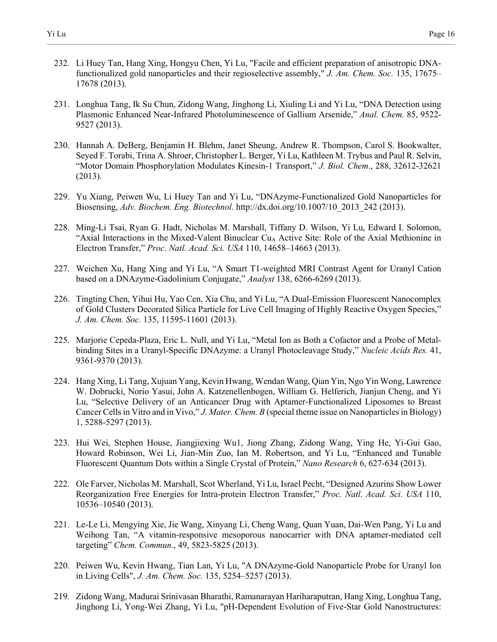232. Li Huey Tan, Hang Xing, Hongyu Chen, Yi Lu, "Facile and efficient preparation of anisotropic DNAfunctionalized gold nanoparticles and their regioselective assembly," *J. Am. Chem. Soc.* 135, 17675– 17678 (2013).

- 231. Longhua Tang, Ik Su Chun, Zidong Wang, Jinghong Li, Xiuling Li and Yi Lu, "DNA Detection using Plasmonic Enhanced Near-Infrared Photoluminescence of Gallium Arsenide," *Anal. Chem.* 85, 9522- 9527 (2013).
- 230. Hannah A. DeBerg, Benjamin H. Blehm, Janet Sheung, Andrew R. Thompson, Carol S. Bookwalter, Seyed F. Torabi, Trina A. Shroer, Christopher L. Berger, Yi Lu, Kathleen M. Trybus and Paul R. Selvin, "Motor Domain Phosphorylation Modulates Kinesin-1 Transport," *J. Biol. Chem*., 288, 32612-32621 (2013).
- 229. Yu Xiang, Peiwen Wu, Li Huey Tan and Yi Lu, "DNAzyme-Functionalized Gold Nanoparticles for Biosensing, *Adv. Biochem. Eng. Biotechnol.* http://dx.doi.org/10.1007/10\_2013\_242 (2013).
- 228. Ming-Li Tsai, Ryan G. Hadt, Nicholas M. Marshall, Tiffany D. Wilson, Yi Lu, Edward I. Solomon, "Axial Interactions in the Mixed-Valent Binuclear  $Cu<sub>A</sub>$  Active Site: Role of the Axial Methionine in Electron Transfer," *Proc. Natl. Acad. Sci. USA* 110, 14658–14663 (2013).
- 227. Weichen Xu, Hang Xing and Yi Lu, "A Smart T1-weighted MRI Contrast Agent for Uranyl Cation based on a DNAzyme-Gadolinium Conjugate," *Analyst* 138, 6266-6269 (2013).
- 226. Tingting Chen, Yihui Hu, Yao Cen, Xia Chu, and Yi Lu, "A Dual-Emission Fluorescent Nanocomplex of Gold Clusters Decorated Silica Particle for Live Cell Imaging of Highly Reactive Oxygen Species," *J. Am. Chem. Soc.* 135, 11595-11601 (2013).
- 225. Marjorie Cepeda-Plaza, Eric L. Null, and Yi Lu, "Metal Ion as Both a Cofactor and a Probe of Metalbinding Sites in a Uranyl-Specific DNAzyme: a Uranyl Photocleavage Study," *Nucleic Acids Res.* 41, 9361-9370 (2013).
- 224. Hang Xing, Li Tang, Xujuan Yang, Kevin Hwang, Wendan Wang, Qian Yin, Ngo Yin Wong, Lawrence W. Dobrucki, Norio Yasui, John A. Katzenellenbogen, William G. Helferich, Jianjun Cheng, and Yi Lu, "Selective Delivery of an Anticancer Drug with Aptamer-Functionalized Liposomes to Breast Cancer Cells in Vitro and in Vivo," *J. Mater. Chem. B* (special theme issue on Nanoparticles in Biology) 1, 5288-5297 (2013).
- 223. Hui Wei, Stephen House, Jiangjiexing Wu1, Jiong Zhang, Zidong Wang, Ying He, Yi-Gui Gao, Howard Robinson, Wei Li, Jian-Min Zuo, Ian M. Robertson, and Yi Lu, "Enhanced and Tunable Fluorescent Quantum Dots within a Single Crystal of Protein," *Nano Research* 6, 627-634 (2013).
- 222. Ole Farver, Nicholas M. Marshall, Scot Wherland, Yi Lu, Israel Pecht, "Designed Azurins Show Lower Reorganization Free Energies for Intra-protein Electron Transfer," *Proc. Natl. Acad. Sci. USA* 110, 10536–10540 (2013).
- 221. Le-Le Li, Mengying Xie, Jie Wang, Xinyang Li, Cheng Wang, Quan Yuan, Dai-Wen Pang, Yi Lu and Weihong Tan, "A vitamin-responsive mesoporous nanocarrier with DNA aptamer-mediated cell targeting" *Chem. Commun*., 49, 5823-5825 (2013).
- 220. Peiwen Wu, Kevin Hwang, Tian Lan, Yi Lu, "A DNAzyme-Gold Nanoparticle Probe for Uranyl Ion in Living Cells", *J. Am. Chem. Soc.* 135, 5254–5257 (2013).
- 219. Zidong Wang, Madurai Srinivasan Bharathi, Ramanarayan Hariharaputran, Hang Xing, Longhua Tang, Jinghong Li, Yong-Wei Zhang, Yi Lu, "pH-Dependent Evolution of Five-Star Gold Nanostructures: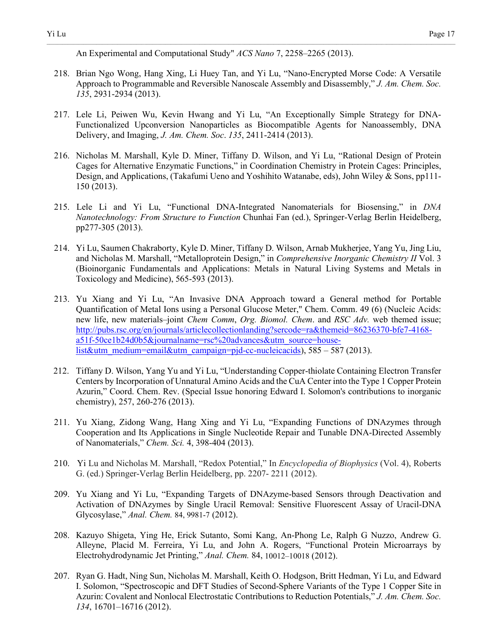An Experimental and Computational Study" *ACS Nano* 7, 2258–2265 (2013).

218. Brian Ngo Wong, Hang Xing, Li Huey Tan, and Yi Lu, "Nano-Encrypted Morse Code: A Versatile Approach to Programmable and Reversible Nanoscale Assembly and Disassembly," *J. Am. Chem. Soc. 135*, 2931-2934 (2013).

- 217. Lele Li, Peiwen Wu, Kevin Hwang and Yi Lu, "An Exceptionally Simple Strategy for DNA-Functionalized Upconversion Nanoparticles as Biocompatible Agents for Nanoassembly, DNA Delivery, and Imaging, *J. Am. Chem. Soc*. *135*, 2411-2414 (2013).
- 216. Nicholas M. Marshall, Kyle D. Miner, Tiffany D. Wilson, and Yi Lu, "Rational Design of Protein Cages for Alternative Enzymatic Functions," in Coordination Chemistry in Protein Cages: Principles, Design, and Applications, (Takafumi Ueno and Yoshihito Watanabe, eds), John Wiley & Sons, pp111- 150 (2013).
- 215. Lele Li and Yi Lu, "Functional DNA-Integrated Nanomaterials for Biosensing," in *DNA Nanotechnology: From Structure to Function* Chunhai Fan (ed.), Springer-Verlag Berlin Heidelberg, pp277-305 (2013).
- 214. Yi Lu, Saumen Chakraborty, Kyle D. Miner, Tiffany D. Wilson, Arnab Mukherjee, Yang Yu, Jing Liu, and Nicholas M. Marshall, "Metalloprotein Design," in *Comprehensive Inorganic Chemistry II* Vol. 3 (Bioinorganic Fundamentals and Applications: Metals in Natural Living Systems and Metals in Toxicology and Medicine), 565-593 (2013).
- 213. Yu Xiang and Yi Lu, "An Invasive DNA Approach toward a General method for Portable Quantification of Metal Ions using a Personal Glucose Meter," Chem. Comm. 49 (6) (Nucleic Acids: new life, new materials–joint *Chem Comm*, *Org. Biomol. Chem*. and *RSC Adv.* web themed issue; [http://pubs.rsc.org/en/journals/articlecollectionlanding?sercode=ra&themeid=86236370-bfe7-4168](http://pubs.rsc.org/en/journals/articlecollectionlanding?sercode=ra&themeid=86236370-bfe7-4168-a51f-50ce1b24d0b5&journalname=rsc%20advances&utm_source=house-list&utm_medium=email&utm_campaign=pjd-cc-nucleicacids) [a51f-50ce1b24d0b5&journalname=rsc%20advances&utm\\_source=house](http://pubs.rsc.org/en/journals/articlecollectionlanding?sercode=ra&themeid=86236370-bfe7-4168-a51f-50ce1b24d0b5&journalname=rsc%20advances&utm_source=house-list&utm_medium=email&utm_campaign=pjd-cc-nucleicacids)[list&utm\\_medium=email&utm\\_campaign=pjd-cc-nucleicacids\)](http://pubs.rsc.org/en/journals/articlecollectionlanding?sercode=ra&themeid=86236370-bfe7-4168-a51f-50ce1b24d0b5&journalname=rsc%20advances&utm_source=house-list&utm_medium=email&utm_campaign=pjd-cc-nucleicacids),  $585 - 587$  (2013).
- 212. Tiffany D. Wilson, Yang Yu and Yi Lu, "Understanding Copper-thiolate Containing Electron Transfer Centers by Incorporation of Unnatural Amino Acids and the CuA Center into the Type 1 Copper Protein Azurin," Coord. Chem. Rev. (Special Issue honoring Edward I. Solomon's contributions to inorganic chemistry), 257, 260-276 (2013).
- 211. Yu Xiang, Zidong Wang, Hang Xing and Yi Lu, "Expanding Functions of DNAzymes through Cooperation and Its Applications in Single Nucleotide Repair and Tunable DNA-Directed Assembly of Nanomaterials," *Chem. Sci.* 4, 398-404 (2013).
- 210. Yi Lu and Nicholas M. Marshall, "Redox Potential," In *Encyclopedia of Biophysics* (Vol. 4), Roberts G. (ed.) Springer-Verlag Berlin Heidelberg, pp. 2207- 2211 (2012).
- 209. Yu Xiang and Yi Lu, "Expanding Targets of DNAzyme-based Sensors through Deactivation and Activation of DNAzymes by Single Uracil Removal: Sensitive Fluorescent Assay of Uracil-DNA Glycosylase," *Anal. Chem.* 84, 9981-7 (2012).
- 208. Kazuyo Shigeta, Ying He, Erick Sutanto, Somi Kang, An-Phong Le, Ralph G Nuzzo, Andrew G. Alleyne, Placid M. Ferreira, Yi Lu, and John A. Rogers, "Functional Protein Microarrays by Electrohydrodynamic Jet Printing," *Anal. Chem.* 84, 10012–10018 (2012).
- 207. Ryan G. Hadt, Ning Sun, Nicholas M. Marshall, Keith O. Hodgson, Britt Hedman, Yi Lu, and Edward I. Solomon, "Spectroscopic and DFT Studies of Second-Sphere Variants of the Type 1 Copper Site in Azurin: Covalent and Nonlocal Electrostatic Contributions to Reduction Potentials," *J. Am. Chem. Soc. 134*, 16701–16716 (2012).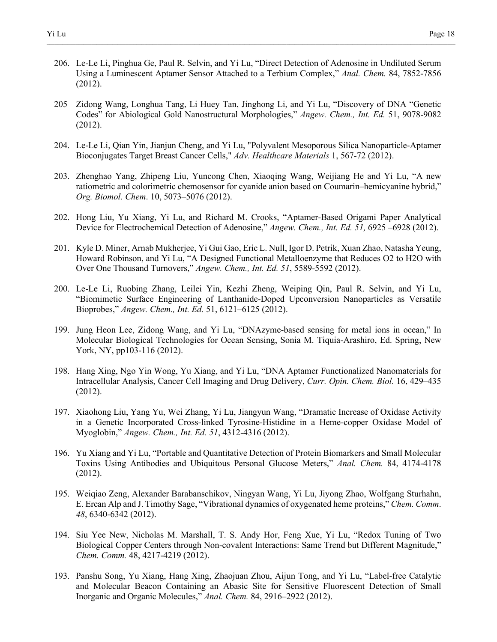206. Le-Le Li, Pinghua Ge, Paul R. Selvin, and Yi Lu, "Direct Detection of Adenosine in Undiluted Serum Using a Luminescent Aptamer Sensor Attached to a Terbium Complex," *Anal. Chem.* 84, 7852-7856 (2012).

- 205 Zidong Wang, Longhua Tang, Li Huey Tan, Jinghong Li, and Yi Lu, "Discovery of DNA "Genetic Codes" for Abiological Gold Nanostructural Morphologies," *Angew. Chem., Int. Ed.* 51, 9078-9082 (2012).
- 204. Le-Le Li, Qian Yin, Jianjun Cheng, and Yi Lu, "Polyvalent Mesoporous Silica Nanoparticle-Aptamer Bioconjugates Target Breast Cancer Cells," *Adv. Healthcare Materials* 1, 567-72 (2012).
- 203. Zhenghao Yang, Zhipeng Liu, Yuncong Chen, Xiaoqing Wang, Weijiang He and Yi Lu, "A new ratiometric and colorimetric chemosensor for cyanide anion based on Coumarin–hemicyanine hybrid," *Org. Biomol. Chem*. 10, 5073–5076 (2012).
- 202. Hong Liu, Yu Xiang, Yi Lu, and Richard M. Crooks, "Aptamer-Based Origami Paper Analytical Device for Electrochemical Detection of Adenosine," *Angew. Chem., Int. Ed. 51,* 6925 –6928 (2012).
- 201. Kyle D. Miner, Arnab Mukherjee, Yi Gui Gao, Eric L. Null, Igor D. Petrik, Xuan Zhao, Natasha Yeung, Howard Robinson, and Yi Lu, "A Designed Functional Metalloenzyme that Reduces O2 to H2O with Over One Thousand Turnovers," *Angew. Chem., Int. Ed. 51*, 5589-5592 (2012).
- 200. Le-Le Li, Ruobing Zhang, Leilei Yin, Kezhi Zheng, Weiping Qin, Paul R. Selvin, and Yi Lu, "Biomimetic Surface Engineering of Lanthanide-Doped Upconversion Nanoparticles as Versatile Bioprobes," *Angew. Chem., Int. Ed.* 51, 6121–6125 (2012).
- 199. Jung Heon Lee, Zidong Wang, and Yi Lu, "DNAzyme-based sensing for metal ions in ocean," In Molecular Biological Technologies for Ocean Sensing, Sonia M. Tiquia-Arashiro, Ed. Spring, New York, NY, pp103-116 (2012).
- 198. Hang Xing, Ngo Yin Wong, Yu Xiang, and Yi Lu, "DNA Aptamer Functionalized Nanomaterials for Intracellular Analysis, Cancer Cell Imaging and Drug Delivery, *Curr. Opin. Chem. Biol.* 16, 429–435 (2012).
- 197. Xiaohong Liu, Yang Yu, Wei Zhang, Yi Lu, Jiangyun Wang, "Dramatic Increase of Oxidase Activity in a Genetic Incorporated Cross-linked Tyrosine-Histidine in a Heme-copper Oxidase Model of Myoglobin," *Angew. Chem., Int. Ed. 51*, 4312-4316 (2012).
- 196. Yu Xiang and Yi Lu, "Portable and Quantitative Detection of Protein Biomarkers and Small Molecular Toxins Using Antibodies and Ubiquitous Personal Glucose Meters," *Anal. Chem.* 84, 4174-4178 (2012).
- 195. Weiqiao Zeng, Alexander Barabanschikov, Ningyan Wang, Yi Lu, Jiyong Zhao, Wolfgang Sturhahn, E. Ercan Alp and J. Timothy Sage, "Vibrational dynamics of oxygenated heme proteins," *Chem. Comm*. *48*, 6340-6342 (2012).
- 194. Siu Yee New, Nicholas M. Marshall, T. S. Andy Hor, Feng Xue, Yi Lu, "Redox Tuning of Two Biological Copper Centers through Non-covalent Interactions: Same Trend but Different Magnitude," *Chem. Comm.* 48, 4217-4219 (2012).
- 193. Panshu Song, Yu Xiang, Hang Xing, Zhaojuan Zhou, Aijun Tong, and Yi Lu, "Label-free Catalytic and Molecular Beacon Containing an Abasic Site for Sensitive Fluorescent Detection of Small Inorganic and Organic Molecules," *Anal. Chem.* 84, 2916–2922 (2012).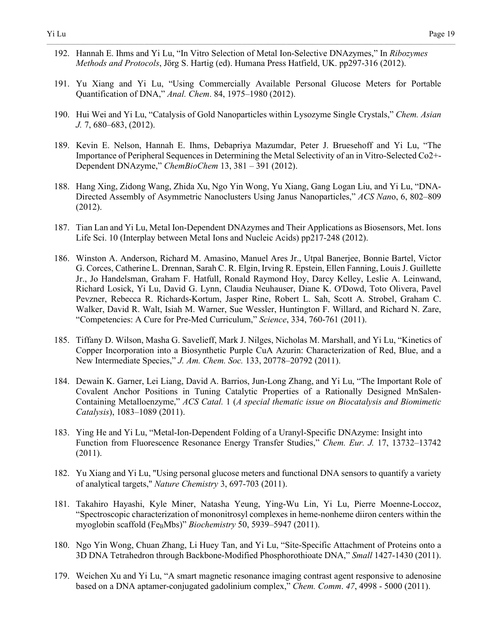- 192. Hannah E. Ihms and Yi Lu, "In Vitro Selection of Metal Ion-Selective DNAzymes," In *Ribozymes Methods and Protocols*, Jörg S. Hartig (ed). Humana Press Hatfield, UK. pp297-316 (2012).
- 191. Yu Xiang and Yi Lu, "Using Commercially Available Personal Glucose Meters for Portable Quantification of DNA," *Anal. Chem*. 84, 1975–1980 (2012).

- 190. Hui Wei and Yi Lu, "Catalysis of Gold Nanoparticles within Lysozyme Single Crystals," *Chem. Asian J.* 7, 680–683, (2012).
- 189. Kevin E. Nelson, Hannah E. Ihms, Debapriya Mazumdar, Peter J. Bruesehoff and Yi Lu, "The Importance of Peripheral Sequences in Determining the Metal Selectivity of an in Vitro-Selected Co2+- Dependent DNAzyme," *ChemBioChem* 13, 381 – 391 (2012).
- 188. Hang Xing, Zidong Wang, Zhida Xu, Ngo Yin Wong, Yu Xiang, Gang Logan Liu, and Yi Lu, "DNA-Directed Assembly of Asymmetric Nanoclusters Using Janus Nanoparticles," *ACS Nan*o, 6, 802–809 (2012).
- 187. Tian Lan and Yi Lu, Metal Ion-Dependent DNAzymes and Their Applications as Biosensors, Met. Ions Life Sci. 10 (Interplay between Metal Ions and Nucleic Acids) pp217-248 (2012).
- 186. Winston A. Anderson, Richard M. Amasino, Manuel Ares Jr., Utpal Banerjee, Bonnie Bartel, Victor G. Corces, Catherine L. Drennan, Sarah C. R. Elgin, Irving R. Epstein, Ellen Fanning, Louis J. Guillette Jr., Jo Handelsman, Graham F. Hatfull, Ronald Raymond Hoy, Darcy Kelley, Leslie A. Leinwand, Richard Losick, Yi Lu, David G. Lynn, Claudia Neuhauser, Diane K. O'Dowd, Toto Olivera, Pavel Pevzner, Rebecca R. Richards-Kortum, Jasper Rine, Robert L. Sah, Scott A. Strobel, Graham C. Walker, David R. Walt, Isiah M. Warner, Sue Wessler, Huntington F. Willard, and Richard N. Zare, "Competencies: A Cure for Pre-Med Curriculum," *Science*, 334, 760-761 (2011).
- 185. Tiffany D. Wilson, Masha G. Savelieff, Mark J. Nilges, Nicholas M. Marshall, and Yi Lu, "Kinetics of Copper Incorporation into a Biosynthetic Purple CuA Azurin: Characterization of Red, Blue, and a New Intermediate Species," *J. Am. Chem. Soc.* 133, 20778–20792 (2011).
- 184. Dewain K. Garner, Lei Liang, David A. Barrios, Jun-Long Zhang, and Yi Lu, "The Important Role of Covalent Anchor Positions in Tuning Catalytic Properties of a Rationally Designed MnSalen-Containing Metalloenzyme," *ACS Catal.* 1 (*A special thematic issue on Biocatalysis and Biomimetic Catalysis*), 1083–1089 (2011).
- 183. Ying He and Yi Lu, "Metal-Ion-Dependent Folding of a Uranyl-Specific DNAzyme: Insight into Function from Fluorescence Resonance Energy Transfer Studies," *Chem. Eur. J.* 17, 13732–13742 (2011).
- 182. Yu Xiang and Yi Lu, "Using personal glucose meters and functional DNA sensors to quantify a variety of analytical targets," *Nature Chemistry* 3, 697-703 (2011).
- 181. Takahiro Hayashi, Kyle Miner, Natasha Yeung, Ying-Wu Lin, Yi Lu, Pierre Moenne-Loccoz, "Spectroscopic characterization of mononitrosyl complexes in heme-nonheme diiron centers within the myoglobin scaffold (Fe<sub>B</sub>Mbs)" *Biochemistry* 50, 5939–5947 (2011).
- 180. Ngo Yin Wong, Chuan Zhang, Li Huey Tan, and Yi Lu, "Site-Specific Attachment of Proteins onto a 3D DNA Tetrahedron through Backbone-Modified Phosphorothioate DNA," *Small* 1427-1430 (2011).
- 179. Weichen Xu and Yi Lu, "A smart magnetic resonance imaging contrast agent responsive to adenosine based on a DNA aptamer-conjugated gadolinium complex," *Chem. Comm*. *47*, 4998 - 5000 (2011).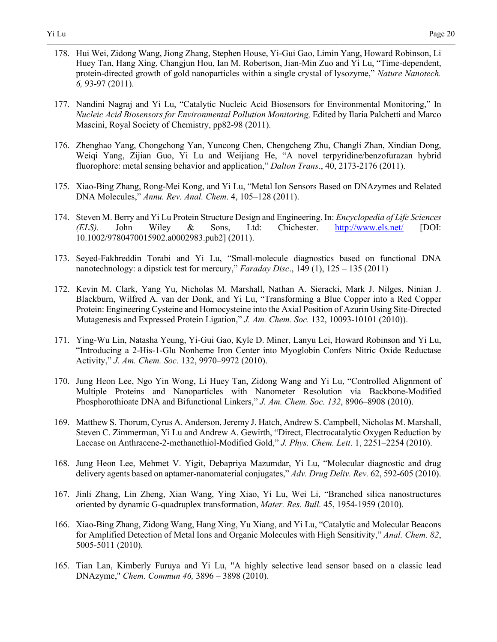178. Hui Wei, Zidong Wang, Jiong Zhang, Stephen House, Yi-Gui Gao, Limin Yang, Howard Robinson, Li Huey Tan, Hang Xing, Changjun Hou, Ian M. Robertson, Jian-Min Zuo and Yi Lu, "Time-dependent, protein-directed growth of gold nanoparticles within a single crystal of lysozyme," *Nature Nanotech. 6,* 93-97 (2011).

- 177. Nandini Nagraj and Yi Lu, "Catalytic Nucleic Acid Biosensors for Environmental Monitoring," In *Nucleic Acid Biosensors for Environmental Pollution Monitoring,* Edited by Ilaria Palchetti and Marco Mascini, Royal Society of Chemistry, pp82-98 (2011).
- 176. Zhenghao Yang, Chongchong Yan, Yuncong Chen, Chengcheng Zhu, Changli Zhan, Xindian Dong, Weiqi Yang, Zijian Guo, Yi Lu and Weijiang He, "A novel terpyridine/benzofurazan hybrid fluorophore: metal sensing behavior and application," *Dalton Trans*., 40, 2173-2176 (2011).
- 175. Xiao-Bing Zhang, Rong-Mei Kong, and Yi Lu, "Metal Ion Sensors Based on DNAzymes and Related DNA Molecules," *Annu. Rev. Anal. Chem*. 4, 105–128 (2011).
- 174. Steven M. Berry and Yi Lu Protein Structure Design and Engineering. In: *Encyclopedia of Life Sciences (ELS).* John Wiley & Sons, Ltd: Chichester. <http://www.els.net/>[DOI: 10.1002/9780470015902.a0002983.pub2] (2011).
- 173. Seyed-Fakhreddin Torabi and Yi Lu, "Small-molecule diagnostics based on functional DNA nanotechnology: a dipstick test for mercury," *Faraday Disc*., 149 (1), 125 – 135 (2011)
- 172. Kevin M. Clark, Yang Yu, Nicholas M. Marshall, Nathan A. Sieracki, Mark J. Nilges, Ninian J. Blackburn, Wilfred A. van der Donk, and Yi Lu, "Transforming a Blue Copper into a Red Copper Protein: Engineering Cysteine and Homocysteine into the Axial Position of Azurin Using Site-Directed Mutagenesis and Expressed Protein Ligation," *J. Am. Chem. Soc.* 132, 10093-10101 (2010)).
- 171. Ying-Wu Lin, Natasha Yeung, Yi-Gui Gao, Kyle D. Miner, Lanyu Lei, Howard Robinson and Yi Lu, "Introducing a 2-His-1-Glu Nonheme Iron Center into Myoglobin Confers Nitric Oxide Reductase Activity," *J. Am. Chem. Soc.* 132, 9970–9972 (2010).
- 170. Jung Heon Lee, Ngo Yin Wong, Li Huey Tan, Zidong Wang and Yi Lu, "Controlled Alignment of Multiple Proteins and Nanoparticles with Nanometer Resolution via Backbone-Modified Phosphorothioate DNA and Bifunctional Linkers," *J. Am. Chem. Soc. 132*, 8906–8908 (2010).
- 169. Matthew S. Thorum, Cyrus A. Anderson, Jeremy J. Hatch, Andrew S. Campbell, Nicholas M. Marshall, Steven C. Zimmerman, Yi Lu and Andrew A. Gewirth, "Direct, Electrocatalytic Oxygen Reduction by Laccase on Anthracene-2-methanethiol-Modified Gold," *J. Phys. Chem. Lett*. 1, 2251–2254 (2010).
- 168. Jung Heon Lee, Mehmet V. Yigit, Debapriya Mazumdar, Yi Lu, "Molecular diagnostic and drug delivery agents based on aptamer-nanomaterial conjugates," *Adv. Drug Deliv. Rev.* 62, 592-605 (2010).
- 167. Jinli Zhang, Lin Zheng, Xian Wang, Ying Xiao, Yi Lu, Wei Li, "Branched silica nanostructures oriented by dynamic G-quadruplex transformation, *Mater. Res. Bull.* 45, 1954-1959 (2010).
- 166. Xiao-Bing Zhang, Zidong Wang, Hang Xing, Yu Xiang, and Yi Lu, "Catalytic and Molecular Beacons for Amplified Detection of Metal Ions and Organic Molecules with High Sensitivity," *Anal. Chem*. *82*, 5005-5011 (2010).
- 165. Tian Lan, Kimberly Furuya and Yi Lu, "A highly selective lead sensor based on a classic lead DNAzyme," *Chem. Commun 46,* 3896 – 3898 (2010).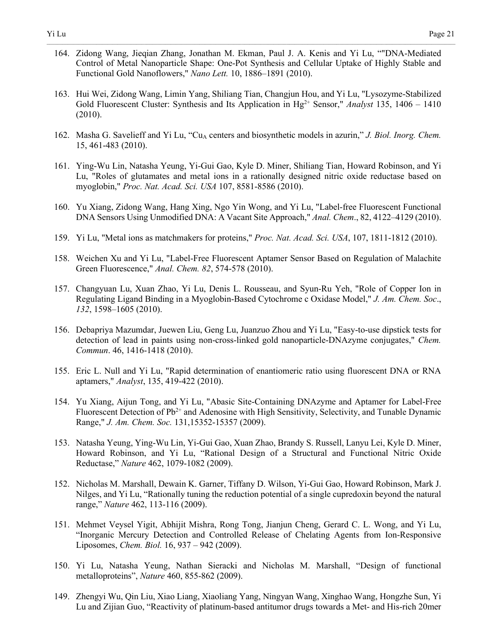164. Zidong Wang, Jieqian Zhang, Jonathan M. Ekman, Paul J. A. Kenis and Yi Lu, ""DNA-Mediated Control of Metal Nanoparticle Shape: One-Pot Synthesis and Cellular Uptake of Highly Stable and Functional Gold Nanoflowers," *Nano Lett.* 10, 1886–1891 (2010).

- 163. Hui Wei, Zidong Wang, Limin Yang, Shiliang Tian, Changjun Hou, and Yi Lu, "Lysozyme-Stabilized Gold Fluorescent Cluster: Synthesis and Its Application in Hg2+ Sensor," *Analyst* 135, 1406 – 1410 (2010).
- 162. Masha G. Savelieff and Yi Lu, "Cu<sub>A</sub> centers and biosynthetic models in azurin," *J. Biol. Inorg. Chem.* 15, 461-483 (2010).
- 161. Ying-Wu Lin, Natasha Yeung, Yi-Gui Gao, Kyle D. Miner, Shiliang Tian, Howard Robinson, and Yi Lu, "Roles of glutamates and metal ions in a rationally designed nitric oxide reductase based on myoglobin," *Proc. Nat. Acad. Sci. USA* 107, 8581-8586 (2010).
- 160. Yu Xiang, Zidong Wang, Hang Xing, Ngo Yin Wong, and Yi Lu, "Label-free Fluorescent Functional DNA Sensors Using Unmodified DNA: A Vacant Site Approach," *Anal. Chem*., 82, 4122–4129 (2010).
- 159. Yi Lu, "Metal ions as matchmakers for proteins," *Proc. Nat. Acad. Sci. USA*, 107, 1811-1812 (2010).
- 158. Weichen Xu and Yi Lu, "Label-Free Fluorescent Aptamer Sensor Based on Regulation of Malachite Green Fluorescence," *Anal. Chem. 82*, 574-578 (2010).
- 157. Changyuan Lu, Xuan Zhao, Yi Lu, Denis L. Rousseau, and Syun-Ru Yeh, "Role of Copper Ion in Regulating Ligand Binding in a Myoglobin-Based Cytochrome c Oxidase Model," *J. Am. Chem. Soc*., *132*, 1598–1605 (2010).
- 156. Debapriya Mazumdar, Juewen Liu, Geng Lu, Juanzuo Zhou and Yi Lu, "Easy-to-use dipstick tests for detection of lead in paints using non-cross-linked gold nanoparticle-DNAzyme conjugates," *Chem. Commun*. 46, 1416-1418 (2010).
- 155. Eric L. Null and Yi Lu, "Rapid determination of enantiomeric ratio using fluorescent DNA or RNA aptamers," *Analyst*, 135, 419-422 (2010).
- 154. Yu Xiang, Aijun Tong, and Yi Lu, "Abasic Site-Containing DNAzyme and Aptamer for Label-Free Fluorescent Detection of  $Pb^{2+}$  and Adenosine with High Sensitivity, Selectivity, and Tunable Dynamic Range," *J. Am. Chem. Soc.* 131,15352-15357 (2009).
- 153. Natasha Yeung, Ying-Wu Lin, Yi-Gui Gao, Xuan Zhao, Brandy S. Russell, Lanyu Lei, Kyle D. Miner, Howard Robinson, and Yi Lu, "Rational Design of a Structural and Functional Nitric Oxide Reductase," *Nature* 462, 1079-1082 (2009).
- 152. Nicholas M. Marshall, Dewain K. Garner, Tiffany D. Wilson, Yi-Gui Gao, Howard Robinson, Mark J. Nilges, and Yi Lu, "Rationally tuning the reduction potential of a single cupredoxin beyond the natural range," *Nature* 462, 113-116 (2009).
- 151. Mehmet Veysel Yigit, Abhijit Mishra, Rong Tong, Jianjun Cheng, Gerard C. L. Wong, and Yi Lu, "Inorganic Mercury Detection and Controlled Release of Chelating Agents from Ion-Responsive Liposomes, *Chem. Biol.* 16, 937 – 942 (2009).
- 150. Yi Lu, Natasha Yeung, Nathan Sieracki and Nicholas M. Marshall, "Design of functional metalloproteins", *Nature* 460, 855-862 (2009).
- 149. Zhengyi Wu, Qin Liu, Xiao Liang, Xiaoliang Yang, Ningyan Wang, Xinghao Wang, Hongzhe Sun, Yi Lu and Zijian Guo, "Reactivity of platinum-based antitumor drugs towards a Met- and His-rich 20mer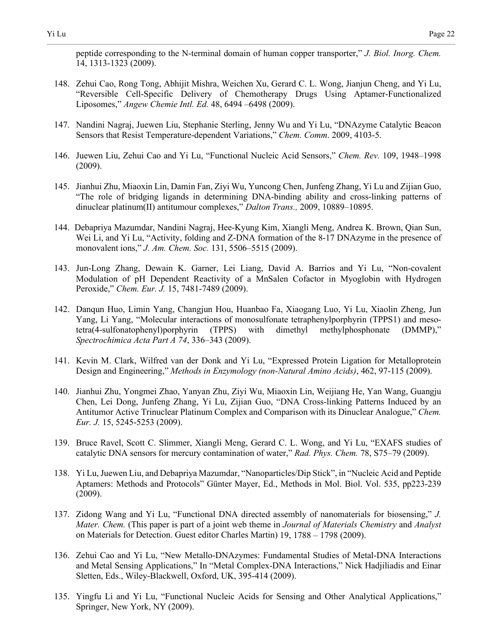peptide corresponding to the N-terminal domain of human copper transporter," *J. Biol. Inorg. Chem.* 14, 1313-1323 (2009).

- 148. Zehui Cao, Rong Tong, Abhijit Mishra, Weichen Xu, Gerard C. L. Wong, Jianjun Cheng, and Yi Lu, "Reversible Cell-Specific Delivery of Chemotherapy Drugs Using Aptamer-Functionalized Liposomes," *Angew Chemie Intl. Ed.* 48, 6494 –6498 (2009).
- 147. Nandini Nagraj, Juewen Liu, Stephanie Sterling, Jenny Wu and Yi Lu, "DNAzyme Catalytic Beacon Sensors that Resist Temperature-dependent Variations," *Chem. Comm*. 2009, 4103-5.
- 146. Juewen Liu, Zehui Cao and Yi Lu, "Functional Nucleic Acid Sensors," *Chem. Rev.* 109, 1948–1998 (2009).
- 145. Jianhui Zhu, Miaoxin Lin, Damin Fan, Ziyi Wu, Yuncong Chen, Junfeng Zhang, Yi Lu and Zijian Guo, "The role of bridging ligands in determining DNA-binding ability and cross-linking patterns of dinuclear platinum(II) antitumour complexes," *Dalton Trans.,* 2009, 10889–10895.
- 144. Debapriya Mazumdar, Nandini Nagraj, Hee-Kyung Kim, Xiangli Meng, Andrea K. Brown, Qian Sun, Wei Li, and Yi Lu, "Activity, folding and Z-DNA formation of the 8-17 DNAzyme in the presence of monovalent ions," *J. Am. Chem. Soc.* 131, 5506–5515 (2009).
- 143. Jun-Long Zhang, Dewain K. Garner, Lei Liang, David A. Barrios and Yi Lu, "Non-covalent Modulation of pH Dependent Reactivity of a MnSalen Cofactor in Myoglobin with Hydrogen Peroxide," *Chem. Eur. J.* 15, 7481-7489 (2009).
- 142. Danqun Huo, Limin Yang, Changjun Hou, Huanbao Fa, Xiaogang Luo, Yi Lu, Xiaolin Zheng, Jun Yang, Li Yang, "Molecular interactions of monosulfonate tetraphenylporphyrin (TPPS1) and mesotetra(4-sulfonatophenyl)porphyrin (TPPS) with dimethyl methylphosphonate (DMMP)," *Spectrochimica Acta Part A 74*, 336–343 (2009).
- 141. Kevin M. Clark, Wilfred van der Donk and Yi Lu, "Expressed Protein Ligation for Metalloprotein Design and Engineering," *Methods in Enzymology (non-Natural Amino Acids)*, 462, 97-115 (2009).
- 140. Jianhui Zhu, Yongmei Zhao, Yanyan Zhu, Ziyi Wu, Miaoxin Lin, Weijiang He, Yan Wang, Guangju Chen, Lei Dong, Junfeng Zhang, Yi Lu, Zijian Guo, "DNA Cross-linking Patterns Induced by an Antitumor Active Trinuclear Platinum Complex and Comparison with its Dinuclear Analogue," *Chem. Eur. J.* 15, 5245-5253 (2009).
- 139. Bruce Ravel, Scott C. Slimmer, Xiangli Meng, Gerard C. L. Wong, and Yi Lu, "EXAFS studies of catalytic DNA sensors for mercury contamination of water," *Rad. Phys. Chem.* 78, S75–79 (2009).
- 138. Yi Lu, Juewen Liu, and Debapriya Mazumdar, "Nanoparticles/Dip Stick", in "Nucleic Acid and Peptide Aptamers: Methods and Protocols" Günter Mayer, Ed., Methods in Mol. Biol. Vol. 535, pp223-239 (2009).
- 137. Zidong Wang and Yi Lu, "Functional DNA directed assembly of nanomaterials for biosensing," *J. Mater. Chem.* (This paper is part of a joint web theme in *Journal of Materials Chemistry* and *Analyst* on Materials for Detection. Guest editor Charles Martin) 19, 1788 – 1798 (2009).
- 136. Zehui Cao and Yi Lu, "New Metallo-DNAzymes: Fundamental Studies of Metal-DNA Interactions and Metal Sensing Applications," In "Metal Complex-DNA Interactions," Nick Hadjiliadis and Einar Sletten, Eds., Wiley-Blackwell, Oxford, UK, 395-414 (2009).
- 135. Yingfu Li and Yi Lu, "Functional Nucleic Acids for Sensing and Other Analytical Applications," Springer, New York, NY (2009).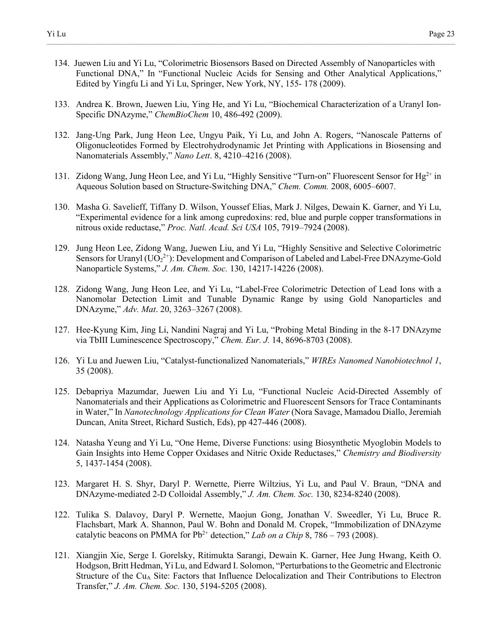134. Juewen Liu and Yi Lu, "Colorimetric Biosensors Based on Directed Assembly of Nanoparticles with Functional DNA," In "Functional Nucleic Acids for Sensing and Other Analytical Applications," Edited by Yingfu Li and Yi Lu, Springer, New York, NY, 155- 178 (2009).

- 133. Andrea K. Brown, Juewen Liu, Ying He, and Yi Lu, "Biochemical Characterization of a Uranyl Ion-Specific DNAzyme," *ChemBioChem* 10, 486-492 (2009).
- 132. Jang-Ung Park, Jung Heon Lee, Ungyu Paik, Yi Lu, and John A. Rogers, "Nanoscale Patterns of Oligonucleotides Formed by Electrohydrodynamic Jet Printing with Applications in Biosensing and Nanomaterials Assembly," *Nano Lett*. 8, 4210–4216 (2008).
- 131. Zidong Wang, Jung Heon Lee, and Yi Lu, "Highly Sensitive "Turn-on" Fluorescent Sensor for Hg<sup>2+</sup> in Aqueous Solution based on Structure-Switching DNA," *Chem. Comm.* 2008, 6005–6007.
- 130. Masha G. Savelieff, Tiffany D. Wilson, Youssef Elias, Mark J. Nilges, Dewain K. Garner, and Yi Lu, "Experimental evidence for a link among cupredoxins: red, blue and purple copper transformations in nitrous oxide reductase," *Proc. Natl. Acad. Sci USA* 105, 7919–7924 (2008).
- 129. Jung Heon Lee, Zidong Wang, Juewen Liu, and Yi Lu, "Highly Sensitive and Selective Colorimetric Sensors for Uranyl  $(UO_2^{2+})$ : Development and Comparison of Labeled and Label-Free DNAzyme-Gold Nanoparticle Systems," *J. Am. Chem. Soc.* 130, 14217-14226 (2008).
- 128. Zidong Wang, Jung Heon Lee, and Yi Lu, "Label-Free Colorimetric Detection of Lead Ions with a Nanomolar Detection Limit and Tunable Dynamic Range by using Gold Nanoparticles and DNAzyme," *Adv. Mat*. 20, 3263–3267 (2008).
- 127. Hee-Kyung Kim, Jing Li, Nandini Nagraj and Yi Lu, "Probing Metal Binding in the 8-17 DNAzyme via TbIII Luminescence Spectroscopy," *Chem. Eur. J.* 14, 8696-8703 (2008).
- 126. Yi Lu and Juewen Liu, "Catalyst-functionalized Nanomaterials," *WIREs Nanomed Nanobiotechnol 1*, 35 (2008).
- 125. Debapriya Mazumdar, Juewen Liu and Yi Lu, "Functional Nucleic Acid-Directed Assembly of Nanomaterials and their Applications as Colorimetric and Fluorescent Sensors for Trace Contaminants in Water," In *Nanotechnology Applications for Clean Water* (Nora Savage, Mamadou Diallo, Jeremiah Duncan, Anita Street, Richard Sustich, Eds), pp 427-446 (2008).
- 124. Natasha Yeung and Yi Lu, "One Heme, Diverse Functions: using Biosynthetic Myoglobin Models to Gain Insights into Heme Copper Oxidases and Nitric Oxide Reductases," *Chemistry and Biodiversity* 5, 1437-1454 (2008).
- 123. Margaret H. S. Shyr, Daryl P. Wernette, Pierre Wiltzius, Yi Lu, and Paul V. Braun, "DNA and DNAzyme-mediated 2-D Colloidal Assembly," *J. Am. Chem. Soc.* 130, 8234-8240 (2008).
- 122. Tulika S. Dalavoy, Daryl P. Wernette, Maojun Gong, Jonathan V. Sweedler, Yi Lu, Bruce R. Flachsbart, Mark A. Shannon, Paul W. Bohn and Donald M. Cropek, "Immobilization of DNAzyme catalytic beacons on PMMA for  $Pb^{2+}$  detection," *Lab on a Chip* 8, 786 – 793 (2008).
- 121. Xiangjin Xie, Serge I. Gorelsky, Ritimukta Sarangi, Dewain K. Garner, Hee Jung Hwang, Keith O. Hodgson, Britt Hedman, Yi Lu, and Edward I. Solomon, "Perturbations to the Geometric and Electronic Structure of the Cu<sub>A</sub> Site: Factors that Influence Delocalization and Their Contributions to Electron Transfer," *J. Am. Chem. Soc.* 130, 5194-5205 (2008).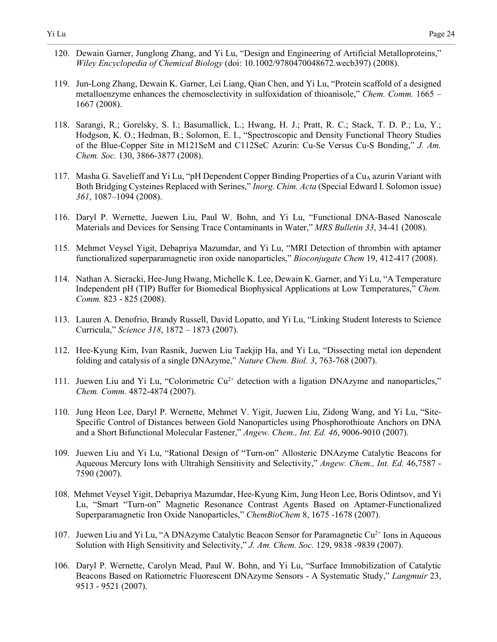120. Dewain Garner, Junglong Zhang, and Yi Lu, "Design and Engineering of Artificial Metalloproteins," *Wiley Encyclopedia of Chemical Biology* (doi: 10.1002/9780470048672.wecb397) (2008).

- 119. Jun-Long Zhang, Dewain K. Garner, Lei Liang, Qian Chen, and Yi Lu, "Protein scaffold of a designed metalloenzyme enhances the chemoselectivity in sulfoxidation of thioanisole," *Chem. Comm.* 1665 – 1667 (2008).
- 118. Sarangi, R.; Gorelsky, S. I.; Basumallick, L.; Hwang, H. J.; Pratt, R. C.; Stack, T. D. P.; Lu, Y.; Hodgson, K. O.; Hedman, B.; Solomon, E. I., "Spectroscopic and Density Functional Theory Studies of the Blue-Copper Site in M121SeM and C112SeC Azurin: Cu-Se Versus Cu-S Bonding," *J. Am. Chem. Soc.* 130, 3866-3877 (2008).
- 117. Masha G. Savelieff and Yi Lu, "pH Dependent Copper Binding Properties of a Cu<sub>A</sub> azurin Variant with Both Bridging Cysteines Replaced with Serines," *Inorg. Chim. Acta* (Special Edward I. Solomon issue) *361*, 1087–1094 (2008).
- 116. Daryl P. Wernette, Juewen Liu, Paul W. Bohn, and Yi Lu, "Functional DNA-Based Nanoscale Materials and Devices for Sensing Trace Contaminants in Water," *MRS Bulletin 33*, 34-41 (2008).
- 115. Mehmet Veysel Yigit, Debapriya Mazumdar, and Yi Lu, "MRI Detection of thrombin with aptamer functionalized superparamagnetic iron oxide nanoparticles," *Bioconjugate Chem* 19, 412-417 (2008).
- 114. Nathan A. Sieracki, Hee-Jung Hwang, Michelle K. Lee, Dewain K. Garner, and Yi Lu, "A Temperature Independent pH (TIP) Buffer for Biomedical Biophysical Applications at Low Temperatures," *Chem. Comm.* 823 - 825 (2008).
- 113. Lauren A. Denofrio, Brandy Russell, David Lopatto, and Yi Lu, "Linking Student Interests to Science Curricula," *Science 318*, 1872 – 1873 (2007).
- 112. Hee-Kyung Kim, Ivan Rasnik, Juewen Liu Taekjip Ha, and Yi Lu, "Dissecting metal ion dependent folding and catalysis of a single DNAzyme," *Nature Chem. Biol. 3*, 763-768 (2007).
- 111. Juewen Liu and Yi Lu, "Colorimetric  $Cu^{2+}$  detection with a ligation DNAzyme and nanoparticles," *Chem. Comm.* 4872-4874 (2007).
- 110. Jung Heon Lee, Daryl P. Wernette, Mehmet V. Yigit, Juewen Liu, Zidong Wang, and Yi Lu, "Site-Specific Control of Distances between Gold Nanoparticles using Phosphorothioate Anchors on DNA and a Short Bifunctional Molecular Fastener," *Angew. Chem., Int. Ed. 46*, 9006-9010 (2007).
- 109. Juewen Liu and Yi Lu, "Rational Design of "Turn-on" Allosteric DNAzyme Catalytic Beacons for Aqueous Mercury Ions with Ultrahigh Sensitivity and Selectivity," *Angew. Chem., Int. Ed.* 46,7587 - 7590 (2007).
- 108. Mehmet Veysel Yigit, Debapriya Mazumdar, Hee-Kyung Kim, Jung Heon Lee, Boris Odintsov, and Yi Lu, "Smart "Turn-on" Magnetic Resonance Contrast Agents Based on Aptamer-Functionalized Superparamagnetic Iron Oxide Nanoparticles," *ChemBioChem* 8, 1675 -1678 (2007).
- 107. Juewen Liu and Yi Lu, "A DNAzyme Catalytic Beacon Sensor for Paramagnetic  $Cu^{2+}$  Ions in Aqueous Solution with High Sensitivity and Selectivity," *J. Am. Chem. Soc.* 129, 9838 -9839 (2007).
- 106. Daryl P. Wernette, Carolyn Mead, Paul W. Bohn, and Yi Lu, "Surface Immobilization of Catalytic Beacons Based on Ratiometric Fluorescent DNAzyme Sensors - A Systematic Study," *Langmuir* 23, 9513 - 9521 (2007).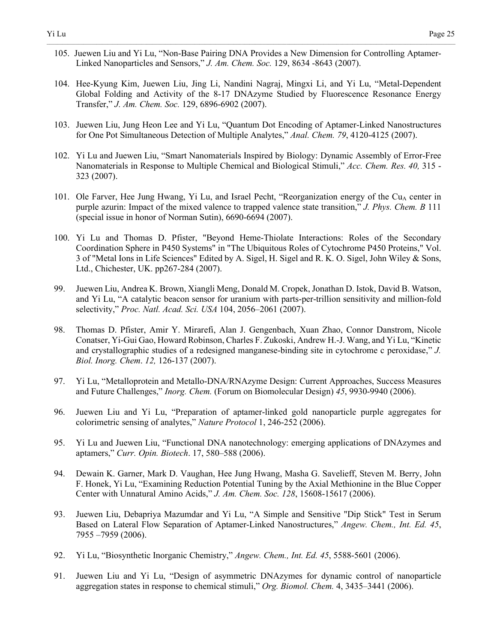105. Juewen Liu and Yi Lu, "Non-Base Pairing DNA Provides a New Dimension for Controlling Aptamer-Linked Nanoparticles and Sensors," *J. Am. Chem. Soc.* 129, 8634 -8643 (2007).

- 104. Hee-Kyung Kim, Juewen Liu, Jing Li, Nandini Nagraj, Mingxi Li, and Yi Lu, "Metal-Dependent Global Folding and Activity of the 8-17 DNAzyme Studied by Fluorescence Resonance Energy Transfer," *J. Am. Chem. Soc.* 129, 6896-6902 (2007).
- 103. Juewen Liu, Jung Heon Lee and Yi Lu, "Quantum Dot Encoding of Aptamer-Linked Nanostructures for One Pot Simultaneous Detection of Multiple Analytes," *Anal. Chem. 79*, 4120-4125 (2007).
- 102. Yi Lu and Juewen Liu, "Smart Nanomaterials Inspired by Biology: Dynamic Assembly of Error-Free Nanomaterials in Response to Multiple Chemical and Biological Stimuli," *Acc. Chem. Res. 40,* 315 - 323 (2007).
- 101. Ole Farver, Hee Jung Hwang, Yi Lu, and Israel Pecht, "Reorganization energy of the Cu<sub>A</sub> center in purple azurin: Impact of the mixed valence to trapped valence state transition," *J. Phys. Chem. B* 111 (special issue in honor of Norman Sutin), 6690-6694 (2007).
- 100. Yi Lu and Thomas D. Pfister, "Beyond Heme-Thiolate Interactions: Roles of the Secondary Coordination Sphere in P450 Systems" in "The Ubiquitous Roles of Cytochrome P450 Proteins," Vol. 3 of "Metal Ions in Life Sciences" Edited by A. Sigel, H. Sigel and R. K. O. Sigel, John Wiley & Sons, Ltd., Chichester, UK. pp267-284 (2007).
- 99. Juewen Liu, Andrea K. Brown, Xiangli Meng, Donald M. Cropek, Jonathan D. Istok, David B. Watson, and Yi Lu, "A catalytic beacon sensor for uranium with parts-per-trillion sensitivity and million-fold selectivity," *Proc. Natl. Acad. Sci. USA* 104, 2056–2061 (2007).
- 98. Thomas D. Pfister, Amir Y. Mirarefi, Alan J. Gengenbach, Xuan Zhao, Connor Danstrom, Nicole Conatser, Yi-Gui Gao, Howard Robinson, Charles F. Zukoski, Andrew H.-J. Wang, and Yi Lu, "Kinetic and crystallographic studies of a redesigned manganese-binding site in cytochrome c peroxidase," *J. Biol. Inorg. Chem*. *12,* 126-137 (2007).
- 97. Yi Lu, "Metalloprotein and Metallo-DNA/RNAzyme Design: Current Approaches, Success Measures and Future Challenges," *Inorg. Chem.* (Forum on Biomolecular Design) *45*, 9930-9940 (2006).
- 96. Juewen Liu and Yi Lu, "Preparation of aptamer-linked gold nanoparticle purple aggregates for colorimetric sensing of analytes," *Nature Protocol* 1, 246-252 (2006).
- 95. Yi Lu and Juewen Liu, "Functional DNA nanotechnology: emerging applications of DNAzymes and aptamers," *Curr. Opin. Biotech*. 17, 580–588 (2006).
- 94. Dewain K. Garner, Mark D. Vaughan, Hee Jung Hwang, Masha G. Savelieff, Steven M. Berry, John F. Honek, Yi Lu, "Examining Reduction Potential Tuning by the Axial Methionine in the Blue Copper Center with Unnatural Amino Acids," *J. Am. Chem. Soc. 128*, 15608-15617 (2006).
- 93. Juewen Liu, Debapriya Mazumdar and Yi Lu, "A Simple and Sensitive "Dip Stick" Test in Serum Based on Lateral Flow Separation of Aptamer-Linked Nanostructures," *Angew. Chem., Int. Ed. 45*, 7955 –7959 (2006).
- 92. Yi Lu, "Biosynthetic Inorganic Chemistry," *Angew. Chem., Int. Ed. 45*, 5588-5601 (2006).
- 91. Juewen Liu and Yi Lu, "Design of asymmetric DNAzymes for dynamic control of nanoparticle aggregation states in response to chemical stimuli," *Org. Biomol. Chem.* 4, 3435–3441 (2006).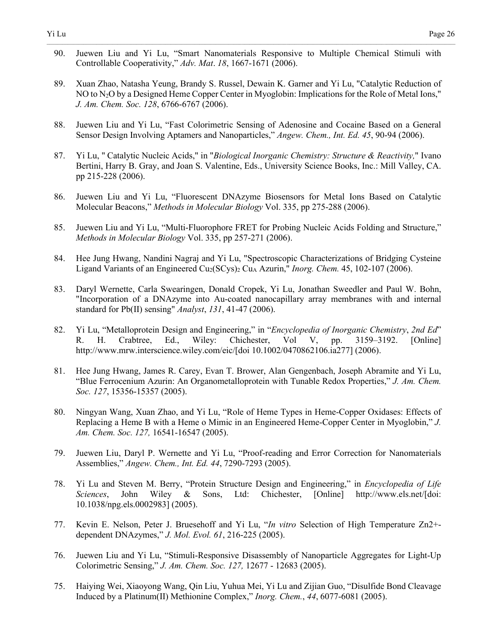90. Juewen Liu and Yi Lu, "Smart Nanomaterials Responsive to Multiple Chemical Stimuli with Controllable Cooperativity," *Adv. Mat*. *18*, 1667-1671 (2006).

- 89. Xuan Zhao, Natasha Yeung, Brandy S. Russel, Dewain K. Garner and Yi Lu, "Catalytic Reduction of NO to N2O by a Designed Heme Copper Center in Myoglobin: Implications for the Role of Metal Ions," *J. Am. Chem. Soc. 128*, 6766-6767 (2006).
- 88. Juewen Liu and Yi Lu, "Fast Colorimetric Sensing of Adenosine and Cocaine Based on a General Sensor Design Involving Aptamers and Nanoparticles," *Angew. Chem., Int. Ed. 45*, 90-94 (2006).
- 87. Yi Lu, " Catalytic Nucleic Acids," in "*Biological Inorganic Chemistry: Structure & Reactivity,*" Ivano Bertini, Harry B. Gray, and Joan S. Valentine, Eds., University Science Books, Inc.: Mill Valley, CA. pp 215-228 (2006).
- 86. Juewen Liu and Yi Lu, "Fluorescent DNAzyme Biosensors for Metal Ions Based on Catalytic Molecular Beacons," *Methods in Molecular Biology* Vol. 335, pp 275-288 (2006).
- 85. Juewen Liu and Yi Lu, "Multi-Fluorophore FRET for Probing Nucleic Acids Folding and Structure," *Methods in Molecular Biology* Vol. 335, pp 257-271 (2006).
- 84. Hee Jung Hwang, Nandini Nagraj and Yi Lu, "Spectroscopic Characterizations of Bridging Cysteine Ligand Variants of an Engineered Cu<sub>2</sub>(SCys)<sub>2</sub> Cu<sub>A</sub> Azurin," *Inorg. Chem.* 45, 102-107 (2006).
- 83. Daryl Wernette, Carla Swearingen, Donald Cropek, Yi Lu, Jonathan Sweedler and Paul W. Bohn, "Incorporation of a DNAzyme into Au-coated nanocapillary array membranes with and internal standard for Pb(II) sensing" *Analyst*, *131*, 41-47 (2006).
- 82. Yi Lu, "Metalloprotein Design and Engineering," in "*Encyclopedia of Inorganic Chemistry*, *2nd Ed*" R. H. Crabtree, Ed., Wiley: Chichester, Vol V, pp. 3159–3192. [Online] http://www.mrw.interscience.wiley.com/eic/[doi 10.1002/0470862106.ia277] (2006).
- 81. Hee Jung Hwang, James R. Carey, Evan T. Brower, Alan Gengenbach, Joseph Abramite and Yi Lu, "Blue Ferrocenium Azurin: An Organometalloprotein with Tunable Redox Properties," *J. Am. Chem. Soc. 127*, 15356-15357 (2005).
- 80. Ningyan Wang, Xuan Zhao, and Yi Lu, "Role of Heme Types in Heme-Copper Oxidases: Effects of Replacing a Heme B with a Heme o Mimic in an Engineered Heme-Copper Center in Myoglobin," *J. Am. Chem. Soc. 127,* 16541-16547 (2005).
- 79. Juewen Liu, Daryl P. Wernette and Yi Lu, "Proof-reading and Error Correction for Nanomaterials Assemblies," *Angew. Chem., Int. Ed. 44*, 7290-7293 (2005).
- 78. Yi Lu and Steven M. Berry, "Protein Structure Design and Engineering," in *Encyclopedia of Life Sciences*, John Wiley & Sons, Ltd: Chichester, [Online] http://www.els.net/[doi: 10.1038/npg.els.0002983] (2005).
- 77. Kevin E. Nelson, Peter J. Bruesehoff and Yi Lu, "*In vitro* Selection of High Temperature Zn2+ dependent DNAzymes," *J. Mol. Evol. 61*, 216-225 (2005).
- 76. Juewen Liu and Yi Lu, "Stimuli-Responsive Disassembly of Nanoparticle Aggregates for Light-Up Colorimetric Sensing," *J. Am. Chem. Soc. 127,* 12677 - 12683 (2005).
- 75. Haiying Wei, Xiaoyong Wang, Qin Liu, Yuhua Mei, Yi Lu and Zijian Guo, "Disulfide Bond Cleavage Induced by a Platinum(II) Methionine Complex," *Inorg. Chem.*, *44*, 6077-6081 (2005).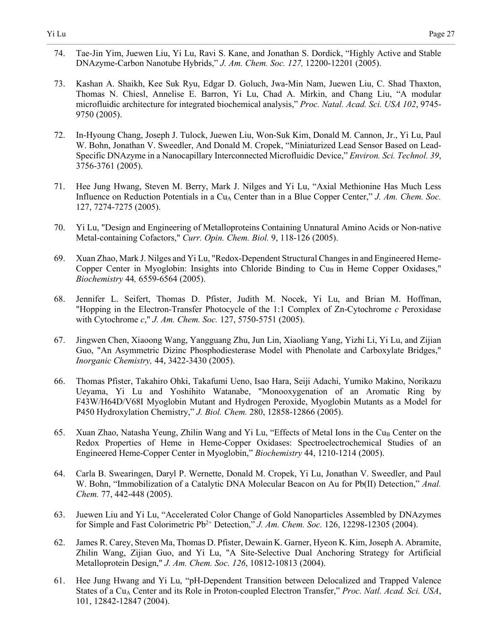74. Tae-Jin Yim, Juewen Liu, Yi Lu, Ravi S. Kane, and Jonathan S. Dordick, "Highly Active and Stable DNAzyme-Carbon Nanotube Hybrids," *J. Am. Chem. Soc. 127,* 12200-12201 (2005).

- 73. Kashan A. Shaikh, Kee Suk Ryu, Edgar D. Goluch, Jwa-Min Nam, Juewen Liu, C. Shad Thaxton, Thomas N. Chiesl, Annelise E. Barron, Yi Lu, Chad A. Mirkin, and Chang Liu, "A modular microfluidic architecture for integrated biochemical analysis," *Proc. Natal. Acad. Sci. USA 102*, 9745- 9750 (2005).
- 72. In-Hyoung Chang, Joseph J. Tulock, Juewen Liu, Won-Suk Kim, Donald M. Cannon, Jr., Yi Lu, Paul W. Bohn, Jonathan V. Sweedler, And Donald M. Cropek, "Miniaturized Lead Sensor Based on Lead-Specific DNAzyme in a Nanocapillary Interconnected Microfluidic Device," *Environ. Sci. Technol. 39*, 3756-3761 (2005).
- 71. Hee Jung Hwang, Steven M. Berry, Mark J. Nilges and Yi Lu, "Axial Methionine Has Much Less Influence on Reduction Potentials in a Cu<sub>A</sub> Center than in a Blue Copper Center," *J. Am. Chem. Soc.* 127, 7274-7275 (2005).
- 70. Yi Lu, "Design and Engineering of Metalloproteins Containing Unnatural Amino Acids or Non-native Metal-containing Cofactors," *Curr. Opin. Chem. Biol.* 9, 118-126 (2005).
- 69. Xuan Zhao, Mark J. Nilges and Yi Lu, "Redox-Dependent Structural Changes in and Engineered Heme-Copper Center in Myoglobin: Insights into Chloride Binding to  $Cu<sub>B</sub>$  in Heme Copper Oxidases," *Biochemistry* 44*,* 6559-6564 (2005).
- 68. Jennifer L. Seifert, Thomas D. Pfister, Judith M. Nocek, Yi Lu, and Brian M. Hoffman, "Hopping in the Electron-Transfer Photocycle of the 1:1 Complex of Zn-Cytochrome *c* Peroxidase with Cytochrome *c*," *J. Am. Chem. Soc.* 127, 5750-5751 (2005).
- 67. Jingwen Chen, Xiaoong Wang, Yangguang Zhu, Jun Lin, Xiaoliang Yang, Yizhi Li, Yi Lu, and Zijian Guo, "An Asymmetric Dizinc Phosphodiesterase Model with Phenolate and Carboxylate Bridges," *Inorganic Chemistry,* 44, 3422-3430 (2005).
- 66. Thomas Pfister, Takahiro Ohki, Takafumi Ueno, Isao Hara, Seiji Adachi, Yumiko Makino, Norikazu Ueyama, Yi Lu and Yoshihito Watanabe, "Monooxygenation of an Aromatic Ring by F43W/H64D/V68I Myoglobin Mutant and Hydrogen Peroxide, Myoglobin Mutants as a Model for P450 Hydroxylation Chemistry," *J. Biol. Chem.* 280, 12858-12866 (2005).
- 65. Xuan Zhao, Natasha Yeung, Zhilin Wang and Yi Lu, "Effects of Metal Ions in the Cu<sub>B</sub> Center on the Redox Properties of Heme in Heme-Copper Oxidases: Spectroelectrochemical Studies of an Engineered Heme-Copper Center in Myoglobin," *Biochemistry* 44, 1210-1214 (2005).
- 64. Carla B. Swearingen, Daryl P. Wernette, Donald M. Cropek, Yi Lu, Jonathan V. Sweedler, and Paul W. Bohn, "Immobilization of a Catalytic DNA Molecular Beacon on Au for Pb(II) Detection," *Anal. Chem.* 77, 442-448 (2005).
- 63. Juewen Liu and Yi Lu, "Accelerated Color Change of Gold Nanoparticles Assembled by DNAzymes for Simple and Fast Colorimetric Pb2+ Detection," *J. Am. Chem. Soc.* 126, 12298-12305 (2004).
- 62. James R. Carey, Steven Ma, Thomas D. Pfister, Dewain K. Garner, Hyeon K. Kim, Joseph A. Abramite, Zhilin Wang, Zijian Guo, and Yi Lu, "A Site-Selective Dual Anchoring Strategy for Artificial Metalloprotein Design," *J. Am. Chem. Soc. 126*, 10812-10813 (2004).
- 61. Hee Jung Hwang and Yi Lu, "pH-Dependent Transition between Delocalized and Trapped Valence States of a Cu<sub>A</sub> Center and its Role in Proton-coupled Electron Transfer," *Proc. Natl. Acad. Sci. USA*, 101, 12842-12847 (2004).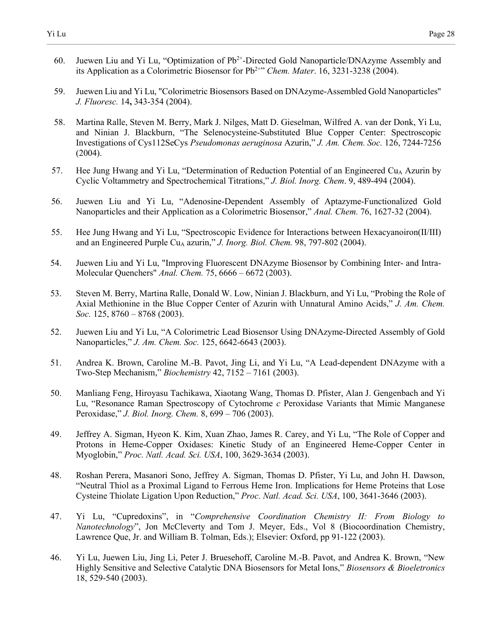60. Juewen Liu and Yi Lu, "Optimization of Pb<sup>2+</sup>-Directed Gold Nanoparticle/DNAzyme Assembly and its Application as a Colorimetric Biosensor for Pb2+" *Chem. Mater*. 16, 3231-3238 (2004).

- 59. Juewen Liu and Yi Lu, "Colorimetric Biosensors Based on DNAzyme-Assembled Gold Nanoparticles" *J. Fluoresc.* 14**,** 343-354 (2004).
- 58. Martina Ralle, Steven M. Berry, Mark J. Nilges, Matt D. Gieselman, Wilfred A. van der Donk, Yi Lu, and Ninian J. Blackburn, "The Selenocysteine-Substituted Blue Copper Center: Spectroscopic Investigations of Cys112SeCys *Pseudomonas aeruginosa* Azurin," *J. Am. Chem. Soc.* 126, 7244-7256 (2004).
- 57. Hee Jung Hwang and Yi Lu, "Determination of Reduction Potential of an Engineered Cu<sub>A</sub> Azurin by Cyclic Voltammetry and Spectrochemical Titrations," *J. Biol. Inorg. Chem*. 9, 489-494 (2004).
- 56. Juewen Liu and Yi Lu, "Adenosine-Dependent Assembly of Aptazyme-Functionalized Gold Nanoparticles and their Application as a Colorimetric Biosensor," *Anal. Chem.* 76, 1627-32 (2004).
- 55. Hee Jung Hwang and Yi Lu, "Spectroscopic Evidence for Interactions between Hexacyanoiron(II/III) and an Engineered Purple Cu<sub>A</sub> azurin," *J. Inorg. Biol. Chem.* 98, 797-802 (2004).
- 54. Juewen Liu and Yi Lu, "Improving Fluorescent DNAzyme Biosensor by Combining Inter- and Intra-Molecular Quenchers" *Anal. Chem.* 75, 6666 – 6672 (2003).
- 53. Steven M. Berry, Martina Ralle, Donald W. Low, Ninian J. Blackburn, and Yi Lu, "Probing the Role of Axial Methionine in the Blue Copper Center of Azurin with Unnatural Amino Acids," *J. Am. Chem. Soc.* 125, 8760 – 8768 (2003).
- 52. Juewen Liu and Yi Lu, "A Colorimetric Lead Biosensor Using DNAzyme-Directed Assembly of Gold Nanoparticles," *J. Am. Chem. Soc.* 125, 6642-6643 (2003).
- 51. Andrea K. Brown, Caroline M.-B. Pavot, Jing Li, and Yi Lu, "A Lead-dependent DNAzyme with a Two-Step Mechanism," *Biochemistry* 42, 7152 – 7161 (2003).
- 50. Manliang Feng, Hiroyasu Tachikawa, Xiaotang Wang, Thomas D. Pfister, Alan J. Gengenbach and Yi Lu, "Resonance Raman Spectroscopy of Cytochrome *c* Peroxidase Variants that Mimic Manganese Peroxidase," *J. Biol. Inorg. Chem.* 8, 699 – 706 (2003).
- 49. Jeffrey A. Sigman, Hyeon K. Kim, Xuan Zhao, James R. Carey, and Yi Lu, "The Role of Copper and Protons in Heme-Copper Oxidases: Kinetic Study of an Engineered Heme-Copper Center in Myoglobin," *Proc. Natl. Acad. Sci. USA*, 100, 3629-3634 (2003).
- 48. Roshan Perera, Masanori Sono, Jeffrey A. Sigman, Thomas D. Pfister, Yi Lu, and John H. Dawson, "Neutral Thiol as a Proximal Ligand to Ferrous Heme Iron. Implications for Heme Proteins that Lose Cysteine Thiolate Ligation Upon Reduction," *Proc. Natl. Acad. Sci. USA*, 100, 3641-3646 (2003).
- 47. Yi Lu, "Cupredoxins", in "*Comprehensive Coordination Chemistry II: From Biology to Nanotechnology*", Jon McCleverty and Tom J. Meyer, Eds., Vol 8 (Biocoordination Chemistry, Lawrence Que, Jr. and William B. Tolman, Eds.); Elsevier: Oxford, pp 91-122 (2003).
- 46. Yi Lu, Juewen Liu, Jing Li, Peter J. Bruesehoff, Caroline M.-B. Pavot, and Andrea K. Brown, "New Highly Sensitive and Selective Catalytic DNA Biosensors for Metal Ions," *Biosensors & Bioeletronics* 18, 529-540 (2003).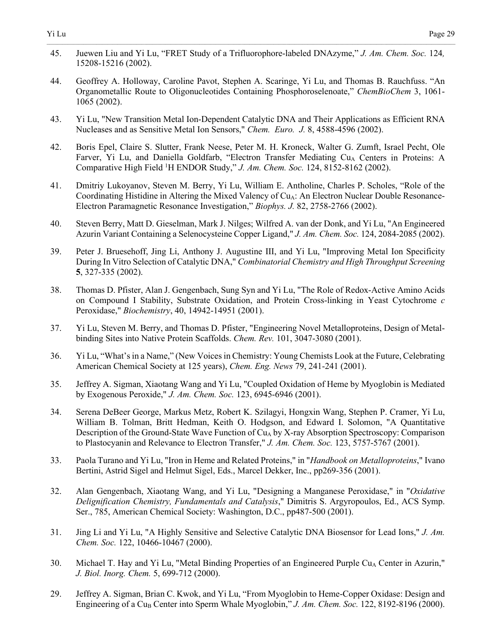45. Juewen Liu and Yi Lu, "FRET Study of a Trifluorophore-labeled DNAzyme," *J. Am. Chem. Soc.* 124*,*  15208-15216 (2002).

- 44. Geoffrey A. Holloway, Caroline Pavot, Stephen A. Scaringe, Yi Lu, and Thomas B. Rauchfuss. "An Organometallic Route to Oligonucleotides Containing Phosphoroselenoate," *ChemBioChem* 3, 1061- 1065 (2002).
- 43. Yi Lu, "New Transition Metal Ion-Dependent Catalytic DNA and Their Applications as Efficient RNA Nucleases and as Sensitive Metal Ion Sensors," *Chem. Euro. J.* 8, 4588-4596 (2002).
- 42. Boris Epel, Claire S. Slutter, Frank Neese, Peter M. H. Kroneck, Walter G. Zumft, Israel Pecht, Ole Farver, Yi Lu, and Daniella Goldfarb, "Electron Transfer Mediating  $Cu<sub>A</sub>$  Centers in Proteins: A Comparative High Field 1 H ENDOR Study," *J. Am. Chem. Soc.* 124, 8152-8162 (2002).
- 41. Dmitriy Lukoyanov, Steven M. Berry, Yi Lu, William E. Antholine, Charles P. Scholes, "Role of the Coordinating Histidine in Altering the Mixed Valency of Cu<sub>A</sub>: An Electron Nuclear Double Resonance-Electron Paramagnetic Resonance Investigation," *Biophys. J.* 82, 2758-2766 (2002).
- 40. Steven Berry, Matt D. Gieselman, Mark J. Nilges; Wilfred A. van der Donk, and Yi Lu, "An Engineered Azurin Variant Containing a Selenocysteine Copper Ligand," *J. Am. Chem. Soc.* 124, 2084-2085 (2002).
- 39. Peter J. Bruesehoff, Jing Li, Anthony J. Augustine III, and Yi Lu, "Improving Metal Ion Specificity During In Vitro Selection of Catalytic DNA," *Combinatorial Chemistry and High Throughput Screening* **5**, 327-335 (2002).
- 38. Thomas D. Pfister, Alan J. Gengenbach, Sung Syn and Yi Lu, "The Role of Redox-Active Amino Acids on Compound I Stability, Substrate Oxidation, and Protein Cross-linking in Yeast Cytochrome *c* Peroxidase," *Biochemistry*, 40, 14942-14951 (2001).
- 37. Yi Lu, Steven M. Berry, and Thomas D. Pfister, "Engineering Novel Metalloproteins, Design of Metalbinding Sites into Native Protein Scaffolds. *Chem. Rev.* 101, 3047-3080 (2001).
- 36. Yi Lu, "What's in a Name," (New Voices in Chemistry: Young Chemists Look at the Future, Celebrating American Chemical Society at 125 years), *Chem. Eng. News* 79, 241-241 (2001).
- 35. Jeffrey A. Sigman, Xiaotang Wang and Yi Lu, "Coupled Oxidation of Heme by Myoglobin is Mediated by Exogenous Peroxide," *J. Am. Chem. Soc.* 123, 6945-6946 (2001).
- 34. Serena DeBeer George, Markus Metz, Robert K. Szilagyi, Hongxin Wang, Stephen P. Cramer, Yi Lu, William B. Tolman, Britt Hedman, Keith O. Hodgson, and Edward I. Solomon, "A Quantitative Description of the Ground-State Wave Function of  $Cu<sub>A</sub>$  by X-ray Absorption Spectroscopy: Comparison to Plastocyanin and Relevance to Electron Transfer," *J. Am. Chem. Soc.* 123, 5757-5767 (2001).
- 33. Paola Turano and Yi Lu, "Iron in Heme and Related Proteins," in "*Handbook on Metalloproteins*," Ivano Bertini, Astrid Sigel and Helmut Sigel, Eds., Marcel Dekker, Inc., pp269-356 (2001).
- 32. Alan Gengenbach, Xiaotang Wang, and Yi Lu, "Designing a Manganese Peroxidase," in "*Oxidative Delignification Chemistry, Fundamentals and Catalysis*," Dimitris S. Argyropoulos, Ed., ACS Symp. Ser., 785, American Chemical Society: Washington, D.C., pp487-500 (2001).
- 31. Jing Li and Yi Lu, "A Highly Sensitive and Selective Catalytic DNA Biosensor for Lead Ions," *J. Am. Chem. Soc.* 122, 10466-10467 (2000).
- 30. Michael T. Hay and Yi Lu, "Metal Binding Properties of an Engineered Purple Cu<sub>A</sub> Center in Azurin," *J. Biol. Inorg. Chem.* 5, 699-712 (2000).
- 29. Jeffrey A. Sigman, Brian C. Kwok, and Yi Lu, "From Myoglobin to Heme-Copper Oxidase: Design and Engineering of a Cu<sub>B</sub> Center into Sperm Whale Myoglobin," *J. Am. Chem. Soc.* 122, 8192-8196 (2000).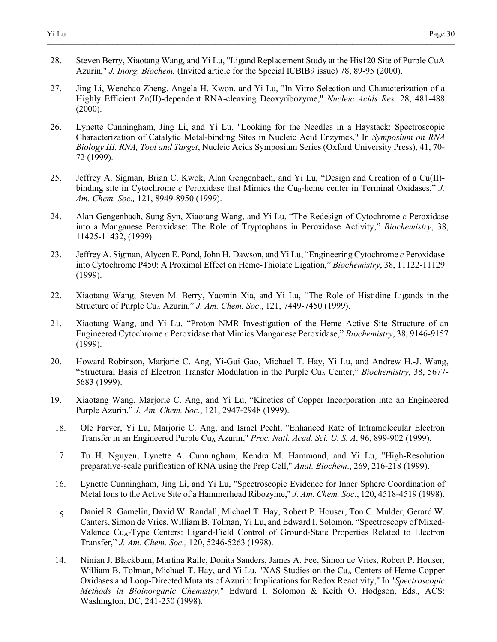28. Steven Berry, Xiaotang Wang, and Yi Lu, "Ligand Replacement Study at the His120 Site of Purple CuA Azurin," *J. Inorg. Biochem.* (Invited article for the Special ICBIB9 issue) 78, 89-95 (2000).

- 27. Jing Li, Wenchao Zheng, Angela H. Kwon, and Yi Lu, "In Vitro Selection and Characterization of a Highly Efficient Zn(II)-dependent RNA-cleaving Deoxyribozyme," *Nucleic Acids Res.* 28, 481-488  $(2000).$
- 26. Lynette Cunningham, Jing Li, and Yi Lu, "Looking for the Needles in a Haystack: Spectroscopic Characterization of Catalytic Metal-binding Sites in Nucleic Acid Enzymes," In *Symposium on RNA Biology III. RNA, Tool and Target*, Nucleic Acids Symposium Series (Oxford University Press), 41, 70- 72 (1999).
- 25. Jeffrey A. Sigman, Brian C. Kwok, Alan Gengenbach, and Yi Lu, "Design and Creation of a Cu(II) binding site in Cytochrome  $c$  Peroxidase that Mimics the Cu<sub>B</sub>-heme center in Terminal Oxidases,"  $J$ . *Am. Chem. Soc.,* 121, 8949-8950 (1999).
- 24. Alan Gengenbach, Sung Syn, Xiaotang Wang, and Yi Lu, "The Redesign of Cytochrome *c* Peroxidase into a Manganese Peroxidase: The Role of Tryptophans in Peroxidase Activity," *Biochemistry*, 38, 11425-11432, (1999).
- 23. Jeffrey A. Sigman, Alycen E. Pond, John H. Dawson, and Yi Lu, "Engineering Cytochrome *c* Peroxidase into Cytochrome P450: A Proximal Effect on Heme-Thiolate Ligation," *Biochemistry*, 38, 11122-11129 (1999).
- 22. Xiaotang Wang, Steven M. Berry, Yaomin Xia, and Yi Lu, "The Role of Histidine Ligands in the Structure of Purple Cu<sub>A</sub> Azurin," *J. Am. Chem. Soc.*, 121, 7449-7450 (1999).
- 21. Xiaotang Wang, and Yi Lu, "Proton NMR Investigation of the Heme Active Site Structure of an Engineered Cytochrome *c* Peroxidase that Mimics Manganese Peroxidase," *Biochemistry*, 38, 9146-9157 (1999).
- 20. Howard Robinson, Marjorie C. Ang, Yi-Gui Gao, Michael T. Hay, Yi Lu, and Andrew H.-J. Wang, "Structural Basis of Electron Transfer Modulation in the Purple Cu<sub>A</sub> Center," *Biochemistry*, 38, 5677-5683 (1999).
- 19. Xiaotang Wang, Marjorie C. Ang, and Yi Lu, "Kinetics of Copper Incorporation into an Engineered Purple Azurin," *J. Am. Chem. Soc*., 121, 2947-2948 (1999).
- 18. Ole Farver, Yi Lu, Marjorie C. Ang, and Israel Pecht, "Enhanced Rate of Intramolecular Electron Transfer in an Engineered Purple Cu<sub>A</sub> Azurin," *Proc. Natl. Acad. Sci. U. S. A*, 96, 899-902 (1999).
- 17. Tu H. Nguyen, Lynette A. Cunningham, Kendra M. Hammond, and Yi Lu, "High-Resolution preparative-scale purification of RNA using the Prep Cell," *Anal. Biochem*., 269, 216-218 (1999).
- 16. Lynette Cunningham, Jing Li, and Yi Lu, "Spectroscopic Evidence for Inner Sphere Coordination of Metal Ions to the Active Site of a Hammerhead Ribozyme," *J. Am. Chem. Soc.*, 120, 4518-4519 (1998).
- 15. Daniel R. Gamelin, David W. Randall, Michael T. Hay, Robert P. Houser, Ton C. Mulder, Gerard W. Canters, Simon de Vries, William B. Tolman, Yi Lu, and Edward I. Solomon, "Spectroscopy of Mixed-Valence CuA-Type Centers: Ligand-Field Control of Ground-State Properties Related to Electron Transfer," *J. Am. Chem. Soc.,* 120, 5246-5263 (1998).
- 14. Ninian J. Blackburn, Martina Ralle, Donita Sanders, James A. Fee, Simon de Vries, Robert P. Houser, William B. Tolman, Michael T. Hay, and Yi Lu, "XAS Studies on the Cu<sub>A</sub> Centers of Heme-Copper Oxidases and Loop-Directed Mutants of Azurin: Implications for Redox Reactivity," In "*Spectroscopic Methods in Bioinorganic Chemistry,*" Edward I. Solomon & Keith O. Hodgson, Eds., ACS: Washington, DC, 241-250 (1998).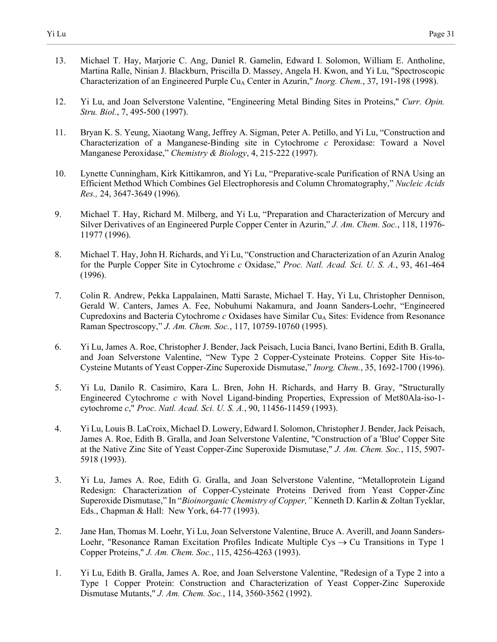13. Michael T. Hay, Marjorie C. Ang, Daniel R. Gamelin, Edward I. Solomon, William E. Antholine, Martina Ralle, Ninian J. Blackburn, Priscilla D. Massey, Angela H. Kwon, and Yi Lu, "Spectroscopic Characterization of an Engineered Purple Cu<sub>A</sub> Center in Azurin," *Inorg. Chem.*, 37, 191-198 (1998).

- 12. Yi Lu, and Joan Selverstone Valentine, "Engineering Metal Binding Sites in Proteins," *Curr. Opin. Stru. Biol.*, 7, 495-500 (1997).
- 11. Bryan K. S. Yeung, Xiaotang Wang, Jeffrey A. Sigman, Peter A. Petillo, and Yi Lu, "Construction and Characterization of a Manganese-Binding site in Cytochrome *c* Peroxidase: Toward a Novel Manganese Peroxidase," *Chemistry & Biology*, 4, 215-222 (1997).
- 10. Lynette Cunningham, Kirk Kittikamron, and Yi Lu, "Preparative-scale Purification of RNA Using an Efficient Method Which Combines Gel Electrophoresis and Column Chromatography," *Nucleic Acids Res.,* 24, 3647-3649 (1996).
- 9. Michael T. Hay, Richard M. Milberg, and Yi Lu, "Preparation and Characterization of Mercury and Silver Derivatives of an Engineered Purple Copper Center in Azurin," *J. Am. Chem. Soc.*, 118, 11976- 11977 (1996).
- 8. Michael T. Hay, John H. Richards, and Yi Lu, "Construction and Characterization of an Azurin Analog for the Purple Copper Site in Cytochrome *c* Oxidase," *Proc. Natl. Acad. Sci. U. S. A.*, 93, 461-464 (1996).
- 7. Colin R. Andrew, Pekka Lappalainen, Matti Saraste, Michael T. Hay, Yi Lu, Christopher Dennison, Gerald W. Canters, James A. Fee, Nobuhumi Nakamura, and Joann Sanders-Loehr, "Engineered Cupredoxins and Bacteria Cytochrome *c* Oxidases have Similar Cu<sub>A</sub> Sites: Evidence from Resonance Raman Spectroscopy," *J. Am. Chem. Soc.*, 117, 10759-10760 (1995).
- 6. Yi Lu, James A. Roe, Christopher J. Bender, Jack Peisach, Lucia Banci, Ivano Bertini, Edith B. Gralla, and Joan Selverstone Valentine, "New Type 2 Copper-Cysteinate Proteins. Copper Site His-to-Cysteine Mutants of Yeast Copper-Zinc Superoxide Dismutase," *Inorg. Chem.*, 35, 1692-1700 (1996).
- 5. Yi Lu, Danilo R. Casimiro, Kara L. Bren, John H. Richards, and Harry B. Gray, "Structurally Engineered Cytochrome *c* with Novel Ligand-binding Properties, Expression of Met80Ala-iso-1 cytochrome *c*," *Proc. Natl. Acad. Sci. U. S. A.*, 90, 11456-11459 (1993).
- 4. Yi Lu, Louis B. LaCroix, Michael D. Lowery, Edward I. Solomon, Christopher J. Bender, Jack Peisach, James A. Roe, Edith B. Gralla, and Joan Selverstone Valentine, "Construction of a 'Blue' Copper Site at the Native Zinc Site of Yeast Copper-Zinc Superoxide Dismutase," *J. Am. Chem. Soc.*, 115, 5907- 5918 (1993).
- 3. Yi Lu, James A. Roe, Edith G. Gralla, and Joan Selverstone Valentine, "Metalloprotein Ligand Redesign: Characterization of Copper-Cysteinate Proteins Derived from Yeast Copper-Zinc Superoxide Dismutase," In "*Bioinorganic Chemistry of Copper,"* Kenneth D. Karlin & Zoltan Tyeklar, Eds., Chapman & Hall: New York, 64-77 (1993).
- 2. Jane Han, Thomas M. Loehr, Yi Lu, Joan Selverstone Valentine, Bruce A. Averill, and Joann Sanders-Loehr, "Resonance Raman Excitation Profiles Indicate Multiple Cys  $\rightarrow$  Cu Transitions in Type 1 Copper Proteins," *J. Am. Chem. Soc.*, 115, 4256-4263 (1993).
- 1. Yi Lu, Edith B. Gralla, James A. Roe, and Joan Selverstone Valentine, "Redesign of a Type 2 into a Type 1 Copper Protein: Construction and Characterization of Yeast Copper-Zinc Superoxide Dismutase Mutants," *J. Am. Chem. Soc.*, 114, 3560-3562 (1992).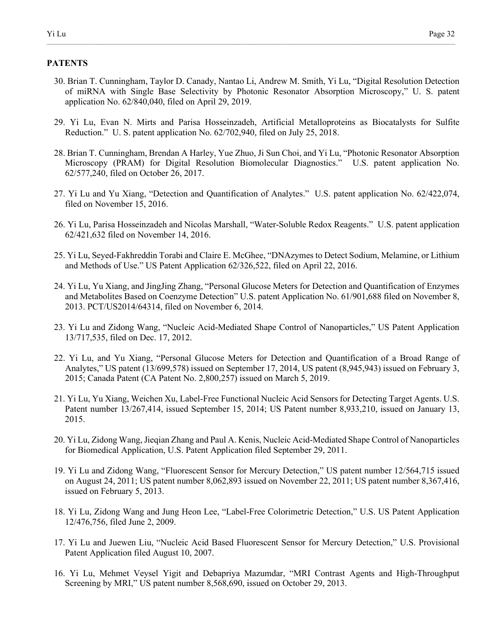## **PATENTS**

- 30. Brian T. Cunningham, Taylor D. Canady, Nantao Li, Andrew M. Smith, Yi Lu, "Digital Resolution Detection of miRNA with Single Base Selectivity by Photonic Resonator Absorption Microscopy," U. S. patent application No. 62/840,040, filed on April 29, 2019.
- 29. Yi Lu, Evan N. Mirts and Parisa Hosseinzadeh, Artificial Metalloproteins as Biocatalysts for Sulfite Reduction." U. S. patent application No. 62/702,940, filed on July 25, 2018.
- 28. Brian T. Cunningham, Brendan A Harley, Yue Zhuo, Ji Sun Choi, and Yi Lu, "Photonic Resonator Absorption Microscopy (PRAM) for Digital Resolution Biomolecular Diagnostics." U.S. patent application No. 62/577,240, filed on October 26, 2017.
- 27. Yi Lu and Yu Xiang, "Detection and Quantification of Analytes." U.S. patent application No. 62/422,074, filed on November 15, 2016.
- 26. Yi Lu, Parisa Hosseinzadeh and Nicolas Marshall, "Water-Soluble Redox Reagents." U.S. patent application 62/421,632 filed on November 14, 2016.
- 25. Yi Lu, Seyed-Fakhreddin Torabi and Claire E. McGhee, "DNAzymes to Detect Sodium, Melamine, or Lithium and Methods of Use." US Patent Application 62/326,522, filed on April 22, 2016.
- 24. Yi Lu, Yu Xiang, and JingJing Zhang, "Personal Glucose Meters for Detection and Quantification of Enzymes and Metabolites Based on Coenzyme Detection" U.S. patent Application No. 61/901,688 filed on November 8, 2013. PCT/US2014/64314, filed on November 6, 2014.
- 23. Yi Lu and Zidong Wang, "Nucleic Acid-Mediated Shape Control of Nanoparticles," US Patent Application 13/717,535, filed on Dec. 17, 2012.
- 22. Yi Lu, and Yu Xiang, "Personal Glucose Meters for Detection and Quantification of a Broad Range of Analytes," US patent (13/699,578) issued on September 17, 2014, US patent (8,945,943) issued on February 3, 2015; Canada Patent (CA Patent No. 2,800,257) issued on March 5, 2019.
- 21. Yi Lu, Yu Xiang, Weichen Xu, Label-Free Functional Nucleic Acid Sensors for Detecting Target Agents. U.S. Patent number 13/267,414, issued September 15, 2014; US Patent number 8,933,210, issued on January 13, 2015.
- 20. Yi Lu, Zidong Wang, Jieqian Zhang and Paul A. Kenis, Nucleic Acid-Mediated Shape Control of Nanoparticles for Biomedical Application, U.S. Patent Application filed September 29, 2011.
- 19. Yi Lu and Zidong Wang, "Fluorescent Sensor for Mercury Detection," US patent number 12/564,715 issued on August 24, 2011; US patent number 8,062,893 issued on November 22, 2011; US patent number 8,367,416, issued on February 5, 2013.
- 18. Yi Lu, Zidong Wang and Jung Heon Lee, "Label-Free Colorimetric Detection," U.S. US Patent Application 12/476,756, filed June 2, 2009.
- 17. Yi Lu and Juewen Liu, "Nucleic Acid Based Fluorescent Sensor for Mercury Detection," U.S. Provisional Patent Application filed August 10, 2007.
- 16. Yi Lu, Mehmet Veysel Yigit and Debapriya Mazumdar, "MRI Contrast Agents and High-Throughput Screening by MRI," US patent number 8,568,690, issued on October 29, 2013.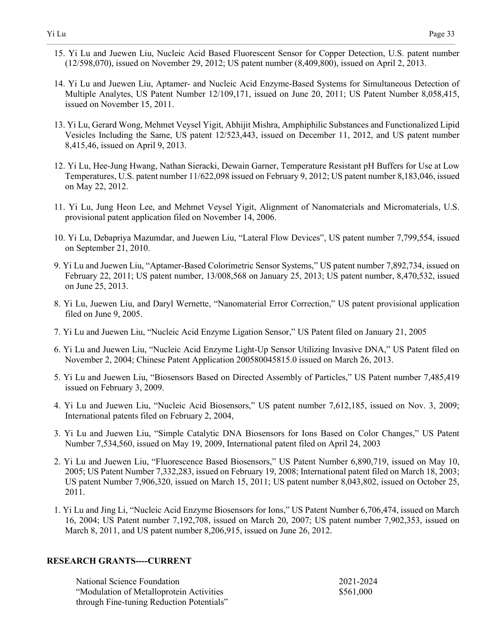15. Yi Lu and Juewen Liu, Nucleic Acid Based Fluorescent Sensor for Copper Detection, U.S. patent number (12/598,070), issued on November 29, 2012; US patent number (8,409,800), issued on April 2, 2013.

 $\_$  , and the state of the state of the state of the state of the state of the state of the state of the state of the state of the state of the state of the state of the state of the state of the state of the state of the

- 14. Yi Lu and Juewen Liu, Aptamer- and Nucleic Acid Enzyme-Based Systems for Simultaneous Detection of Multiple Analytes, US Patent Number 12/109,171, issued on June 20, 2011; US Patent Number 8,058,415, issued on November 15, 2011.
- 13. Yi Lu, Gerard Wong, Mehmet Veysel Yigit, Abhijit Mishra, Amphiphilic Substances and Functionalized Lipid Vesicles Including the Same, US patent 12/523,443, issued on December 11, 2012, and US patent number 8,415,46, issued on April 9, 2013.
- 12. Yi Lu, Hee-Jung Hwang, Nathan Sieracki, Dewain Garner, Temperature Resistant pH Buffers for Use at Low Temperatures, U.S. patent number 11/622,098 issued on February 9, 2012; US patent number 8,183,046, issued on May 22, 2012.
- 11. Yi Lu, Jung Heon Lee, and Mehmet Veysel Yigit, Alignment of Nanomaterials and Micromaterials, U.S. provisional patent application filed on November 14, 2006.
- 10. Yi Lu, Debapriya Mazumdar, and Juewen Liu, "Lateral Flow Devices", US patent number 7,799,554, issued on September 21, 2010.
- 9. Yi Lu and Juewen Liu, "Aptamer-Based Colorimetric Sensor Systems," US patent number 7,892,734, issued on February 22, 2011; US patent number, 13/008,568 on January 25, 2013; US patent number, 8,470,532, issued on June 25, 2013.
- 8. Yi Lu, Juewen Liu, and Daryl Wernette, "Nanomaterial Error Correction," US patent provisional application filed on June 9, 2005.
- 7. Yi Lu and Juewen Liu, "Nucleic Acid Enzyme Ligation Sensor," US Patent filed on January 21, 2005
- 6. Yi Lu and Juewen Liu, "Nucleic Acid Enzyme Light-Up Sensor Utilizing Invasive DNA," US Patent filed on November 2, 2004; Chinese Patent Application 200580045815.0 issued on March 26, 2013.
- 5. Yi Lu and Juewen Liu, "Biosensors Based on Directed Assembly of Particles," US Patent number 7,485,419 issued on February 3, 2009.
- 4. Yi Lu and Juewen Liu, "Nucleic Acid Biosensors," US patent number 7,612,185, issued on Nov. 3, 2009; International patents filed on February 2, 2004,
- 3. Yi Lu and Juewen Liu, "Simple Catalytic DNA Biosensors for Ions Based on Color Changes," US Patent Number 7,534,560, issued on May 19, 2009, International patent filed on April 24, 2003
- 2. Yi Lu and Juewen Liu, "Fluorescence Based Biosensors," US Patent Number 6,890,719, issued on May 10, 2005; US Patent Number 7,332,283, issued on February 19, 2008; International patent filed on March 18, 2003; US patent Number 7,906,320, issued on March 15, 2011; US patent number 8,043,802, issued on October 25, 2011.
- 1. Yi Lu and Jing Li, "Nucleic Acid Enzyme Biosensors for Ions," US Patent Number 6,706,474, issued on March 16, 2004; US Patent number 7,192,708, issued on March 20, 2007; US patent number 7,902,353, issued on March 8, 2011, and US patent number 8,206,915, issued on June 26, 2012.

#### **RESEARCH GRANTS----CURRENT**

| National Science Foundation               | 2021-2024 |
|-------------------------------------------|-----------|
| "Modulation of Metalloprotein Activities" | \$561,000 |
| through Fine-tuning Reduction Potentials" |           |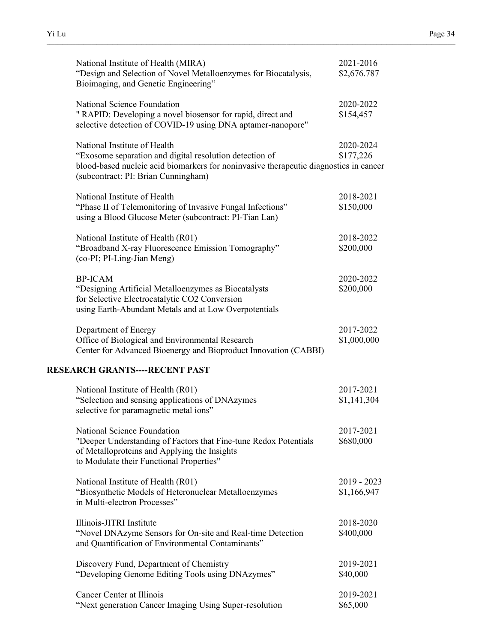| National Institute of Health (MIRA)<br>"Design and Selection of Novel Metalloenzymes for Biocatalysis,<br>Bioimaging, and Genetic Engineering"                                                                          | 2021-2016<br>\$2,676.787     |
|-------------------------------------------------------------------------------------------------------------------------------------------------------------------------------------------------------------------------|------------------------------|
| National Science Foundation<br>" RAPID: Developing a novel biosensor for rapid, direct and<br>selective detection of COVID-19 using DNA aptamer-nanopore"                                                               | 2020-2022<br>\$154,457       |
| National Institute of Health<br>"Exosome separation and digital resolution detection of<br>blood-based nucleic acid biomarkers for noninvasive therapeutic diagnostics in cancer<br>(subcontract: PI: Brian Cunningham) | 2020-2024<br>\$177,226       |
| National Institute of Health<br>"Phase II of Telemonitoring of Invasive Fungal Infections"<br>using a Blood Glucose Meter (subcontract: PI-Tian Lan)                                                                    | 2018-2021<br>\$150,000       |
| National Institute of Health (R01)<br>"Broadband X-ray Fluorescence Emission Tomography"<br>(co-PI; PI-Ling-Jian Meng)                                                                                                  | 2018-2022<br>\$200,000       |
| <b>BP-ICAM</b><br>"Designing Artificial Metalloenzymes as Biocatalysts<br>for Selective Electrocatalytic CO2 Conversion<br>using Earth-Abundant Metals and at Low Overpotentials                                        | 2020-2022<br>\$200,000       |
| Department of Energy<br>Office of Biological and Environmental Research<br>Center for Advanced Bioenergy and Bioproduct Innovation (CABBI)                                                                              | 2017-2022<br>\$1,000,000     |
| <b>RESEARCH GRANTS----RECENT PAST</b>                                                                                                                                                                                   |                              |
| National Institute of Health (R01)<br>"Selection and sensing applications of DNAzymes<br>selective for paramagnetic metal ions"                                                                                         | 2017-2021<br>\$1,141,304     |
| National Science Foundation<br>"Deeper Understanding of Factors that Fine-tune Redox Potentials<br>of Metalloproteins and Applying the Insights<br>to Modulate their Functional Properties"                             | 2017-2021<br>\$680,000       |
| National Institute of Health (R01)<br>"Biosynthetic Models of Heteronuclear Metalloenzymes<br>in Multi-electron Processes"                                                                                              | $2019 - 2023$<br>\$1,166,947 |
| Illinois-JITRI Institute<br>"Novel DNAzyme Sensors for On-site and Real-time Detection<br>and Quantification of Environmental Contaminants"                                                                             | 2018-2020<br>\$400,000       |
| Discovery Fund, Department of Chemistry<br>"Developing Genome Editing Tools using DNAzymes"                                                                                                                             | 2019-2021<br>\$40,000        |
| Cancer Center at Illinois<br>"Next generation Cancer Imaging Using Super-resolution                                                                                                                                     | 2019-2021<br>\$65,000        |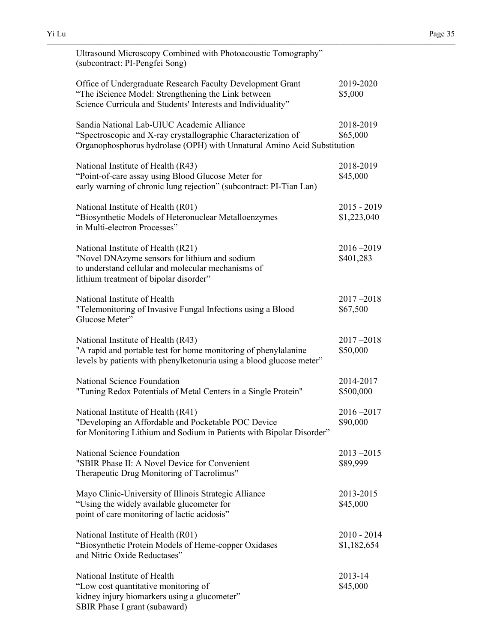| Ultrasound Microscopy Combined with Photoacoustic Tomography"<br>(subcontract: PI-Pengfei Song)                                                                                        |                            |
|----------------------------------------------------------------------------------------------------------------------------------------------------------------------------------------|----------------------------|
| Office of Undergraduate Research Faculty Development Grant<br>"The iScience Model: Strengthening the Link between<br>Science Curricula and Students' Interests and Individuality"      | 2019-2020<br>\$5,000       |
| Sandia National Lab-UIUC Academic Alliance<br>"Spectroscopic and X-ray crystallographic Characterization of<br>Organophosphorus hydrolase (OPH) with Unnatural Amino Acid Substitution | 2018-2019<br>\$65,000      |
| National Institute of Health (R43)<br>"Point-of-care assay using Blood Glucose Meter for<br>early warning of chronic lung rejection" (subcontract: PI-Tian Lan)                        | 2018-2019<br>\$45,000      |
| National Institute of Health (R01)<br>"Biosynthetic Models of Heteronuclear Metalloenzymes<br>in Multi-electron Processes"                                                             | 2015 - 2019<br>\$1,223,040 |
| National Institute of Health (R21)<br>"Novel DNAzyme sensors for lithium and sodium<br>to understand cellular and molecular mechanisms of<br>lithium treatment of bipolar disorder"    | $2016 - 2019$<br>\$401,283 |
| National Institute of Health<br>"Telemonitoring of Invasive Fungal Infections using a Blood<br>Glucose Meter"                                                                          | $2017 - 2018$<br>\$67,500  |
| National Institute of Health (R43)<br>"A rapid and portable test for home monitoring of phenylalanine<br>levels by patients with phenylketonuria using a blood glucose meter"          | $2017 - 2018$<br>\$50,000  |
| National Science Foundation<br>"Tuning Redox Potentials of Metal Centers in a Single Protein"                                                                                          | 2014-2017<br>\$500,000     |
| National Institute of Health (R41)<br>"Developing an Affordable and Pocketable POC Device<br>for Monitoring Lithium and Sodium in Patients with Bipolar Disorder"                      | $2016 - 2017$<br>\$90,000  |
| National Science Foundation<br>"SBIR Phase II: A Novel Device for Convenient<br>Therapeutic Drug Monitoring of Tacrolimus"                                                             | $2013 - 2015$<br>\$89,999  |
| Mayo Clinic-University of Illinois Strategic Alliance<br>"Using the widely available glucometer for<br>point of care monitoring of lactic acidosis"                                    | 2013-2015<br>\$45,000      |
| National Institute of Health (R01)<br>"Biosynthetic Protein Models of Heme-copper Oxidases<br>and Nitric Oxide Reductases"                                                             | 2010 - 2014<br>\$1,182,654 |
| National Institute of Health<br>"Low cost quantitative monitoring of<br>kidney injury biomarkers using a glucometer"                                                                   | 2013-14<br>\$45,000        |

SBIR Phase I grant (subaward)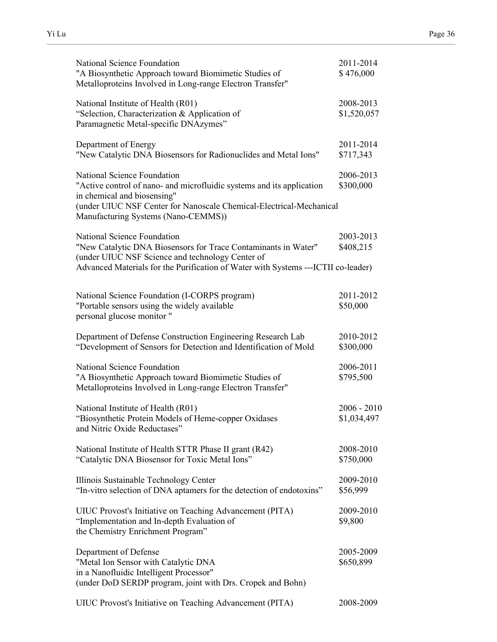| National Science Foundation<br>"A Biosynthetic Approach toward Biomimetic Studies of<br>Metalloproteins Involved in Long-range Electron Transfer"                                                                                                 | 2011-2014<br>\$476,000       |
|---------------------------------------------------------------------------------------------------------------------------------------------------------------------------------------------------------------------------------------------------|------------------------------|
| National Institute of Health (R01)<br>"Selection, Characterization & Application of<br>Paramagnetic Metal-specific DNAzymes"                                                                                                                      | 2008-2013<br>\$1,520,057     |
| Department of Energy<br>"New Catalytic DNA Biosensors for Radionuclides and Metal Ions"                                                                                                                                                           | 2011-2014<br>\$717,343       |
| National Science Foundation<br>"Active control of nano- and microfluidic systems and its application<br>in chemical and biosensing"<br>(under UIUC NSF Center for Nanoscale Chemical-Electrical-Mechanical<br>Manufacturing Systems (Nano-CEMMS)) | 2006-2013<br>\$300,000       |
| National Science Foundation<br>"New Catalytic DNA Biosensors for Trace Contaminants in Water"<br>(under UIUC NSF Science and technology Center of<br>Advanced Materials for the Purification of Water with Systems --- ICTII co-leader)           | 2003-2013<br>\$408,215       |
| National Science Foundation (I-CORPS program)<br>"Portable sensors using the widely available<br>personal glucose monitor "                                                                                                                       | 2011-2012<br>\$50,000        |
| Department of Defense Construction Engineering Research Lab<br>"Development of Sensors for Detection and Identification of Mold                                                                                                                   | 2010-2012<br>\$300,000       |
| National Science Foundation<br>"A Biosynthetic Approach toward Biomimetic Studies of<br>Metalloproteins Involved in Long-range Electron Transfer"                                                                                                 | 2006-2011<br>\$795,500       |
| National Institute of Health (R01)<br>"Biosynthetic Protein Models of Heme-copper Oxidases<br>and Nitric Oxide Reductases"                                                                                                                        | $2006 - 2010$<br>\$1,034,497 |
| National Institute of Health STTR Phase II grant (R42)<br>"Catalytic DNA Biosensor for Toxic Metal Ions"                                                                                                                                          | 2008-2010<br>\$750,000       |
| Illinois Sustainable Technology Center<br>"In-vitro selection of DNA aptamers for the detection of endotoxins"                                                                                                                                    | 2009-2010<br>\$56,999        |
| UIUC Provost's Initiative on Teaching Advancement (PITA)<br>"Implementation and In-depth Evaluation of<br>the Chemistry Enrichment Program"                                                                                                       | 2009-2010<br>\$9,800         |
| Department of Defense<br>"Metal Ion Sensor with Catalytic DNA<br>in a Nanofluidic Intelligent Processor"<br>(under DoD SERDP program, joint with Drs. Cropek and Bohn)                                                                            | 2005-2009<br>\$650,899       |
| UIUC Provost's Initiative on Teaching Advancement (PITA)                                                                                                                                                                                          | 2008-2009                    |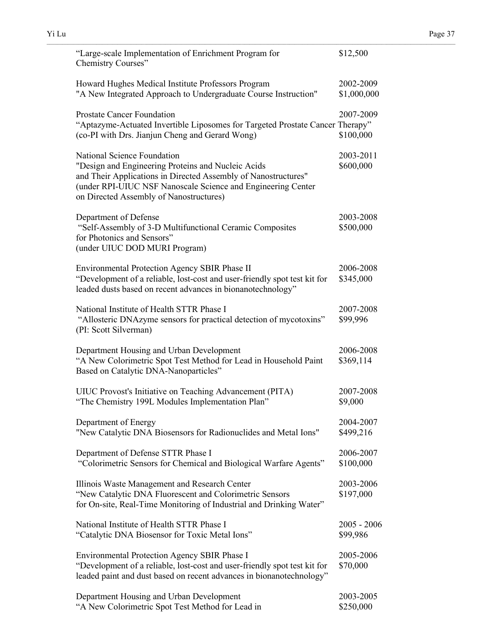| "Large-scale Implementation of Enrichment Program for<br>Chemistry Courses"                                                                                                                                                                                    | \$12,500                  |
|----------------------------------------------------------------------------------------------------------------------------------------------------------------------------------------------------------------------------------------------------------------|---------------------------|
| Howard Hughes Medical Institute Professors Program<br>"A New Integrated Approach to Undergraduate Course Instruction"                                                                                                                                          | 2002-2009<br>\$1,000,000  |
| <b>Prostate Cancer Foundation</b><br>"Aptazyme-Actuated Invertible Liposomes for Targeted Prostate Cancer Therapy"<br>(co-PI with Drs. Jianjun Cheng and Gerard Wong)                                                                                          | 2007-2009<br>\$100,000    |
| National Science Foundation<br>"Design and Engineering Proteins and Nucleic Acids<br>and Their Applications in Directed Assembly of Nanostructures"<br>(under RPI-UIUC NSF Nanoscale Science and Engineering Center<br>on Directed Assembly of Nanostructures) | 2003-2011<br>\$600,000    |
| Department of Defense<br>"Self-Assembly of 3-D Multifunctional Ceramic Composites<br>for Photonics and Sensors"<br>(under UIUC DOD MURI Program)                                                                                                               | 2003-2008<br>\$500,000    |
| Environmental Protection Agency SBIR Phase II<br>"Development of a reliable, lost-cost and user-friendly spot test kit for<br>leaded dusts based on recent advances in bionanotechnology"                                                                      | 2006-2008<br>\$345,000    |
| National Institute of Health STTR Phase I<br>"Allosteric DNAzyme sensors for practical detection of mycotoxins"<br>(PI: Scott Silverman)                                                                                                                       | 2007-2008<br>\$99,996     |
| Department Housing and Urban Development<br>"A New Colorimetric Spot Test Method for Lead in Household Paint<br>Based on Catalytic DNA-Nanoparticles"                                                                                                          | 2006-2008<br>\$369,114    |
| UIUC Provost's Initiative on Teaching Advancement (PITA)<br>"The Chemistry 199L Modules Implementation Plan"                                                                                                                                                   | 2007-2008<br>\$9,000      |
| Department of Energy<br>"New Catalytic DNA Biosensors for Radionuclides and Metal Ions"                                                                                                                                                                        | 2004-2007<br>\$499,216    |
| Department of Defense STTR Phase I<br>"Colorimetric Sensors for Chemical and Biological Warfare Agents"                                                                                                                                                        | 2006-2007<br>\$100,000    |
| Illinois Waste Management and Research Center<br>"New Catalytic DNA Fluorescent and Colorimetric Sensors<br>for On-site, Real-Time Monitoring of Industrial and Drinking Water"                                                                                | 2003-2006<br>\$197,000    |
| National Institute of Health STTR Phase I<br>"Catalytic DNA Biosensor for Toxic Metal Ions"                                                                                                                                                                    | $2005 - 2006$<br>\$99,986 |
| Environmental Protection Agency SBIR Phase I<br>"Development of a reliable, lost-cost and user-friendly spot test kit for<br>leaded paint and dust based on recent advances in bionanotechnology"                                                              | 2005-2006<br>\$70,000     |
| Department Housing and Urban Development<br>"A New Colorimetric Spot Test Method for Lead in                                                                                                                                                                   | 2003-2005<br>\$250,000    |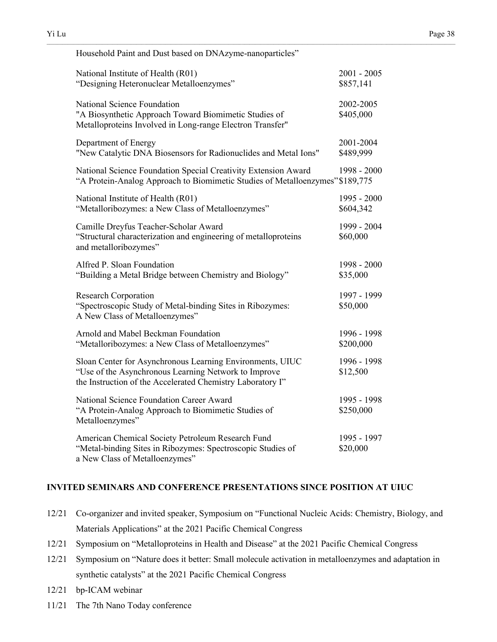| Household Paint and Dust based on DNAzyme-nanoparticles"                                                                                                                        |                            |
|---------------------------------------------------------------------------------------------------------------------------------------------------------------------------------|----------------------------|
| National Institute of Health (R01)<br>"Designing Heteronuclear Metalloenzymes"                                                                                                  | $2001 - 2005$<br>\$857,141 |
| National Science Foundation<br>"A Biosynthetic Approach Toward Biomimetic Studies of<br>Metalloproteins Involved in Long-range Electron Transfer"                               | 2002-2005<br>\$405,000     |
| Department of Energy<br>"New Catalytic DNA Biosensors for Radionuclides and Metal Ions"                                                                                         | 2001-2004<br>\$489,999     |
| National Science Foundation Special Creativity Extension Award<br>"A Protein-Analog Approach to Biomimetic Studies of Metalloenzymes" \$189,775                                 | 1998 - 2000                |
| National Institute of Health (R01)<br>"Metalloribozymes: a New Class of Metalloenzymes"                                                                                         | 1995 - 2000<br>\$604,342   |
| Camille Dreyfus Teacher-Scholar Award<br>"Structural characterization and engineering of metalloproteins<br>and metalloribozymes"                                               | 1999 - 2004<br>\$60,000    |
| Alfred P. Sloan Foundation<br>"Building a Metal Bridge between Chemistry and Biology"                                                                                           | 1998 - 2000<br>\$35,000    |
| <b>Research Corporation</b><br>"Spectroscopic Study of Metal-binding Sites in Ribozymes:<br>A New Class of Metalloenzymes"                                                      | 1997 - 1999<br>\$50,000    |
| Arnold and Mabel Beckman Foundation<br>"Metalloribozymes: a New Class of Metalloenzymes"                                                                                        | 1996 - 1998<br>\$200,000   |
| Sloan Center for Asynchronous Learning Environments, UIUC<br>"Use of the Asynchronous Learning Network to Improve<br>the Instruction of the Accelerated Chemistry Laboratory I" | 1996 - 1998<br>\$12,500    |
| National Science Foundation Career Award<br>"A Protein-Analog Approach to Biomimetic Studies of<br>Metalloenzymes"                                                              | 1995 - 1998<br>\$250,000   |
| American Chemical Society Petroleum Research Fund<br>"Metal-binding Sites in Ribozymes: Spectroscopic Studies of<br>a New Class of Metalloenzymes"                              | 1995 - 1997<br>\$20,000    |

## **INVITED SEMINARS AND CONFERENCE PRESENTATIONS SINCE POSITION AT UIUC**

- 12/21 Co-organizer and invited speaker, Symposium on "Functional Nucleic Acids: Chemistry, Biology, and Materials Applications" at the 2021 Pacific Chemical Congress
- 12/21 Symposium on "Metalloproteins in Health and Disease" at the 2021 Pacific Chemical Congress
- 12/21 Symposium on "Nature does it better: Small molecule activation in metalloenzymes and adaptation in synthetic catalysts" at the 2021 Pacific Chemical Congress
- 12/21 bp-ICAM webinar
- 11/21 The 7th Nano Today conference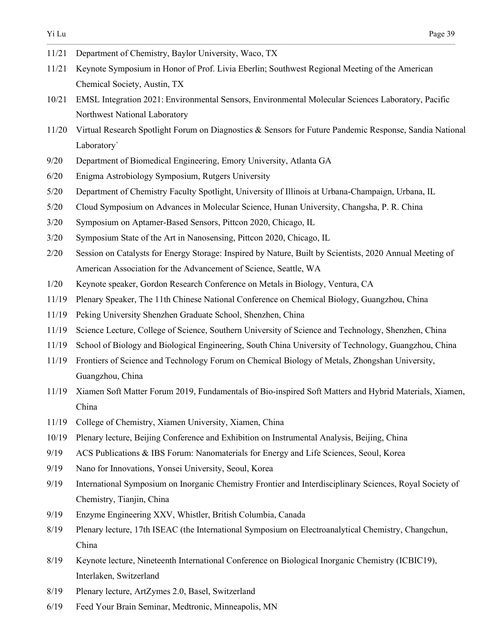- 11/21 Department of Chemistry, Baylor University, Waco, TX
- 11/21 Keynote Symposium in Honor of Prof. Livia Eberlin; Southwest Regional Meeting of the American Chemical Society, Austin, TX
- 10/21 EMSL Integration 2021: Environmental Sensors, Environmental Molecular Sciences Laboratory, Pacific Northwest National Laboratory

- 11/20 Virtual Research Spotlight Forum on Diagnostics & Sensors for Future Pandemic Response, Sandia National Laboratory`
- 9/20 Department of Biomedical Engineering, Emory University, Atlanta GA
- 6/20 Enigma Astrobiology Symposium, Rutgers University
- 5/20 Department of Chemistry Faculty Spotlight, University of Illinois at Urbana-Champaign, Urbana, IL
- 5/20 Cloud Symposium on Advances in Molecular Science, Hunan University, Changsha, P. R. China
- 3/20 Symposium on Aptamer-Based Sensors, Pittcon 2020, Chicago, IL
- 3/20 Symposium State of the Art in Nanosensing, Pittcon 2020, Chicago, IL
- 2/20 Session on Catalysts for Energy Storage: Inspired by Nature, Built by Scientists, 2020 Annual Meeting of American Association for the Advancement of Science, Seattle, WA
- 1/20 Keynote speaker, Gordon Research Conference on Metals in Biology, Ventura, CA
- 11/19 Plenary Speaker, The 11th Chinese National Conference on Chemical Biology, Guangzhou, China
- 11/19 Peking University Shenzhen Graduate School, Shenzhen, China
- 11/19 Science Lecture, College of Science, Southern University of Science and Technology, Shenzhen, China
- 11/19 School of Biology and Biological Engineering, South China University of Technology, Guangzhou, China
- 11/19 Frontiers of Science and Technology Forum on Chemical Biology of Metals, Zhongshan University, Guangzhou, China
- 11/19 Xiamen Soft Matter Forum 2019, Fundamentals of Bio-inspired Soft Matters and Hybrid Materials, Xiamen, China
- 11/19 College of Chemistry, Xiamen University, Xiamen, China
- 10/19 Plenary lecture, Beijing Conference and Exhibition on Instrumental Analysis, Beijing, China
- 9/19 ACS Publications & IBS Forum: Nanomaterials for Energy and Life Sciences, Seoul, Korea
- 9/19 Nano for Innovations, Yonsei University, Seoul, Korea
- 9/19 International Symposium on Inorganic Chemistry Frontier and Interdisciplinary Sciences, Royal Society of Chemistry, Tianjin, China
- 9/19 Enzyme Engineering XXV, Whistler, British Columbia, Canada
- 8/19 Plenary lecture, 17th ISEAC (the International Symposium on Electroanalytical Chemistry, Changchun, China
- 8/19 Keynote lecture, Nineteenth International Conference on Biological Inorganic Chemistry (ICBIC19), Interlaken, Switzerland
- 8/19 Plenary lecture, ArtZymes 2.0, Basel, Switzerland
- 6/19 Feed Your Brain Seminar, Medtronic, Minneapolis, MN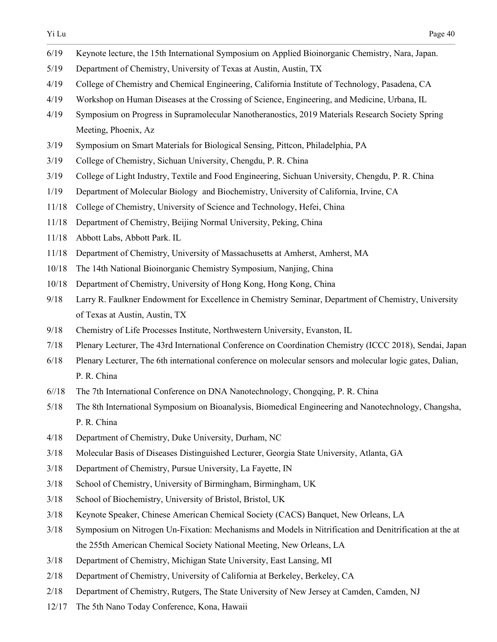6/19 Keynote lecture, the 15th International Symposium on Applied Bioinorganic Chemistry, Nara, Japan.

- 5/19 Department of Chemistry, University of Texas at Austin, Austin, TX
- 4/19 College of Chemistry and Chemical Engineering, California Institute of Technology, Pasadena, CA
- 4/19 Workshop on Human Diseases at the Crossing of Science, Engineering, and Medicine, Urbana, IL
- 4/19 Symposium on Progress in Supramolecular Nanotheranostics, 2019 Materials Research Society Spring Meeting, Phoenix, Az
- 3/19 Symposium on Smart Materials for Biological Sensing, Pittcon, Philadelphia, PA
- 3/19 College of Chemistry, Sichuan University, Chengdu, P. R. China
- 3/19 College of Light Industry, Textile and Food Engineering, Sichuan University, Chengdu, P. R. China
- 1/19 Department of Molecular Biology and Biochemistry, University of California, Irvine, CA
- 11/18 College of Chemistry, University of Science and Technology, Hefei, China
- 11/18 Department of Chemistry, Beijing Normal University, Peking, China
- 11/18 Abbott Labs, Abbott Park. IL
- 11/18 Department of Chemistry, University of Massachusetts at Amherst, Amherst, MA
- 10/18 The 14th National Bioinorganic Chemistry Symposium, Nanjing, China
- 10/18 Department of Chemistry, University of Hong Kong, Hong Kong, China
- 9/18 Larry R. Faulkner Endowment for Excellence in Chemistry Seminar, Department of Chemistry, University of Texas at Austin, Austin, TX
- 9/18 Chemistry of Life Processes Institute, Northwestern University, Evanston, IL
- 7/18 Plenary Lecturer, The 43rd International Conference on Coordination Chemistry (ICCC 2018), Sendai, Japan
- 6/18 Plenary Lecturer, The 6th international conference on molecular sensors and molecular logic gates, Dalian, P. R. China
- 6//18 The 7th International Conference on DNA Nanotechnology, Chongqing, P. R. China
- 5/18 The 8th International Symposium on Bioanalysis, Biomedical Engineering and Nanotechnology, Changsha, P. R. China
- 4/18 Department of Chemistry, Duke University, Durham, NC
- 3/18 Molecular Basis of Diseases Distinguished Lecturer, Georgia State University, Atlanta, GA
- 3/18 Department of Chemistry, Pursue University, La Fayette, IN
- 3/18 School of Chemistry, University of Birmingham, Birmingham, UK
- 3/18 School of Biochemistry, University of Bristol, Bristol, UK
- 3/18 Keynote Speaker, Chinese American Chemical Society (CACS) Banquet, New Orleans, LA
- 3/18 Symposium on Nitrogen Un-Fixation: Mechanisms and Models in Nitrification and Denitrification at the at the 255th American Chemical Society National Meeting, New Orleans, LA
- 3/18 Department of Chemistry, Michigan State University, East Lansing, MI
- 2/18 Department of Chemistry, University of California at Berkeley, Berkeley, CA
- 2/18 Department of Chemistry, Rutgers, The State University of New Jersey at Camden, Camden, NJ
- 12/17 The 5th Nano Today Conference, Kona, Hawaii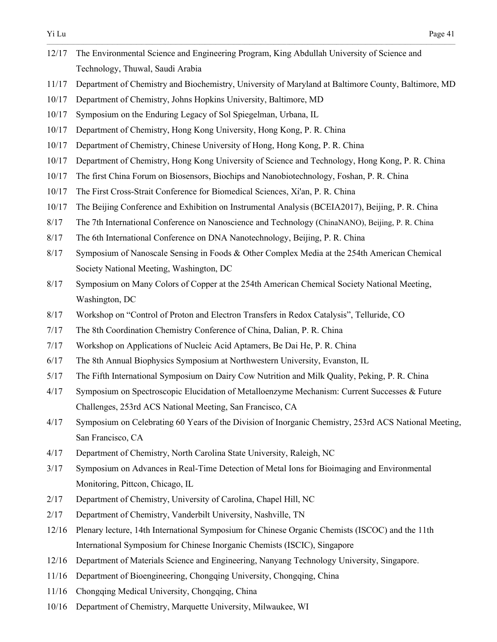- 12/17 The Environmental Science and Engineering Program, King Abdullah University of Science and Technology, Thuwal, Saudi Arabia
- 11/17 Department of Chemistry and Biochemistry, University of Maryland at Baltimore County, Baltimore, MD

- 10/17 Department of Chemistry, Johns Hopkins University, Baltimore, MD
- 10/17 Symposium on the Enduring Legacy of Sol Spiegelman, Urbana, IL
- 10/17 Department of Chemistry, Hong Kong University, Hong Kong, P. R. China
- 10/17 Department of Chemistry, Chinese University of Hong, Hong Kong, P. R. China
- 10/17 Department of Chemistry, Hong Kong University of Science and Technology, Hong Kong, P. R. China
- 10/17 The first China Forum on Biosensors, Biochips and Nanobiotechnology, Foshan, P. R. China
- 10/17 The First Cross-Strait Conference for Biomedical Sciences, Xi'an, P. R. China
- 10/17 The Beijing Conference and Exhibition on Instrumental Analysis (BCEIA2017), Beijing, P. R. China
- 8/17 The 7th International Conference on Nanoscience and Technology (ChinaNANO), Beijing, P. R. China
- 8/17 The 6th International Conference on DNA Nanotechnology, Beijing, P. R. China
- 8/17 Symposium of Nanoscale Sensing in Foods & Other Complex Media at the 254th American Chemical Society National Meeting, Washington, DC
- 8/17 Symposium on Many Colors of Copper at the 254th American Chemical Society National Meeting, Washington, DC
- 8/17 Workshop on "Control of Proton and Electron Transfers in Redox Catalysis", Telluride, CO
- 7/17 The 8th Coordination Chemistry Conference of China, Dalian, P. R. China
- 7/17 Workshop on Applications of Nucleic Acid Aptamers, Be Dai He, P. R. China
- 6/17 The 8th Annual Biophysics Symposium at Northwestern University, Evanston, IL
- 5/17 The Fifth International Symposium on Dairy Cow Nutrition and Milk Quality, Peking, P. R. China
- 4/17 Symposium on Spectroscopic Elucidation of Metalloenzyme Mechanism: Current Successes & Future Challenges, 253rd ACS National Meeting, San Francisco, CA
- 4/17 Symposium on Celebrating 60 Years of the Division of Inorganic Chemistry, 253rd ACS National Meeting, San Francisco, CA
- 4/17 Department of Chemistry, North Carolina State University, Raleigh, NC
- 3/17 Symposium on Advances in Real-Time Detection of Metal Ions for Bioimaging and Environmental Monitoring, Pittcon, Chicago, IL
- 2/17 Department of Chemistry, University of Carolina, Chapel Hill, NC
- 2/17 Department of Chemistry, Vanderbilt University, Nashville, TN
- 12/16 Plenary lecture, 14th International Symposium for Chinese Organic Chemists (ISCOC) and the 11th International Symposium for Chinese Inorganic Chemists (ISCIC), Singapore
- 12/16 Department of Materials Science and Engineering, Nanyang Technology University, Singapore.
- 11/16 Department of Bioengineering, Chongqing University, Chongqing, China
- 11/16 Chongqing Medical University, Chongqing, China
- 10/16 Department of Chemistry, Marquette University, Milwaukee, WI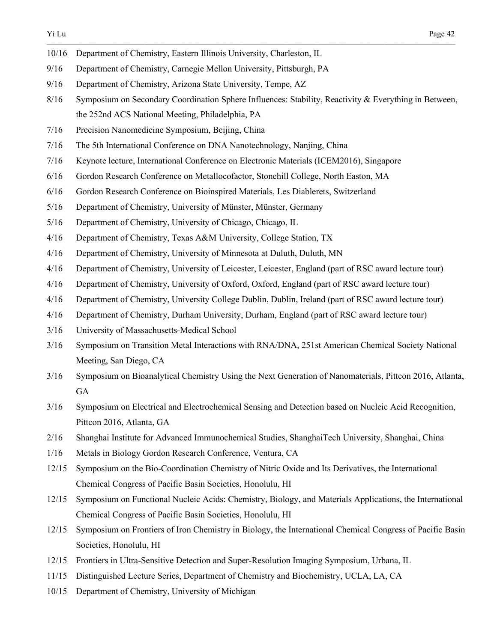- 10/16 Department of Chemistry, Eastern Illinois University, Charleston, IL
- 9/16 Department of Chemistry, Carnegie Mellon University, Pittsburgh, PA
- 9/16 Department of Chemistry, Arizona State University, Tempe, AZ
- 8/16 Symposium on Secondary Coordination Sphere Influences: Stability, Reactivity & Everything in Between, the 252nd ACS National Meeting, Philadelphia, PA

- 7/16 Precision Nanomedicine Symposium, Beijing, China
- 7/16 The 5th International Conference on DNA Nanotechnology, Nanjing, China
- 7/16 Keynote lecture, International Conference on Electronic Materials (ICEM2016), Singapore
- 6/16 Gordon Research Conference on Metallocofactor, Stonehill College, North Easton, MA
- 6/16 Gordon Research Conference on Bioinspired Materials, Les Diablerets, Switzerland
- 5/16 Department of Chemistry, University of Münster, Münster, Germany
- 5/16 Department of Chemistry, University of Chicago, Chicago, IL
- 4/16 Department of Chemistry, Texas A&M University, College Station, TX
- 4/16 Department of Chemistry, University of Minnesota at Duluth, Duluth, MN
- 4/16 Department of Chemistry, University of Leicester, Leicester, England (part of RSC award lecture tour)
- 4/16 Department of Chemistry, University of Oxford, Oxford, England (part of RSC award lecture tour)
- 4/16 Department of Chemistry, University College Dublin, Dublin, Ireland (part of RSC award lecture tour)
- 4/16 Department of Chemistry, Durham University, Durham, England (part of RSC award lecture tour)
- 3/16 University of Massachusetts-Medical School
- 3/16 Symposium on Transition Metal Interactions with RNA/DNA, 251st American Chemical Society National Meeting, San Diego, CA
- 3/16 Symposium on Bioanalytical Chemistry Using the Next Generation of Nanomaterials, Pittcon 2016, Atlanta, GA
- 3/16 Symposium on Electrical and Electrochemical Sensing and Detection based on Nucleic Acid Recognition, Pittcon 2016, Atlanta, GA
- 2/16 Shanghai Institute for Advanced Immunochemical Studies, ShanghaiTech University, Shanghai, China
- 1/16 Metals in Biology Gordon Research Conference, Ventura, CA
- 12/15 Symposium on the Bio-Coordination Chemistry of Nitric Oxide and Its Derivatives, the International Chemical Congress of Pacific Basin Societies, Honolulu, HI
- 12/15 Symposium on Functional Nucleic Acids: Chemistry, Biology, and Materials Applications, the International Chemical Congress of Pacific Basin Societies, Honolulu, HI
- 12/15 Symposium on Frontiers of Iron Chemistry in Biology, the International Chemical Congress of Pacific Basin Societies, Honolulu, HI
- 12/15 Frontiers in Ultra-Sensitive Detection and Super-Resolution Imaging Symposium, Urbana, IL
- 11/15 Distinguished Lecture Series, Department of Chemistry and Biochemistry, UCLA, LA, CA
- 10/15 Department of Chemistry, University of Michigan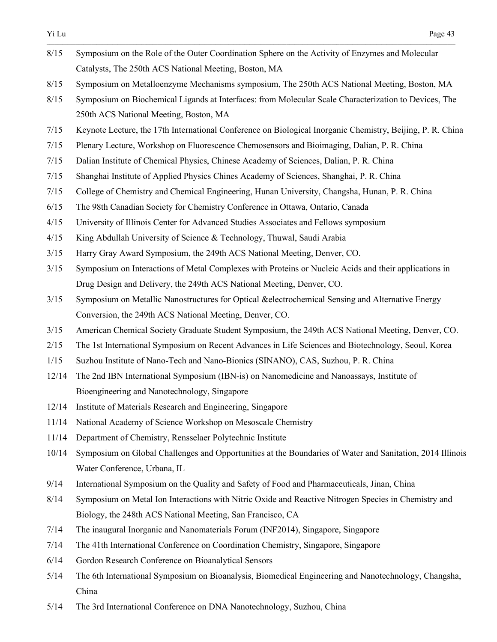| 8/15  | Symposium on the Role of the Outer Coordination Sphere on the Activity of Enzymes and Molecular            |
|-------|------------------------------------------------------------------------------------------------------------|
|       | Catalysts, The 250th ACS National Meeting, Boston, MA                                                      |
| 8/15  | Symposium on Metalloenzyme Mechanisms symposium, The 250th ACS National Meeting, Boston, MA                |
| 8/15  | Symposium on Biochemical Ligands at Interfaces: from Molecular Scale Characterization to Devices, The      |
|       | 250th ACS National Meeting, Boston, MA                                                                     |
| 7/15  | Keynote Lecture, the 17th International Conference on Biological Inorganic Chemistry, Beijing, P. R. China |
| 7/15  | Plenary Lecture, Workshop on Fluorescence Chemosensors and Bioimaging, Dalian, P. R. China                 |
| 7/15  | Dalian Institute of Chemical Physics, Chinese Academy of Sciences, Dalian, P. R. China                     |
| 7/15  | Shanghai Institute of Applied Physics Chines Academy of Sciences, Shanghai, P. R. China                    |
| 7/15  | College of Chemistry and Chemical Engineering, Hunan University, Changsha, Hunan, P. R. China              |
| 6/15  | The 98th Canadian Society for Chemistry Conference in Ottawa, Ontario, Canada                              |
| 4/15  | University of Illinois Center for Advanced Studies Associates and Fellows symposium                        |
| 4/15  | King Abdullah University of Science & Technology, Thuwal, Saudi Arabia                                     |
| 3/15  | Harry Gray Award Symposium, the 249th ACS National Meeting, Denver, CO.                                    |
| 3/15  | Symposium on Interactions of Metal Complexes with Proteins or Nucleic Acids and their applications in      |
|       | Drug Design and Delivery, the 249th ACS National Meeting, Denver, CO.                                      |
| 3/15  | Symposium on Metallic Nanostructures for Optical & electrochemical Sensing and Alternative Energy          |
|       | Conversion, the 249th ACS National Meeting, Denver, CO.                                                    |
| 3/15  | American Chemical Society Graduate Student Symposium, the 249th ACS National Meeting, Denver, CO.          |
| 2/15  | The 1st International Symposium on Recent Advances in Life Sciences and Biotechnology, Seoul, Korea        |
| 1/15  | Suzhou Institute of Nano-Tech and Nano-Bionics (SINANO), CAS, Suzhou, P. R. China                          |
| 12/14 | The 2nd IBN International Symposium (IBN-is) on Nanomedicine and Nanoassays, Institute of                  |
|       | Bioengineering and Nanotechnology, Singapore                                                               |
| 12/14 | Institute of Materials Research and Engineering, Singapore                                                 |
| 11/14 | National Academy of Science Workshop on Mesoscale Chemistry                                                |
| 11/14 | Department of Chemistry, Rensselaer Polytechnic Institute                                                  |
| 10/14 | Symposium on Global Challenges and Opportunities at the Boundaries of Water and Sanitation, 2014 Illinois  |
|       | Water Conference, Urbana, IL                                                                               |
| 9/14  | International Symposium on the Quality and Safety of Food and Pharmaceuticals, Jinan, China                |
| 8/14  | Symposium on Metal Ion Interactions with Nitric Oxide and Reactive Nitrogen Species in Chemistry and       |
|       | Biology, the 248th ACS National Meeting, San Francisco, CA                                                 |
| 7/14  | The inaugural Inorganic and Nanomaterials Forum (INF2014), Singapore, Singapore                            |
| 7/14  | The 41th International Conference on Coordination Chemistry, Singapore, Singapore                          |
| 6/14  | Gordon Research Conference on Bioanalytical Sensors                                                        |
| 5/14  | The 6th International Symposium on Bioanalysis, Biomedical Engineering and Nanotechnology, Changsha,       |
|       | China                                                                                                      |

5/14 The 3rd International Conference on DNA Nanotechnology, Suzhou, China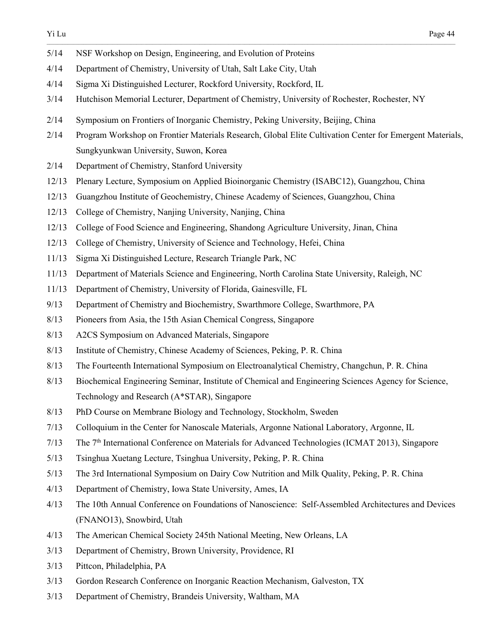- 5/14 NSF Workshop on Design, Engineering, and Evolution of Proteins
- 4/14 Department of Chemistry, University of Utah, Salt Lake City, Utah
- 4/14 Sigma Xi Distinguished Lecturer, Rockford University, Rockford, IL
- 3/14 Hutchison Memorial Lecturer, Department of Chemistry, University of Rochester, Rochester, NY
- 2/14 Symposium on Frontiers of Inorganic Chemistry, Peking University, Beijing, China
- 2/14 Program Workshop on Frontier Materials Research, Global Elite Cultivation Center for Emergent Materials, Sungkyunkwan University, Suwon, Korea

- 2/14 Department of Chemistry, Stanford University
- 12/13 Plenary Lecture, Symposium on Applied Bioinorganic Chemistry (ISABC12), Guangzhou, China
- 12/13 Guangzhou Institute of Geochemistry, Chinese Academy of Sciences, Guangzhou, China
- 12/13 College of Chemistry, Nanjing University, Nanjing, China
- 12/13 College of Food Science and Engineering, Shandong Agriculture University, Jinan, China
- 12/13 College of Chemistry, University of Science and Technology, Hefei, China
- 11/13 Sigma Xi Distinguished Lecture, Research Triangle Park, NC
- 11/13 Department of Materials Science and Engineering, North Carolina State University, Raleigh, NC
- 11/13 Department of Chemistry, University of Florida, Gainesville, FL
- 9/13 Department of Chemistry and Biochemistry, Swarthmore College, Swarthmore, PA
- 8/13 Pioneers from Asia, the 15th Asian Chemical Congress, Singapore
- 8/13 A2CS Symposium on Advanced Materials, Singapore
- 8/13 Institute of Chemistry, Chinese Academy of Sciences, Peking, P. R. China
- 8/13 The Fourteenth International Symposium on Electroanalytical Chemistry, Changchun, P. R. China
- 8/13 Biochemical Engineering Seminar, Institute of Chemical and Engineering Sciences Agency for Science, Technology and Research (A\*STAR), Singapore
- 8/13 PhD Course on Membrane Biology and Technology, Stockholm, Sweden
- 7/13 Colloquium in the Center for Nanoscale Materials, Argonne National Laboratory, Argonne, IL
- 7/13 The 7th International Conference on Materials for Advanced Technologies (ICMAT 2013), Singapore
- 5/13 Tsinghua Xuetang Lecture, Tsinghua University, Peking, P. R. China
- 5/13 The 3rd International Symposium on Dairy Cow Nutrition and Milk Quality, Peking, P. R. China
- 4/13 Department of Chemistry, Iowa State University, Ames, IA
- 4/13 The 10th Annual Conference on Foundations of Nanoscience: Self-Assembled Architectures and Devices (FNANO13), Snowbird, Utah
- 4/13 The American Chemical Society 245th National Meeting, New Orleans, LA
- 3/13 Department of Chemistry, Brown University, Providence, RI
- 3/13 Pittcon, Philadelphia, PA
- 3/13 Gordon Research Conference on Inorganic Reaction Mechanism, Galveston, TX
- 3/13 Department of Chemistry, Brandeis University, Waltham, MA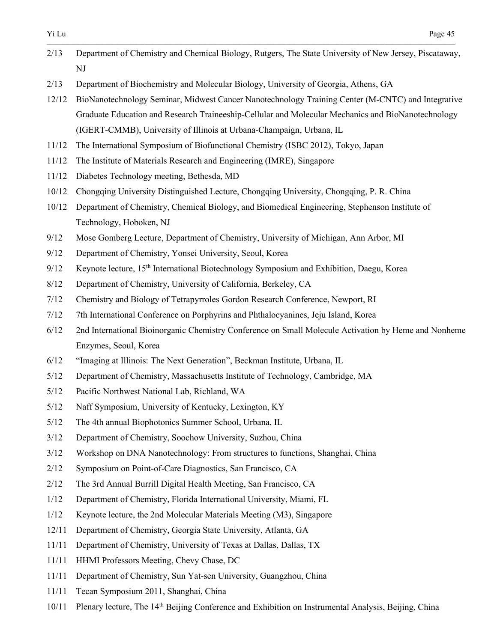2/13 Department of Chemistry and Chemical Biology, Rutgers, The State University of New Jersey, Piscataway, NJ

- 2/13 Department of Biochemistry and Molecular Biology, University of Georgia, Athens, GA
- 12/12 BioNanotechnology Seminar, Midwest Cancer Nanotechnology Training Center (M-CNTC) and Integrative Graduate Education and Research Traineeship-Cellular and Molecular Mechanics and BioNanotechnology (IGERT-CMMB), University of Illinois at Urbana-Champaign, Urbana, IL
- 11/12 The International Symposium of Biofunctional Chemistry (ISBC 2012), Tokyo, Japan
- 11/12 The Institute of Materials Research and Engineering (IMRE), Singapore
- 11/12 Diabetes Technology meeting, Bethesda, MD
- 10/12 Chongqing University Distinguished Lecture, Chongqing University, Chongqing, P. R. China
- 10/12 Department of Chemistry, Chemical Biology, and Biomedical Engineering, Stephenson Institute of Technology, Hoboken, NJ
- 9/12 Mose Gomberg Lecture, Department of Chemistry, University of Michigan, Ann Arbor, MI
- 9/12 Department of Chemistry, Yonsei University, Seoul, Korea
- 9/12 Keynote lecture, 15<sup>th</sup> International Biotechnology Symposium and Exhibition, Daegu, Korea
- 8/12 Department of Chemistry, University of California, Berkeley, CA
- 7/12 Chemistry and Biology of Tetrapyrroles Gordon Research Conference, Newport, RI
- 7/12 7th International Conference on Porphyrins and Phthalocyanines, Jeju Island, Korea
- 6/12 2nd International Bioinorganic Chemistry Conference on Small Molecule Activation by Heme and Nonheme Enzymes, Seoul, Korea
- 6/12 "Imaging at Illinois: The Next Generation", Beckman Institute, Urbana, IL
- 5/12 Department of Chemistry, Massachusetts Institute of Technology, Cambridge, MA
- 5/12 Pacific Northwest National Lab, Richland, WA
- 5/12 Naff Symposium, University of Kentucky, Lexington, KY
- 5/12 The 4th annual Biophotonics Summer School, Urbana, IL
- 3/12 Department of Chemistry, Soochow University, Suzhou, China
- 3/12 Workshop on DNA Nanotechnology: From structures to functions, Shanghai, China
- 2/12 Symposium on Point-of-Care Diagnostics, San Francisco, CA
- 2/12 The 3rd Annual Burrill Digital Health Meeting, San Francisco, CA
- 1/12 Department of Chemistry, Florida International University, Miami, FL
- 1/12 Keynote lecture, the 2nd Molecular Materials Meeting (M3), Singapore
- 12/11 Department of Chemistry, Georgia State University, Atlanta, GA
- 11/11 Department of Chemistry, University of Texas at Dallas, Dallas, TX
- 11/11 HHMI Professors Meeting, Chevy Chase, DC
- 11/11 Department of Chemistry, Sun Yat-sen University, Guangzhou, China
- 11/11 Tecan Symposium 2011, Shanghai, China
- 10/11 Plenary lecture, The 14th Beijing Conference and Exhibition on Instrumental Analysis, Beijing, China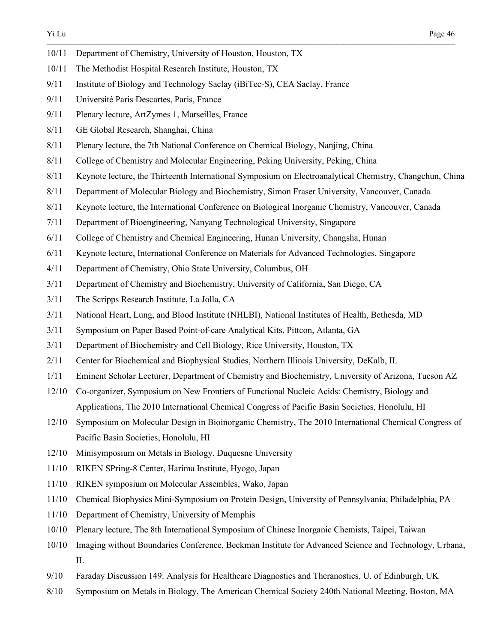- 10/11 Department of Chemistry, University of Houston, Houston, TX
- 10/11 The Methodist Hospital Research Institute, Houston, TX
- 9/11 Institute of Biology and Technology Saclay (iBiTec-S), CEA Saclay, France
- 9/11 Université Paris Descartes, Paris, France
- 9/11 Plenary lecture, ArtZymes 1, Marseilles, France
- 8/11 GE Global Research, Shanghai, China
- 8/11 Plenary lecture, the 7th National Conference on Chemical Biology, Nanjing, China
- 8/11 College of Chemistry and Molecular Engineering, Peking University, Peking, China
- 8/11 Keynote lecture, the Thirteenth International Symposium on Electroanalytical Chemistry, Changchun, China

- 8/11 Department of Molecular Biology and Biochemistry, Simon Fraser University, Vancouver, Canada
- 8/11 Keynote lecture, the International Conference on Biological Inorganic Chemistry, Vancouver, Canada
- 7/11 Department of Bioengineering, Nanyang Technological University, Singapore
- 6/11 College of Chemistry and Chemical Engineering, Hunan University, Changsha, Hunan
- 6/11 Keynote lecture, International Conference on Materials for Advanced Technologies, Singapore
- 4/11 Department of Chemistry, Ohio State University, Columbus, OH
- 3/11 Department of Chemistry and Biochemistry, University of California, San Diego, CA
- 3/11 The Scripps Research Institute, La Jolla, CA
- 3/11 National Heart, Lung, and Blood Institute (NHLBI), National Institutes of Health, Bethesda, MD
- 3/11 Symposium on Paper Based Point-of-care Analytical Kits, Pittcon, Atlanta, GA
- 3/11 Department of Biochemistry and Cell Biology, Rice University, Houston, TX
- 2/11 Center for Biochemical and Biophysical Studies, Northern Illinois University, DeKalb, IL
- 1/11 Eminent Scholar Lecturer, Department of Chemistry and Biochemistry, University of Arizona, Tucson AZ
- 12/10 Co-organizer, Symposium on New Frontiers of Functional Nucleic Acids: Chemistry, Biology and Applications, The 2010 International Chemical Congress of Pacific Basin Societies, Honolulu, HI
- 12/10 Symposium on Molecular Design in Bioinorganic Chemistry, The 2010 International Chemical Congress of Pacific Basin Societies, Honolulu, HI
- 12/10 Minisymposium on Metals in Biology, Duquesne University
- 11/10 RIKEN SPring-8 Center, Harima Institute, Hyogo, Japan
- 11/10 RIKEN symposium on Molecular Assembles, Wako, Japan
- 11/10 Chemical Biophysics Mini-Symposium on Protein Design, University of Pennsylvania, Philadelphia, PA
- 11/10 Department of Chemistry, University of Memphis
- 10/10 Plenary lecture, The 8th International Symposium of Chinese Inorganic Chemists, Taipei, Taiwan
- 10/10 Imaging without Boundaries Conference, Beckman Institute for Advanced Science and Technology, Urbana, IL
- 9/10 Faraday Discussion 149: Analysis for Healthcare Diagnostics and Theranostics, U. of Edinburgh, UK
- 8/10 Symposium on Metals in Biology, The American Chemical Society 240th National Meeting, Boston, MA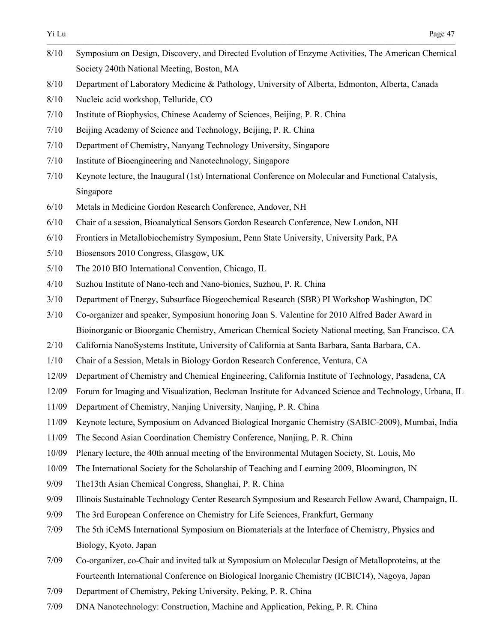8/10 Symposium on Design, Discovery, and Directed Evolution of Enzyme Activities, The American Chemical Society 240th National Meeting, Boston, MA 8/10 Department of Laboratory Medicine & Pathology, University of Alberta, Edmonton, Alberta, Canada 8/10 Nucleic acid workshop, Telluride, CO 7/10 Institute of Biophysics, Chinese Academy of Sciences, Beijing, P. R. China 7/10 Beijing Academy of Science and Technology, Beijing, P. R. China 7/10 Department of Chemistry, Nanyang Technology University, Singapore 7/10 Institute of Bioengineering and Nanotechnology, Singapore 7/10 Keynote lecture, the Inaugural (1st) International Conference on Molecular and Functional Catalysis, Singapore 6/10 Metals in Medicine Gordon Research Conference, Andover, NH 6/10 Chair of a session, Bioanalytical Sensors Gordon Research Conference, New London, NH 6/10 Frontiers in Metallobiochemistry Symposium, Penn State University, University Park, PA 5/10 Biosensors 2010 Congress, Glasgow, UK 5/10 The 2010 BIO International Convention, Chicago, IL 4/10 Suzhou Institute of Nano-tech and Nano-bionics, Suzhou, P. R. China 3/10 Department of Energy, Subsurface Biogeochemical Research (SBR) PI Workshop Washington, DC 3/10 Co-organizer and speaker, Symposium honoring Joan S. Valentine for 2010 Alfred Bader Award in Bioinorganic or Bioorganic Chemistry, American Chemical Society National meeting, San Francisco, CA 2/10 California NanoSystems Institute, University of California at Santa Barbara, Santa Barbara, CA. 1/10 Chair of a Session, Metals in Biology Gordon Research Conference, Ventura, CA 12/09 Department of Chemistry and Chemical Engineering, California Institute of Technology, Pasadena, CA 12/09 Forum for Imaging and Visualization, Beckman Institute for Advanced Science and Technology, Urbana, IL 11/09 Department of Chemistry, Nanjing University, Nanjing, P. R. China 11/09 Keynote lecture, Symposium on Advanced Biological Inorganic Chemistry (SABIC-2009), Mumbai, India 11/09 The Second Asian Coordination Chemistry Conference, Nanjing, P. R. China 10/09 Plenary lecture, the 40th annual meeting of the Environmental Mutagen Society, St. Louis, Mo 10/09 The International Society for the Scholarship of Teaching and Learning 2009, Bloomington, IN 9/09 The13th Asian Chemical Congress, Shanghai, P. R. China 9/09 Illinois Sustainable Technology Center Research Symposium and Research Fellow Award, Champaign, IL 9/09 The 3rd European Conference on Chemistry for Life Sciences, Frankfurt, Germany 7/09 The 5th iCeMS International Symposium on Biomaterials at the Interface of Chemistry, Physics and Biology, Kyoto, Japan 7/09 Co-organizer, co-Chair and invited talk at Symposium on Molecular Design of Metalloproteins, at the Fourteenth International Conference on Biological Inorganic Chemistry (ICBIC14), Nagoya, Japan 7/09 Department of Chemistry, Peking University, Peking, P. R. China 7/09 DNA Nanotechnology: Construction, Machine and Application, Peking, P. R. China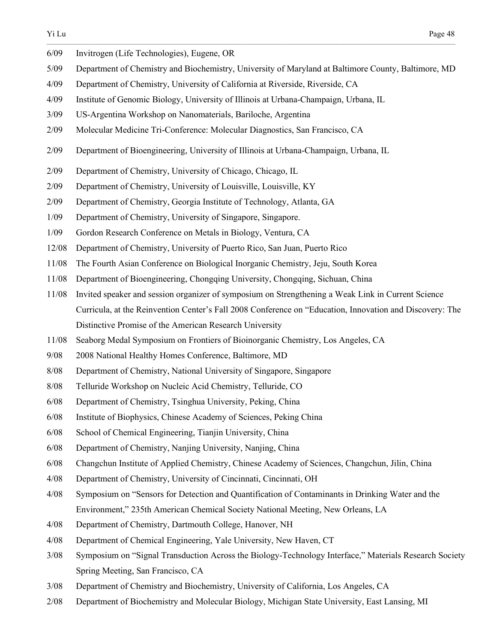| 6/09  | Invitrogen (Life Technologies), Eugene, OR                                                               |
|-------|----------------------------------------------------------------------------------------------------------|
| 5/09  | Department of Chemistry and Biochemistry, University of Maryland at Baltimore County, Baltimore, MD      |
| 4/09  | Department of Chemistry, University of California at Riverside, Riverside, CA                            |
| 4/09  | Institute of Genomic Biology, University of Illinois at Urbana-Champaign, Urbana, IL                     |
| 3/09  | US-Argentina Workshop on Nanomaterials, Bariloche, Argentina                                             |
| 2/09  | Molecular Medicine Tri-Conference: Molecular Diagnostics, San Francisco, CA                              |
| 2/09  | Department of Bioengineering, University of Illinois at Urbana-Champaign, Urbana, IL                     |
| 2/09  | Department of Chemistry, University of Chicago, Chicago, IL                                              |
| 2/09  | Department of Chemistry, University of Louisville, Louisville, KY                                        |
| 2/09  | Department of Chemistry, Georgia Institute of Technology, Atlanta, GA                                    |
| 1/09  | Department of Chemistry, University of Singapore, Singapore.                                             |
| 1/09  | Gordon Research Conference on Metals in Biology, Ventura, CA                                             |
| 12/08 | Department of Chemistry, University of Puerto Rico, San Juan, Puerto Rico                                |
| 11/08 | The Fourth Asian Conference on Biological Inorganic Chemistry, Jeju, South Korea                         |
| 11/08 | Department of Bioengineering, Chongqing University, Chongqing, Sichuan, China                            |
| 11/08 | Invited speaker and session organizer of symposium on Strengthening a Weak Link in Current Science       |
|       | Curricula, at the Reinvention Center's Fall 2008 Conference on "Education, Innovation and Discovery: The |
|       | Distinctive Promise of the American Research University                                                  |
| 11/08 | Seaborg Medal Symposium on Frontiers of Bioinorganic Chemistry, Los Angeles, CA                          |
| 9/08  | 2008 National Healthy Homes Conference, Baltimore, MD                                                    |
| 8/08  | Department of Chemistry, National University of Singapore, Singapore                                     |
| 8/08  | Telluride Workshop on Nucleic Acid Chemistry, Telluride, CO                                              |
| 6/08  | Department of Chemistry, Tsinghua University, Peking, China                                              |
| 6/08  | Institute of Biophysics, Chinese Academy of Sciences, Peking China                                       |
| 6/08  | School of Chemical Engineering, Tianjin University, China                                                |
| 6/08  | Department of Chemistry, Nanjing University, Nanjing, China                                              |
| 6/08  | Changchun Institute of Applied Chemistry, Chinese Academy of Sciences, Changchun, Jilin, China           |
| 4/08  | Department of Chemistry, University of Cincinnati, Cincinnati, OH                                        |
| 4/08  | Symposium on "Sensors for Detection and Quantification of Contaminants in Drinking Water and the         |
|       | Environment," 235th American Chemical Society National Meeting, New Orleans, LA                          |
| 4/08  | Department of Chemistry, Dartmouth College, Hanover, NH                                                  |
| 4/08  | Department of Chemical Engineering, Yale University, New Haven, CT                                       |
| 3/08  | Symposium on "Signal Transduction Across the Biology-Technology Interface," Materials Research Society   |
|       | Spring Meeting, San Francisco, CA                                                                        |
| 3/08  | Department of Chemistry and Biochemistry, University of California, Los Angeles, CA                      |

2/08 Department of Biochemistry and Molecular Biology, Michigan State University, East Lansing, MI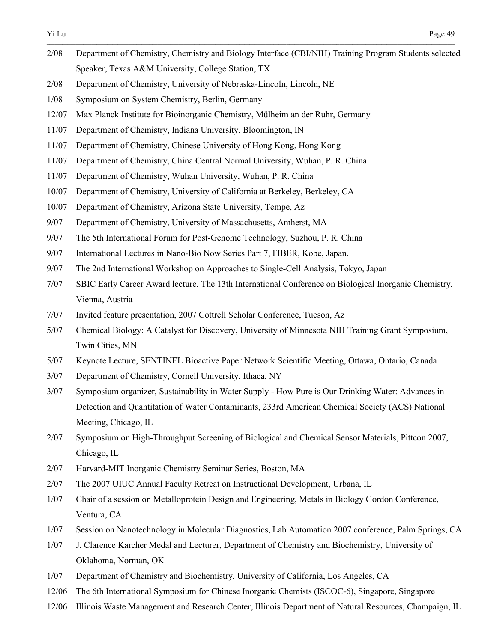- Yi Lu Page 49  $\_$  , and the state of the state of the state of the state of the state of the state of the state of the state of the state of the state of the state of the state of the state of the state of the state of the state of the 2/08 Department of Chemistry, Chemistry and Biology Interface (CBI/NIH) Training Program Students selected Speaker, Texas A&M University, College Station, TX 2/08 Department of Chemistry, University of Nebraska-Lincoln, Lincoln, NE 1/08 Symposium on System Chemistry, Berlin, Germany 12/07 Max Planck Institute for Bioinorganic Chemistry, Mülheim an der Ruhr, Germany 11/07 Department of Chemistry, Indiana University, Bloomington, IN 11/07 Department of Chemistry, Chinese University of Hong Kong, Hong Kong 11/07 Department of Chemistry, China Central Normal University, Wuhan, P. R. China 11/07 Department of Chemistry, Wuhan University, Wuhan, P. R. China 10/07 Department of Chemistry, University of California at Berkeley, Berkeley, CA 10/07 Department of Chemistry, Arizona State University, Tempe, Az 9/07 Department of Chemistry, University of Massachusetts, Amherst, MA 9/07 The 5th International Forum for Post-Genome Technology, Suzhou, P. R. China 9/07 International Lectures in Nano-Bio Now Series Part 7, FIBER, Kobe, Japan. 9/07 The 2nd International Workshop on Approaches to Single-Cell Analysis, Tokyo, Japan 7/07 SBIC Early Career Award lecture, The 13th International Conference on Biological Inorganic Chemistry, Vienna, Austria 7/07 Invited feature presentation, 2007 Cottrell Scholar Conference, Tucson, Az 5/07 Chemical Biology: A Catalyst for Discovery, University of Minnesota NIH Training Grant Symposium, Twin Cities, MN 5/07 Keynote Lecture, SENTINEL Bioactive Paper Network Scientific Meeting, Ottawa, Ontario, Canada 3/07 Department of Chemistry, Cornell University, Ithaca, NY 3/07 Symposium organizer, Sustainability in Water Supply - How Pure is Our Drinking Water: Advances in Detection and Quantitation of Water Contaminants, 233rd American Chemical Society (ACS) National Meeting, Chicago, IL 2/07 Symposium on High-Throughput Screening of Biological and Chemical Sensor Materials, Pittcon 2007, Chicago, IL 2/07 Harvard-MIT Inorganic Chemistry Seminar Series, Boston, MA
- 2/07 The 2007 UIUC Annual Faculty Retreat on Instructional Development, Urbana, IL
- 1/07 Chair of a session on Metalloprotein Design and Engineering, Metals in Biology Gordon Conference, Ventura, CA
- 1/07 Session on Nanotechnology in Molecular Diagnostics, Lab Automation 2007 conference, Palm Springs, CA
- 1/07 J. Clarence Karcher Medal and Lecturer, Department of Chemistry and Biochemistry, University of Oklahoma, Norman, OK
- 1/07 Department of Chemistry and Biochemistry, University of California, Los Angeles, CA
- 12/06 The 6th International Symposium for Chinese Inorganic Chemists (ISCOC-6), Singapore, Singapore
- 12/06 Illinois Waste Management and Research Center, Illinois Department of Natural Resources, Champaign, IL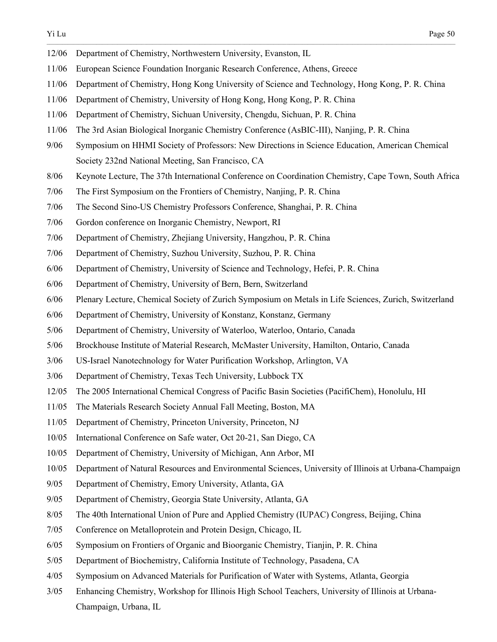| 12/06  | Department of Chemistry, Northwestern University, Evanston, IL                                         |
|--------|--------------------------------------------------------------------------------------------------------|
| 11/06  | European Science Foundation Inorganic Research Conference, Athens, Greece                              |
| 11/06  | Department of Chemistry, Hong Kong University of Science and Technology, Hong Kong, P. R. China        |
| 11/06  | Department of Chemistry, University of Hong Kong, Hong Kong, P. R. China                               |
| 11/06  | Department of Chemistry, Sichuan University, Chengdu, Sichuan, P. R. China                             |
| 11/06  | The 3rd Asian Biological Inorganic Chemistry Conference (AsBIC-III), Nanjing, P. R. China              |
| 9/06   | Symposium on HHMI Society of Professors: New Directions in Science Education, American Chemical        |
|        | Society 232nd National Meeting, San Francisco, CA                                                      |
| 8/06   | Keynote Lecture, The 37th International Conference on Coordination Chemistry, Cape Town, South Africa  |
| 7/06   | The First Symposium on the Frontiers of Chemistry, Nanjing, P. R. China                                |
| 7/06   | The Second Sino-US Chemistry Professors Conference, Shanghai, P. R. China                              |
| 7/06   | Gordon conference on Inorganic Chemistry, Newport, RI                                                  |
| 7/06   | Department of Chemistry, Zhejiang University, Hangzhou, P. R. China                                    |
| 7/06   | Department of Chemistry, Suzhou University, Suzhou, P. R. China                                        |
| 6/06   | Department of Chemistry, University of Science and Technology, Hefei, P. R. China                      |
| $6/06$ | Department of Chemistry, University of Bern, Bern, Switzerland                                         |
| $6/06$ | Plenary Lecture, Chemical Society of Zurich Symposium on Metals in Life Sciences, Zurich, Switzerland  |
| 6/06   | Department of Chemistry, University of Konstanz, Konstanz, Germany                                     |
| $5/06$ | Department of Chemistry, University of Waterloo, Waterloo, Ontario, Canada                             |
| 5/06   | Brockhouse Institute of Material Research, McMaster University, Hamilton, Ontario, Canada              |
| 3/06   | US-Israel Nanotechnology for Water Purification Workshop, Arlington, VA                                |
| 3/06   | Department of Chemistry, Texas Tech University, Lubbock TX                                             |
| 12/05  | The 2005 International Chemical Congress of Pacific Basin Societies (PacifiChem), Honolulu, HI         |
| 11/05  | The Materials Research Society Annual Fall Meeting, Boston, MA                                         |
| 11/05  | Department of Chemistry, Princeton University, Princeton, NJ                                           |
| 10/05  | International Conference on Safe water, Oct 20-21, San Diego, CA                                       |
| 10/05  | Department of Chemistry, University of Michigan, Ann Arbor, MI                                         |
| 10/05  | Department of Natural Resources and Environmental Sciences, University of Illinois at Urbana-Champaign |
| 9/05   | Department of Chemistry, Emory University, Atlanta, GA                                                 |
| 9/05   | Department of Chemistry, Georgia State University, Atlanta, GA                                         |
| 8/05   | The 40th International Union of Pure and Applied Chemistry (IUPAC) Congress, Beijing, China            |
| 7/05   | Conference on Metalloprotein and Protein Design, Chicago, IL                                           |
| 6/05   | Symposium on Frontiers of Organic and Bioorganic Chemistry, Tianjin, P. R. China                       |
| $5/05$ | Department of Biochemistry, California Institute of Technology, Pasadena, CA                           |
| 4/05   | Symposium on Advanced Materials for Purification of Water with Systems, Atlanta, Georgia               |

3/05 Enhancing Chemistry, Workshop for Illinois High School Teachers, University of Illinois at Urbana-Champaign, Urbana, IL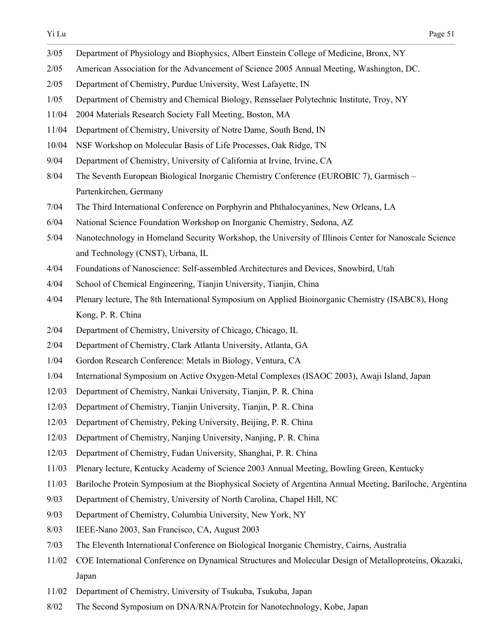- 3/05 Department of Physiology and Biophysics, Albert Einstein College of Medicine, Bronx, NY
- 2/05 American Association for the Advancement of Science 2005 Annual Meeting, Washington, DC.

- 2/05 Department of Chemistry, Purdue University, West Lafayette, IN
- 1/05 Department of Chemistry and Chemical Biology, Rensselaer Polytechnic Institute, Troy, NY
- 11/04 2004 Materials Research Society Fall Meeting, Boston, MA
- 11/04 Department of Chemistry, University of Notre Dame, South Bend, IN
- 10/04 NSF Workshop on Molecular Basis of Life Processes, Oak Ridge, TN
- 9/04 Department of Chemistry, University of California at Irvine, Irvine, CA
- 8/04 The Seventh European Biological Inorganic Chemistry Conference (EUROBIC 7), Garmisch Partenkirchen, Germany
- 7/04 The Third International Conference on Porphyrin and Phthalocyanines, New Orleans, LA
- 6/04 National Science Foundation Workshop on Inorganic Chemistry, Sedona, AZ
- 5/04 Nanotechnology in Homeland Security Workshop, the University of Illinois Center for Nanoscale Science and Technology (CNST), Urbana, IL
- 4/04 Foundations of Nanoscience: Self-assembled Architectures and Devices, Snowbird, Utah
- 4/04 School of Chemical Engineering, Tianjin University, Tianjin, China
- 4/04 Plenary lecture, The 8th International Symposium on Applied Bioinorganic Chemistry (ISABC8), Hong Kong, P. R. China
- 2/04 Department of Chemistry, University of Chicago, Chicago, IL
- 2/04 Department of Chemistry, Clark Atlanta University, Atlanta, GA
- 1/04 Gordon Research Conference: Metals in Biology, Ventura, CA
- 1/04 International Symposium on Active Oxygen-Metal Complexes (ISAOC 2003), Awaji Island, Japan
- 12/03 Department of Chemistry, Nankai University, Tianjin, P. R. China
- 12/03 Department of Chemistry, Tianjin University, Tianjin, P. R. China
- 12/03 Department of Chemistry, Peking University, Beijing, P. R. China
- 12/03 Department of Chemistry, Nanjing University, Nanjing, P. R. China
- 12/03 Department of Chemistry, Fudan University, Shanghai, P. R. China
- 11/03 Plenary lecture, Kentucky Academy of Science 2003 Annual Meeting, Bowling Green, Kentucky
- 11/03 Bariloche Protein Symposium at the Biophysical Society of Argentina Annual Meeting, Bariloche, Argentina
- 9/03 Department of Chemistry, University of North Carolina, Chapel Hill, NC
- 9/03 Department of Chemistry, Columbia University, New York, NY
- 8/03 IEEE-Nano 2003, San Francisco, CA, August 2003
- 7/03 The Eleventh International Conference on Biological Inorganic Chemistry, Cairns, Australia
- 11/02 COE International Conference on Dynamical Structures and Molecular Design of Metalloproteins, Okazaki, Japan
- 11/02 Department of Chemistry, University of Tsukuba, Tsukuba, Japan
- 8/02 The Second Symposium on DNA/RNA/Protein for Nanotechnology, Kobe, Japan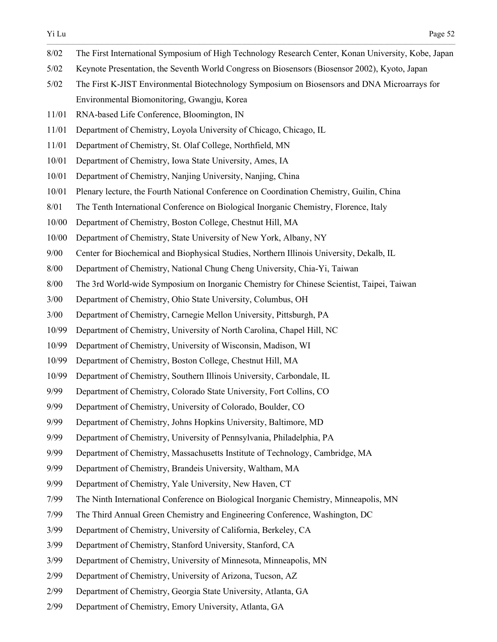- $\_$  , and the state of the state of the state of the state of the state of the state of the state of the state of the state of the state of the state of the state of the state of the state of the state of the state of the 8/02 The First International Symposium of High Technology Research Center, Konan University, Kobe, Japan
- 5/02 Keynote Presentation, the Seventh World Congress on Biosensors (Biosensor 2002), Kyoto, Japan
- 5/02 The First K-JIST Environmental Biotechnology Symposium on Biosensors and DNA Microarrays for Environmental Biomonitoring, Gwangju, Korea
- 11/01 RNA-based Life Conference, Bloomington, IN
- 11/01 Department of Chemistry, Loyola University of Chicago, Chicago, IL
- 11/01 Department of Chemistry, St. Olaf College, Northfield, MN
- 10/01 Department of Chemistry, Iowa State University, Ames, IA
- 10/01 Department of Chemistry, Nanjing University, Nanjing, China
- 10/01 Plenary lecture, the Fourth National Conference on Coordination Chemistry, Guilin, China
- 8/01 The Tenth International Conference on Biological Inorganic Chemistry, Florence, Italy
- 10/00 Department of Chemistry, Boston College, Chestnut Hill, MA
- 10/00 Department of Chemistry, State University of New York, Albany, NY
- 9/00 Center for Biochemical and Biophysical Studies, Northern Illinois University, Dekalb, IL
- 8/00 Department of Chemistry, National Chung Cheng University, Chia-Yi, Taiwan
- 8/00 The 3rd World-wide Symposium on Inorganic Chemistry for Chinese Scientist, Taipei, Taiwan
- 3/00 Department of Chemistry, Ohio State University, Columbus, OH
- 3/00 Department of Chemistry, Carnegie Mellon University, Pittsburgh, PA
- 10/99 Department of Chemistry, University of North Carolina, Chapel Hill, NC
- 10/99 Department of Chemistry, University of Wisconsin, Madison, WI
- 10/99 Department of Chemistry, Boston College, Chestnut Hill, MA
- 10/99 Department of Chemistry, Southern Illinois University, Carbondale, IL
- 9/99 Department of Chemistry, Colorado State University, Fort Collins, CO
- 9/99 Department of Chemistry, University of Colorado, Boulder, CO
- 9/99 Department of Chemistry, Johns Hopkins University, Baltimore, MD
- 9/99 Department of Chemistry, University of Pennsylvania, Philadelphia, PA
- 9/99 Department of Chemistry, Massachusetts Institute of Technology, Cambridge, MA
- 9/99 Department of Chemistry, Brandeis University, Waltham, MA
- 9/99 Department of Chemistry, Yale University, New Haven, CT
- 7/99 The Ninth International Conference on Biological Inorganic Chemistry, Minneapolis, MN
- 7/99 The Third Annual Green Chemistry and Engineering Conference, Washington, DC
- 3/99 Department of Chemistry, University of California, Berkeley, CA
- 3/99 Department of Chemistry, Stanford University, Stanford, CA
- 3/99 Department of Chemistry, University of Minnesota, Minneapolis, MN
- 2/99 Department of Chemistry, University of Arizona, Tucson, AZ
- 2/99 Department of Chemistry, Georgia State University, Atlanta, GA
- 2/99 Department of Chemistry, Emory University, Atlanta, GA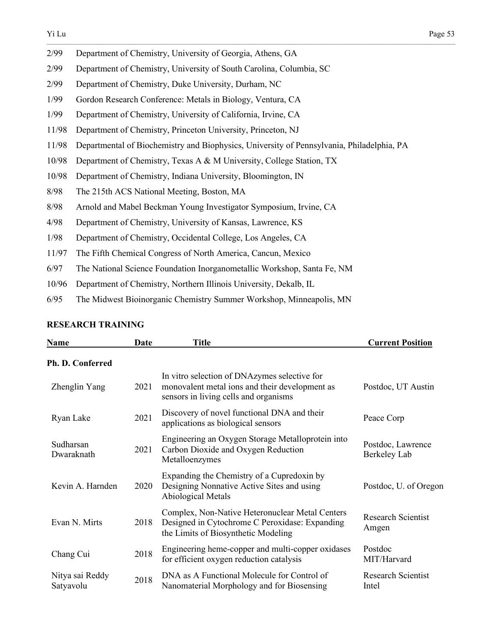| 2/99  | Department of Chemistry, University of Georgia, Athens, GA                                |
|-------|-------------------------------------------------------------------------------------------|
| 2/99  | Department of Chemistry, University of South Carolina, Columbia, SC                       |
| 2/99  | Department of Chemistry, Duke University, Durham, NC                                      |
| 1/99  | Gordon Research Conference: Metals in Biology, Ventura, CA                                |
| 1/99  | Department of Chemistry, University of California, Irvine, CA                             |
| 11/98 | Department of Chemistry, Princeton University, Princeton, NJ                              |
| 11/98 | Departmental of Biochemistry and Biophysics, University of Pennsylvania, Philadelphia, PA |
| 10/98 | Department of Chemistry, Texas A & M University, College Station, TX                      |
| 10/98 | Department of Chemistry, Indiana University, Bloomington, IN                              |
| 8/98  | The 215th ACS National Meeting, Boston, MA                                                |
| 8/98  | Arnold and Mabel Beckman Young Investigator Symposium, Irvine, CA                         |
| 4/98  | Department of Chemistry, University of Kansas, Lawrence, KS                               |
| 1/98  | Department of Chemistry, Occidental College, Los Angeles, CA                              |
| 11/97 | The Fifth Chemical Congress of North America, Cancun, Mexico                              |
| 6/97  | The National Science Foundation Inorganometallic Workshop, Santa Fe, NM                   |
| 10/96 | Department of Chemistry, Northern Illinois University, Dekalb, IL                         |

6/95 The Midwest Bioinorganic Chemistry Summer Workshop, Minneapolis, MN

## **RESEARCH TRAINING**

| Name                         | Date | <b>Title</b>                                                                                                                             | <b>Current Position</b>            |
|------------------------------|------|------------------------------------------------------------------------------------------------------------------------------------------|------------------------------------|
| Ph. D. Conferred             |      |                                                                                                                                          |                                    |
| Zhenglin Yang                | 2021 | In vitro selection of DNAzymes selective for<br>monovalent metal ions and their development as<br>sensors in living cells and organisms  | Postdoc, UT Austin                 |
| Ryan Lake                    | 2021 | Discovery of novel functional DNA and their<br>applications as biological sensors                                                        | Peace Corp                         |
| Sudharsan<br>Dwaraknath      | 2021 | Engineering an Oxygen Storage Metalloprotein into<br>Carbon Dioxide and Oxygen Reduction<br>Metalloenzymes                               | Postdoc, Lawrence<br>Berkeley Lab  |
| Kevin A. Harnden             | 2020 | Expanding the Chemistry of a Cupredoxin by<br>Designing Nonnative Active Sites and using<br>Abiological Metals                           | Postdoc, U. of Oregon              |
| Evan N. Mirts                | 2018 | Complex, Non-Native Heteronuclear Metal Centers<br>Designed in Cytochrome C Peroxidase: Expanding<br>the Limits of Biosynthetic Modeling | <b>Research Scientist</b><br>Amgen |
| Chang Cui                    | 2018 | Engineering heme-copper and multi-copper oxidases<br>for efficient oxygen reduction catalysis                                            | Postdoc<br>MIT/Harvard             |
| Nitya sai Reddy<br>Satyavolu | 2018 | DNA as A Functional Molecule for Control of<br>Nanomaterial Morphology and for Biosensing                                                | <b>Research Scientist</b><br>Intel |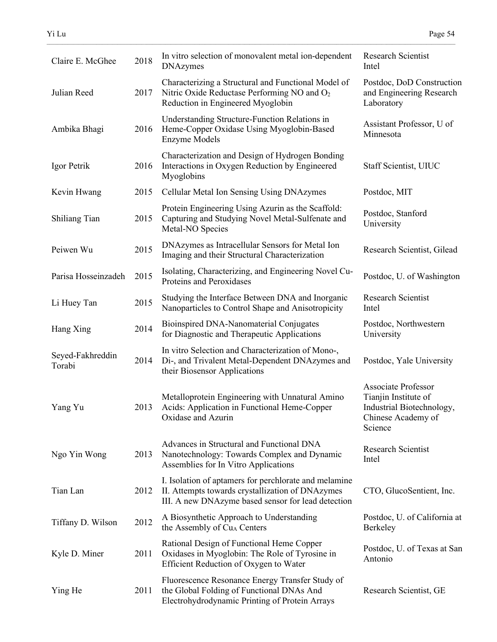| Claire E. McGhee           | 2018 | In vitro selection of monovalent metal ion-dependent<br><b>DNAzymes</b>                                                                                         | Research Scientist<br>Intel                                                                                      |
|----------------------------|------|-----------------------------------------------------------------------------------------------------------------------------------------------------------------|------------------------------------------------------------------------------------------------------------------|
| Julian Reed                | 2017 | Characterizing a Structural and Functional Model of<br>Nitric Oxide Reductase Performing NO and O <sub>2</sub><br>Reduction in Engineered Myoglobin             | Postdoc, DoD Construction<br>and Engineering Research<br>Laboratory                                              |
| Ambika Bhagi               | 2016 | Understanding Structure-Function Relations in<br>Heme-Copper Oxidase Using Myoglobin-Based<br><b>Enzyme Models</b>                                              | Assistant Professor, U of<br>Minnesota                                                                           |
| Igor Petrik                | 2016 | Characterization and Design of Hydrogen Bonding<br>Interactions in Oxygen Reduction by Engineered<br>Myoglobins                                                 | Staff Scientist, UIUC                                                                                            |
| Kevin Hwang                | 2015 | Cellular Metal Ion Sensing Using DNAzymes                                                                                                                       | Postdoc, MIT                                                                                                     |
| Shiliang Tian              | 2015 | Protein Engineering Using Azurin as the Scaffold:<br>Capturing and Studying Novel Metal-Sulfenate and<br>Metal-NO Species                                       | Postdoc, Stanford<br>University                                                                                  |
| Peiwen Wu                  | 2015 | DNAzymes as Intracellular Sensors for Metal Ion<br>Imaging and their Structural Characterization                                                                | Research Scientist, Gilead                                                                                       |
| Parisa Hosseinzadeh        | 2015 | Isolating, Characterizing, and Engineering Novel Cu-<br>Proteins and Peroxidases                                                                                | Postdoc, U. of Washington                                                                                        |
| Li Huey Tan                | 2015 | Studying the Interface Between DNA and Inorganic<br>Nanoparticles to Control Shape and Anisotropicity                                                           | <b>Research Scientist</b><br>Intel                                                                               |
| Hang Xing                  | 2014 | Bioinspired DNA-Nanomaterial Conjugates<br>for Diagnostic and Therapeutic Applications                                                                          | Postdoc, Northwestern<br>University                                                                              |
| Seyed-Fakhreddin<br>Torabi | 2014 | In vitro Selection and Characterization of Mono-,<br>Di-, and Trivalent Metal-Dependent DNAzymes and<br>their Biosensor Applications                            | Postdoc, Yale University                                                                                         |
| Yang Yu                    | 2013 | Metalloprotein Engineering with Unnatural Amino<br>Acids: Application in Functional Heme-Copper<br>Oxidase and Azurin                                           | <b>Associate Professor</b><br>Tianjin Institute of<br>Industrial Biotechnology,<br>Chinese Academy of<br>Science |
| Ngo Yin Wong               | 2013 | Advances in Structural and Functional DNA<br>Nanotechnology: Towards Complex and Dynamic<br>Assemblies for In Vitro Applications                                | Research Scientist<br>Intel                                                                                      |
| Tian Lan                   | 2012 | I. Isolation of aptamers for perchlorate and melamine<br>II. Attempts towards crystallization of DNAzymes<br>III. A new DNAzyme based sensor for lead detection | CTO, GlucoSentient, Inc.                                                                                         |
| Tiffany D. Wilson          | 2012 | A Biosynthetic Approach to Understanding<br>the Assembly of Cu <sub>A</sub> Centers                                                                             | Postdoc, U. of California at<br>Berkeley                                                                         |
| Kyle D. Miner              | 2011 | Rational Design of Functional Heme Copper<br>Oxidases in Myoglobin: The Role of Tyrosine in<br>Efficient Reduction of Oxygen to Water                           | Postdoc, U. of Texas at San<br>Antonio                                                                           |
| Ying He                    | 2011 | Fluorescence Resonance Energy Transfer Study of<br>the Global Folding of Functional DNAs And<br>Electrohydrodynamic Printing of Protein Arrays                  | Research Scientist, GE                                                                                           |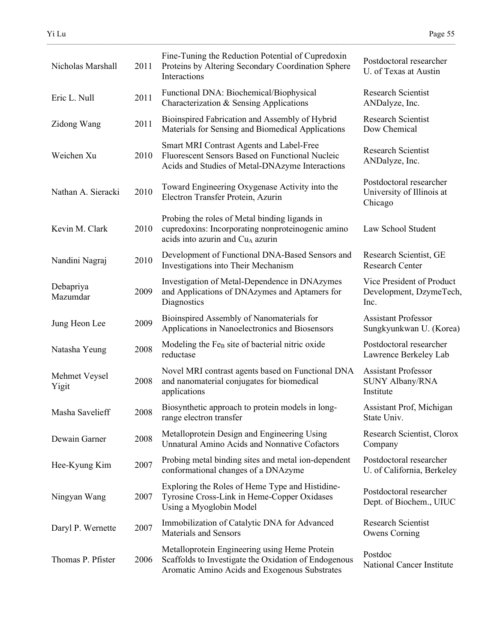| Nicholas Marshall      | 2011 | Fine-Tuning the Reduction Potential of Cupredoxin<br>Proteins by Altering Secondary Coordination Sphere<br>Interactions                                | Postdoctoral researcher<br>U. of Texas at Austin                  |
|------------------------|------|--------------------------------------------------------------------------------------------------------------------------------------------------------|-------------------------------------------------------------------|
| Eric L. Null           | 2011 | Functional DNA: Biochemical/Biophysical<br>Characterization & Sensing Applications                                                                     | <b>Research Scientist</b><br>ANDalyze, Inc.                       |
| Zidong Wang            | 2011 | Bioinspired Fabrication and Assembly of Hybrid<br>Materials for Sensing and Biomedical Applications                                                    | <b>Research Scientist</b><br>Dow Chemical                         |
| Weichen Xu             | 2010 | Smart MRI Contrast Agents and Label-Free<br>Fluorescent Sensors Based on Functional Nucleic<br>Acids and Studies of Metal-DNAzyme Interactions         | <b>Research Scientist</b><br>ANDalyze, Inc.                       |
| Nathan A. Sieracki     | 2010 | Toward Engineering Oxygenase Activity into the<br>Electron Transfer Protein, Azurin                                                                    | Postdoctoral researcher<br>University of Illinois at<br>Chicago   |
| Kevin M. Clark         | 2010 | Probing the roles of Metal binding ligands in<br>cupredoxins: Incorporating nonproteinogenic amino<br>acids into azurin and Cu <sub>A</sub> azurin     | Law School Student                                                |
| Nandini Nagraj         | 2010 | Development of Functional DNA-Based Sensors and<br>Investigations into Their Mechanism                                                                 | Research Scientist, GE<br><b>Research Center</b>                  |
| Debapriya<br>Mazumdar  | 2009 | Investigation of Metal-Dependence in DNAzymes<br>and Applications of DNAzymes and Aptamers for<br>Diagnostics                                          | Vice President of Product<br>Development, DzymeTech,<br>Inc.      |
| Jung Heon Lee          | 2009 | Bioinspired Assembly of Nanomaterials for<br>Applications in Nanoelectronics and Biosensors                                                            | <b>Assistant Professor</b><br>Sungkyunkwan U. (Korea)             |
| Natasha Yeung          | 2008 | Modeling the Fe <sub>B</sub> site of bacterial nitric oxide<br>reductase                                                                               | Postdoctoral researcher<br>Lawrence Berkeley Lab                  |
| Mehmet Veysel<br>Yigit | 2008 | Novel MRI contrast agents based on Functional DNA<br>and nanomaterial conjugates for biomedical<br>applications                                        | <b>Assistant Professor</b><br><b>SUNY Albany/RNA</b><br>Institute |
| Masha Savelieff        | 2008 | Biosynthetic approach to protein models in long-<br>range electron transfer                                                                            | Assistant Prof, Michigan<br>State Univ.                           |
| Dewain Garner          | 2008 | Metalloprotein Design and Engineering Using<br>Unnatural Amino Acids and Nonnative Cofactors                                                           | Research Scientist, Clorox<br>Company                             |
| Hee-Kyung Kim          | 2007 | Probing metal binding sites and metal ion-dependent<br>conformational changes of a DNAzyme                                                             | Postdoctoral researcher<br>U. of California, Berkeley             |
| Ningyan Wang           | 2007 | Exploring the Roles of Heme Type and Histidine-<br>Tyrosine Cross-Link in Heme-Copper Oxidases<br>Using a Myoglobin Model                              | Postdoctoral researcher<br>Dept. of Biochem., UIUC                |
| Daryl P. Wernette      | 2007 | Immobilization of Catalytic DNA for Advanced<br>Materials and Sensors                                                                                  | <b>Research Scientist</b><br>Owens Corning                        |
| Thomas P. Pfister      | 2006 | Metalloprotein Engineering using Heme Protein<br>Scaffolds to Investigate the Oxidation of Endogenous<br>Aromatic Amino Acids and Exogenous Substrates | Postdoc<br>National Cancer Institute                              |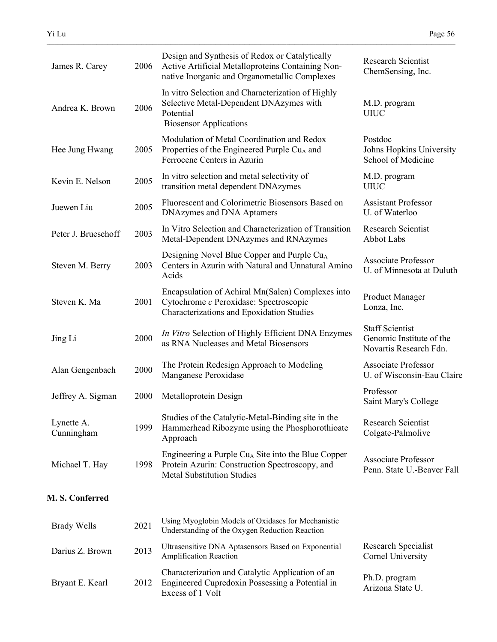| James R. Carey           | 2006 | Design and Synthesis of Redox or Catalytically<br>Active Artificial Metalloproteins Containing Non-<br>native Inorganic and Organometallic Complexes  | <b>Research Scientist</b><br>ChemSensing, Inc.                               |
|--------------------------|------|-------------------------------------------------------------------------------------------------------------------------------------------------------|------------------------------------------------------------------------------|
| Andrea K. Brown          | 2006 | In vitro Selection and Characterization of Highly<br>Selective Metal-Dependent DNAzymes with<br>Potential<br><b>Biosensor Applications</b>            | M.D. program<br><b>UIUC</b>                                                  |
| Hee Jung Hwang           | 2005 | Modulation of Metal Coordination and Redox<br>Properties of the Engineered Purple Cu <sub>A</sub> and<br>Ferrocene Centers in Azurin                  | Postdoc<br>Johns Hopkins University<br>School of Medicine                    |
| Kevin E. Nelson          | 2005 | In vitro selection and metal selectivity of<br>transition metal dependent DNAzymes                                                                    | M.D. program<br><b>UIUC</b>                                                  |
| Juewen Liu               | 2005 | Fluorescent and Colorimetric Biosensors Based on<br>DNAzymes and DNA Aptamers                                                                         | <b>Assistant Professor</b><br>U. of Waterloo                                 |
| Peter J. Bruesehoff      | 2003 | In Vitro Selection and Characterization of Transition<br>Metal-Dependent DNAzymes and RNAzymes                                                        | <b>Research Scientist</b><br>Abbot Labs                                      |
| Steven M. Berry          | 2003 | Designing Novel Blue Copper and Purple Cu <sub>A</sub><br>Centers in Azurin with Natural and Unnatural Amino<br>Acids                                 | <b>Associate Professor</b><br>U. of Minnesota at Duluth                      |
| Steven K. Ma             | 2001 | Encapsulation of Achiral Mn(Salen) Complexes into<br>Cytochrome c Peroxidase: Spectroscopic<br>Characterizations and Epoxidation Studies              | <b>Product Manager</b><br>Lonza, Inc.                                        |
| Jing Li                  | 2000 | In Vitro Selection of Highly Efficient DNA Enzymes<br>as RNA Nucleases and Metal Biosensors                                                           | <b>Staff Scientist</b><br>Genomic Institute of the<br>Novartis Research Fdn. |
| Alan Gengenbach          | 2000 | The Protein Redesign Approach to Modeling<br>Manganese Peroxidase                                                                                     | <b>Associate Professor</b><br>U. of Wisconsin-Eau Claire                     |
| Jeffrey A. Sigman        | 2000 | Metalloprotein Design                                                                                                                                 | Professor<br>Saint Mary's College                                            |
| Lynette A.<br>Cunningham | 1999 | Studies of the Catalytic-Metal-Binding site in the<br>Hammerhead Ribozyme using the Phosphorothioate<br>Approach                                      | <b>Research Scientist</b><br>Colgate-Palmolive                               |
| Michael T. Hay           | 1998 | Engineering a Purple Cu <sub>A</sub> Site into the Blue Copper<br>Protein Azurin: Construction Spectroscopy, and<br><b>Metal Substitution Studies</b> | <b>Associate Professor</b><br>Penn. State U.-Beaver Fall                     |
| M. S. Conferred          |      |                                                                                                                                                       |                                                                              |
| <b>Brady Wells</b>       | 2021 | Using Myoglobin Models of Oxidases for Mechanistic<br>Understanding of the Oxygen Reduction Reaction                                                  |                                                                              |
| Darius Z. Brown          | 2013 | Ultrasensitive DNA Aptasensors Based on Exponential<br>Amplification Reaction                                                                         | Research Specialist<br>Cornel University                                     |
| Bryant E. Kearl          | 2012 | Characterization and Catalytic Application of an<br>Engineered Cupredoxin Possessing a Potential in<br>$E_{\text{wa}$ gga of 1 $V_0$ <sup>1+</sup>    | Ph.D. program<br>Arizona State U.                                            |

Excess of 1 Volt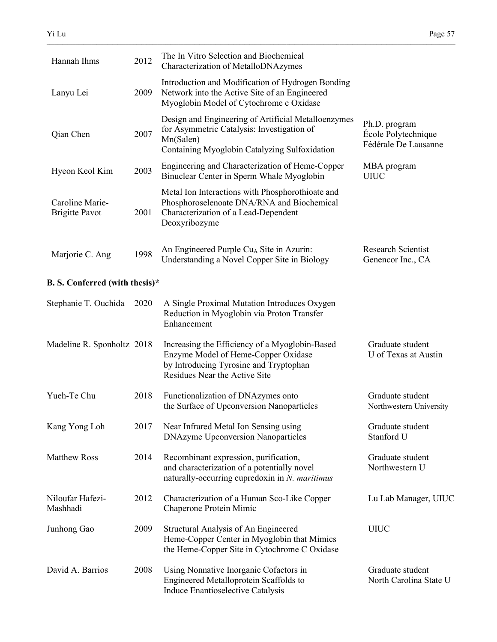| Hannah Ihms                              | 2012 | The In Vitro Selection and Biochemical<br>Characterization of MetalloDNAzymes                                                                                    |                                                              |
|------------------------------------------|------|------------------------------------------------------------------------------------------------------------------------------------------------------------------|--------------------------------------------------------------|
| Lanyu Lei                                | 2009 | Introduction and Modification of Hydrogen Bonding<br>Network into the Active Site of an Engineered<br>Myoglobin Model of Cytochrome c Oxidase                    |                                                              |
| Qian Chen                                | 2007 | Design and Engineering of Artificial Metalloenzymes<br>for Asymmetric Catalysis: Investigation of<br>Mn(Salen)<br>Containing Myoglobin Catalyzing Sulfoxidation  | Ph.D. program<br>École Polytechnique<br>Fédérale De Lausanne |
| Hyeon Keol Kim                           | 2003 | Engineering and Characterization of Heme-Copper<br>Binuclear Center in Sperm Whale Myoglobin                                                                     | MBA program<br><b>UIUC</b>                                   |
| Caroline Marie-<br><b>Brigitte Pavot</b> | 2001 | Metal Ion Interactions with Phosphorothioate and<br>Phosphoroselenoate DNA/RNA and Biochemical<br>Characterization of a Lead-Dependent<br>Deoxyribozyme          |                                                              |
| Marjorie C. Ang                          | 1998 | An Engineered Purple Cu <sub>A</sub> Site in Azurin:<br>Understanding a Novel Copper Site in Biology                                                             | <b>Research Scientist</b><br>Genencor Inc., CA               |
| <b>B. S. Conferred (with thesis)*</b>    |      |                                                                                                                                                                  |                                                              |
| Stephanie T. Ouchida                     | 2020 | A Single Proximal Mutation Introduces Oxygen<br>Reduction in Myoglobin via Proton Transfer<br>Enhancement                                                        |                                                              |
| Madeline R. Sponholtz 2018               |      | Increasing the Efficiency of a Myoglobin-Based<br>Enzyme Model of Heme-Copper Oxidase<br>by Introducing Tyrosine and Tryptophan<br>Residues Near the Active Site | Graduate student<br>U of Texas at Austin                     |
| Yueh-Te Chu                              | 2018 | Functionalization of DNAzymes onto<br>the Surface of Upconversion Nanoparticles                                                                                  | Graduate student<br>Northwestern University                  |
| Kang Yong Loh                            | 2017 | Near Infrared Metal Ion Sensing using<br><b>DNAzyme Upconversion Nanoparticles</b>                                                                               | Graduate student<br>Stanford U                               |
| Matthew Ross                             | 2014 | Recombinant expression, purification,<br>and characterization of a potentially novel<br>naturally-occurring cupredoxin in $N$ . maritimus                        | Graduate student<br>Northwestern U                           |
| Niloufar Hafezi-<br>Mashhadi             | 2012 | Characterization of a Human Sco-Like Copper<br>Chaperone Protein Mimic                                                                                           | Lu Lab Manager, UIUC                                         |
| Junhong Gao                              | 2009 | Structural Analysis of An Engineered<br>Heme-Copper Center in Myoglobin that Mimics<br>the Heme-Copper Site in Cytochrome C Oxidase                              | <b>UIUC</b>                                                  |
| David A. Barrios                         | 2008 | Using Nonnative Inorganic Cofactors in                                                                                                                           | Graduate student                                             |

Induce Enantioselective Catalysis

 $\_$  , and the state of the state of the state of the state of the state of the state of the state of the state of the state of the state of the state of the state of the state of the state of the state of the state of the

Engineered Metalloprotein Scaffolds to North Carolina State U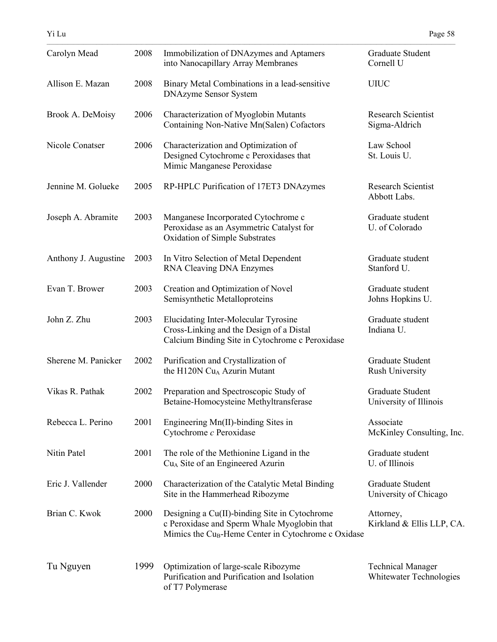| Carolyn Mead         | 2008 | Immobilization of DNAzymes and Aptamers<br>into Nanocapillary Array Membranes                                                                                   | Graduate Student<br>Cornell U                       |
|----------------------|------|-----------------------------------------------------------------------------------------------------------------------------------------------------------------|-----------------------------------------------------|
| Allison E. Mazan     | 2008 | Binary Metal Combinations in a lead-sensitive<br><b>DNAzyme Sensor System</b>                                                                                   | <b>UIUC</b>                                         |
| Brook A. DeMoisy     | 2006 | Characterization of Myoglobin Mutants<br>Containing Non-Native Mn(Salen) Cofactors                                                                              | <b>Research Scientist</b><br>Sigma-Aldrich          |
| Nicole Conatser      | 2006 | Characterization and Optimization of<br>Designed Cytochrome c Peroxidases that<br>Mimic Manganese Peroxidase                                                    | Law School<br>St. Louis U.                          |
| Jennine M. Golueke   | 2005 | RP-HPLC Purification of 17ET3 DNAzymes                                                                                                                          | <b>Research Scientist</b><br>Abbott Labs.           |
| Joseph A. Abramite   | 2003 | Manganese Incorporated Cytochrome c<br>Peroxidase as an Asymmetric Catalyst for<br>Oxidation of Simple Substrates                                               | Graduate student<br>U. of Colorado                  |
| Anthony J. Augustine | 2003 | In Vitro Selection of Metal Dependent<br>RNA Cleaving DNA Enzymes                                                                                               | Graduate student<br>Stanford U.                     |
| Evan T. Brower       | 2003 | Creation and Optimization of Novel<br>Semisynthetic Metalloproteins                                                                                             | Graduate student<br>Johns Hopkins U.                |
| John Z. Zhu          | 2003 | Elucidating Inter-Molecular Tyrosine<br>Cross-Linking and the Design of a Distal<br>Calcium Binding Site in Cytochrome c Peroxidase                             | Graduate student<br>Indiana U.                      |
| Sherene M. Panicker  | 2002 | Purification and Crystallization of<br>the H120N Cu <sub>A</sub> Azurin Mutant                                                                                  | Graduate Student<br><b>Rush University</b>          |
| Vikas R. Pathak      | 2002 | Preparation and Spectroscopic Study of<br>Betaine-Homocysteine Methyltransferase                                                                                | Graduate Student<br>University of Illinois          |
| Rebecca L. Perino    | 2001 | Engineering Mn(II)-binding Sites in<br>Cytochrome c Peroxidase                                                                                                  | Associate<br>McKinley Consulting, Inc.              |
| Nitin Patel          | 2001 | The role of the Methionine Ligand in the<br>Cu <sub>A</sub> Site of an Engineered Azurin                                                                        | Graduate student<br>U. of Illinois                  |
| Eric J. Vallender    | 2000 | Characterization of the Catalytic Metal Binding<br>Site in the Hammerhead Ribozyme                                                                              | Graduate Student<br>University of Chicago           |
| Brian C. Kwok        | 2000 | Designing a Cu(II)-binding Site in Cytochrome<br>c Peroxidase and Sperm Whale Myoglobin that<br>Mimics the Cu <sub>B</sub> -Heme Center in Cytochrome c Oxidase | Attorney,<br>Kirkland & Ellis LLP, CA.              |
| Tu Nguyen            | 1999 | Optimization of large-scale Ribozyme<br>Purification and Purification and Isolation<br>of T7 Polymerase                                                         | <b>Technical Manager</b><br>Whitewater Technologies |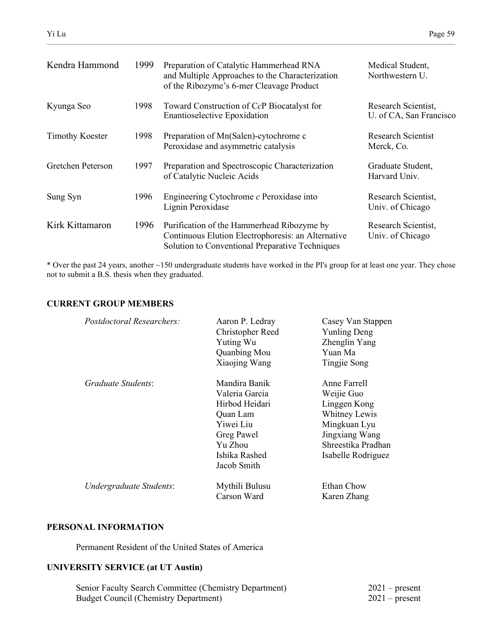| Kendra Hammond         | 1999 | Preparation of Catalytic Hammerhead RNA<br>and Multiple Approaches to the Characterization<br>of the Ribozyme's 6-mer Cleavage Product              | Medical Student,<br>Northwestern U.            |
|------------------------|------|-----------------------------------------------------------------------------------------------------------------------------------------------------|------------------------------------------------|
| Kyunga Seo             | 1998 | Toward Construction of CcP Biocatalyst for<br><b>Enantioselective Epoxidation</b>                                                                   | Research Scientist,<br>U. of CA, San Francisco |
| <b>Timothy Koester</b> | 1998 | Preparation of Mn(Salen)-cytochrome c<br>Peroxidase and asymmetric catalysis                                                                        | <b>Research Scientist</b><br>Merck, Co.        |
| Gretchen Peterson      | 1997 | Preparation and Spectroscopic Characterization<br>of Catalytic Nucleic Acids                                                                        | Graduate Student,<br>Harvard Univ.             |
| Sung Syn               | 1996 | Engineering Cytochrome $c$ Peroxidase into<br>Lignin Peroxidase                                                                                     | Research Scientist,<br>Univ. of Chicago        |
| Kirk Kittamaron        | 1996 | Purification of the Hammerhead Ribozyme by<br>Continuous Elution Electrophoresis: an Alternative<br>Solution to Conventional Preparative Techniques | Research Scientist,<br>Univ. of Chicago        |

\* Over the past 24 years, another ~150 undergraduate students have worked in the PI's group for at least one year. They chose not to submit a B.S. thesis when they graduated.

## **CURRENT GROUP MEMBERS**

| <i>Postdoctoral Researchers:</i> | Aaron P. Ledray<br>Christopher Reed<br><b>Yuting Wu</b><br>Quanbing Mou<br>Xiaojing Wang                                            | Casey Van Stappen<br><b>Yunling Deng</b><br>Zhenglin Yang<br>Yuan Ma<br>Tingjie Song                                                      |
|----------------------------------|-------------------------------------------------------------------------------------------------------------------------------------|-------------------------------------------------------------------------------------------------------------------------------------------|
| Graduate Students:               | Mandira Banik<br>Valeria Garcia<br>Hirbod Heidari<br>Quan Lam<br>Yiwei Liu<br>Greg Pawel<br>Yu Zhou<br>Ishika Rashed<br>Jacob Smith | Anne Farrell<br>Weijie Guo<br>Linggen Kong<br>Whitney Lewis<br>Mingkuan Lyu<br>Jingxiang Wang<br>Shreestika Pradhan<br>Isabelle Rodriguez |
| Undergraduate Students:          | Mythili Bulusu<br>Carson Ward                                                                                                       | Ethan Chow<br>Karen Zhang                                                                                                                 |

## **PERSONAL INFORMATION**

Permanent Resident of the United States of America

## **UNIVERSITY SERVICE (at UT Austin)**

| Senior Faculty Search Committee (Chemistry Department) | $2021$ – present |
|--------------------------------------------------------|------------------|
| <b>Budget Council (Chemistry Department)</b>           | $2021$ – present |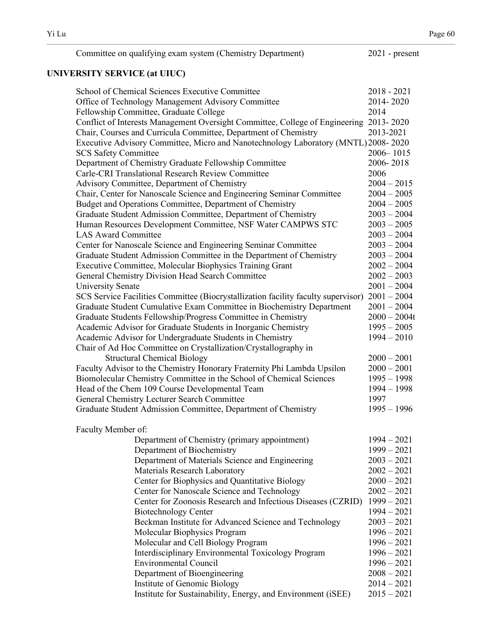| Committee on qualifying exam system (Chemistry Department) | $2021$ - present |
|------------------------------------------------------------|------------------|
|------------------------------------------------------------|------------------|

## **UNIVERSITY SERVICE (at UIUC)**

| School of Chemical Sciences Executive Committee                                        | $2018 - 2021$  |
|----------------------------------------------------------------------------------------|----------------|
| Office of Technology Management Advisory Committee                                     | 2014-2020      |
| Fellowship Committee, Graduate College                                                 | 2014           |
| Conflict of Interests Management Oversight Committee, College of Engineering 2013-2020 |                |
| Chair, Courses and Curricula Committee, Department of Chemistry                        | 2013-2021      |
| Executive Advisory Committee, Micro and Nanotechnology Laboratory (MNTL) 2008-2020     |                |
| <b>SCS Safety Committee</b>                                                            | 2006-1015      |
| Department of Chemistry Graduate Fellowship Committee                                  | 2006-2018      |
| Carle-CRI Translational Research Review Committee                                      | 2006           |
| Advisory Committee, Department of Chemistry                                            | $2004 - 2015$  |
| Chair, Center for Nanoscale Science and Engineering Seminar Committee                  | $2004 - 2005$  |
| Budget and Operations Committee, Department of Chemistry                               | $2004 - 2005$  |
| Graduate Student Admission Committee, Department of Chemistry                          | $2003 - 2004$  |
| Human Resources Development Committee, NSF Water CAMPWS STC                            | $2003 - 2005$  |
| <b>LAS Award Committee</b>                                                             | $2003 - 2004$  |
| Center for Nanoscale Science and Engineering Seminar Committee                         | $2003 - 2004$  |
| Graduate Student Admission Committee in the Department of Chemistry                    | $2003 - 2004$  |
| Executive Committee, Molecular Biophysics Training Grant                               | $2002 - 2004$  |
| General Chemistry Division Head Search Committee                                       | $2002 - 2003$  |
| <b>University Senate</b>                                                               | $2001 - 2004$  |
| SCS Service Facilities Committee (Biocrystallization facility faculty supervisor)      | $2001 - 2004$  |
| Graduate Student Cumulative Exam Committee in Biochemistry Department                  | $2001 - 2004$  |
| Graduate Students Fellowship/Progress Committee in Chemistry                           | $2000 - 2004t$ |
| Academic Advisor for Graduate Students in Inorganic Chemistry                          | $1995 - 2005$  |
| Academic Advisor for Undergraduate Students in Chemistry                               | $1994 - 2010$  |
| Chair of Ad Hoc Committee on Crystallization/Crystallography in                        |                |
| <b>Structural Chemical Biology</b>                                                     | $2000 - 2001$  |
| Faculty Advisor to the Chemistry Honorary Fraternity Phi Lambda Upsilon                | $2000 - 2001$  |
| Biomolecular Chemistry Committee in the School of Chemical Sciences                    | $1995 - 1998$  |
| Head of the Chem 109 Course Developmental Team                                         | $1994 - 1998$  |
| General Chemistry Lecturer Search Committee                                            | 1997           |
| Graduate Student Admission Committee, Department of Chemistry                          | $1995 - 1996$  |
| Faculty Member of:                                                                     |                |
| Department of Chemistry (primary appointment)                                          | $1994 - 2021$  |
| Department of Biochemistry                                                             | $1999 - 2021$  |
| Department of Materials Science and Engineering                                        | $2003 - 2021$  |
| Materials Research Laboratory                                                          | $2002 - 2021$  |
| Center for Biophysics and Quantitative Biology                                         | $2000 - 2021$  |
| Center for Nanoscale Science and Technology                                            | $2002 - 2021$  |
| Center for Zoonosis Research and Infectious Diseases (CZRID)                           | $1999 - 2021$  |
| <b>Biotechnology Center</b>                                                            | $1994 - 2021$  |
| Beckman Institute for Advanced Science and Technology                                  | $2003 - 2021$  |
| Molecular Biophysics Program                                                           | $1996 - 2021$  |
| Molecular and Cell Biology Program                                                     | $1996 - 2021$  |
| <b>Interdisciplinary Environmental Toxicology Program</b>                              | $1996 - 2021$  |
| <b>Environmental Council</b>                                                           | $1996 - 2021$  |
| Department of Bioengineering                                                           | $2008 - 2021$  |
| Institute of Genomic Biology                                                           | $2014 - 2021$  |
| Institute for Sustainability, Energy, and Environment (iSEE)                           | $2015 - 2021$  |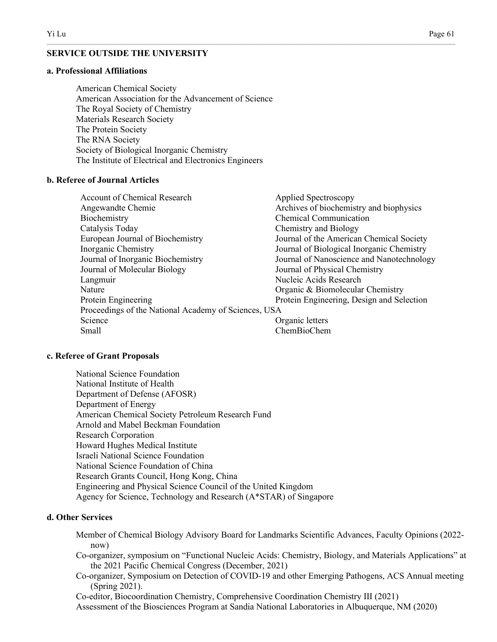## **SERVICE OUTSIDE THE UNIVERSITY**

#### **a. Professional Affiliations**

American Chemical Society American Association for the Advancement of Science The Royal Society of Chemistry Materials Research Society The Protein Society The RNA Society Society of Biological Inorganic Chemistry The Institute of Electrical and Electronics Engineers

## **b. Referee of Journal Articles**

| <b>Account of Chemical Research</b>                  | Applied Spectroscopy                      |
|------------------------------------------------------|-------------------------------------------|
| Angewandte Chemie                                    | Archives of biochemistry and biophysics   |
| Biochemistry                                         | <b>Chemical Communication</b>             |
| Catalysis Today                                      | Chemistry and Biology                     |
| European Journal of Biochemistry                     | Journal of the American Chemical Society  |
| Inorganic Chemistry                                  | Journal of Biological Inorganic Chemistry |
| Journal of Inorganic Biochemistry                    | Journal of Nanoscience and Nanotechnology |
| Journal of Molecular Biology                         | Journal of Physical Chemistry             |
| Langmuir                                             | Nucleic Acids Research                    |
| Nature                                               | Organic & Biomolecular Chemistry          |
| Protein Engineering                                  | Protein Engineering, Design and Selection |
| Proceedings of the National Academy of Sciences, USA |                                           |
| Science                                              | Organic letters                           |
| Small                                                | ChemBioChem                               |

 $\_$  , and the state of the state of the state of the state of the state of the state of the state of the state of the state of the state of the state of the state of the state of the state of the state of the state of the

#### **c. Referee of Grant Proposals**

National Science Foundation National Institute of Health Department of Defense (AFOSR) Department of Energy American Chemical Society Petroleum Research Fund Arnold and Mabel Beckman Foundation Research Corporation Howard Hughes Medical Institute Israeli National Science Foundation National Science Foundation of China Research Grants Council, Hong Kong, China Engineering and Physical Science Council of the United Kingdom Agency for Science, Technology and Research (A\*STAR) of Singapore

## **d. Other Services**

- Member of Chemical Biology Advisory Board for Landmarks Scientific Advances, Faculty Opinions (2022 now)
- Co-organizer, symposium on "Functional Nucleic Acids: Chemistry, Biology, and Materials Applications" at the 2021 Pacific Chemical Congress (December, 2021)
- Co-organizer, Symposium on Detection of COVID-19 and other Emerging Pathogens, ACS Annual meeting (Spring 2021).

Co-editor, Biocoordination Chemistry, Comprehensive Coordination Chemistry III (2021) Assessment of the Biosciences Program at Sandia National Laboratories in Albuquerque, NM (2020)